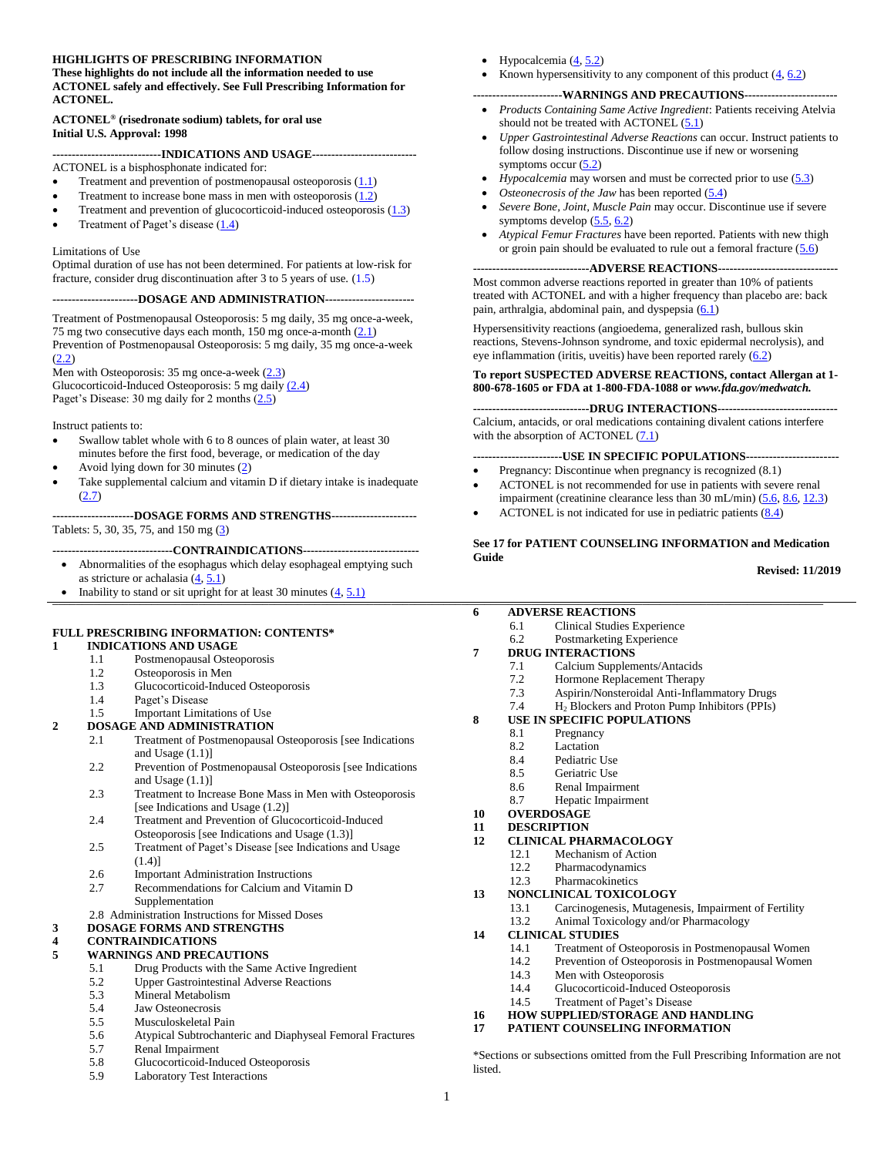#### **HIGHLIGHTS OF PRESCRIBING INFORMATION**

#### **These highlights do not include all the information needed to use ACTONEL safely and effectively. See Full Prescribing Information for ACTONEL.**

#### **ACTONEL® (risedronate sodium) tablets, for oral use Initial U.S. Approval: 1998**

#### **----------------------------INDICATIONS AND USAGE---------------------------**

ACTONEL is a bisphosphonate indicated for:

- Treatment and prevention of postmenopausal osteoporosis  $(1.1)$
- Treatment to increase bone mass in men with osteoporosis  $(1.2)$
- Treatment and prevention of glucocorticoid-induced osteoporosis  $(1.3)$
- Treatment of Paget's disease  $(1.4)$

#### Limitations of Use

Optimal duration of use has not been determined. For patients at low-risk for fracture, consider drug discontinuation after 3 to 5 years of use. [\(1.5\)](#page-1-4)

#### **----------------------DOSAGE AND ADMINISTRATION-----------------------**

Treatment of Postmenopausal Osteoporosis: 5 mg daily, 35 mg once-a-week, 75 mg two consecutive days each month, 150 mg once-a-month [\(2.1\)](#page-1-5) Prevention of Postmenopausal Osteoporosis: 5 mg daily, 35 mg once-a-week [\(2.2\)](#page-2-0)

Men with Osteoporosis: 35 mg once-a-week  $(2.3)$ 

Glucocorticoid-Induced Osteoporosis: 5 mg dail[y \(2.4\)](#page-2-2) Paget's Disease: 30 mg daily for 2 months  $(2.5)$ 

Instruct patients to:

- Swallow tablet whole with 6 to 8 ounces of plain water, at least 30 minutes before the first food, beverage, or medication of the day
- Avoid lying down for 30 minutes  $(2)$
- Take supplemental calcium and vitamin D if dietary intake is inadequate  $(2.7)$

**---------------------DOSAGE FORMS AND STRENGTHS----------------------** Tablets: 5, 30, 35, 75, and 150 mg [\(3\)](#page-3-1)

**-------------------------------CONTRAINDICATIONS------------------------------** • Abnormalities of the esophagus which delay esophageal emptying such

- as stricture or achalasia  $(\frac{4}{5.1})$
- Inability to stand or sit upright for at least 30 minutes  $(4, 5.1)$  $(4, 5.1)$

#### **FULL PRESCRIBING INFORMATION: CONTENTS\***

#### **1 [INDICATIONS AND USAGE](#page-1-7)**

- 1.1 [Postmenopausal Osteoporosis](#page-1-0)
- 1.2 [Osteoporosis in Men](#page-1-1)<br>1.3 Glucocorticoid-Induc
- [Glucocorticoid-Induced Osteoporosis](#page-1-2)
- 1.4 [Paget's Disease](#page-1-3)
- 1.5 [Important Limitations of Use](#page-1-4)

#### **2 [DOSAGE AND ADMINISTRATION](#page-1-6)**

- 2.1 [Treatment of Postmenopausal Osteoporosis \[see Indications](#page-1-5)  [and Usage \(1.1\)\]](#page-1-5)
- 2.2 [Prevention of Postmenopausal Osteoporosis \[see Indications](#page-2-0)  [and Usage \(1.1\)\]](#page-2-0)
- 2.3 [Treatment to Increase Bone Mass in Men with Osteoporosis](#page-2-1)  [\[see Indications and Usage \(1.2\)\]](#page-2-1)
- 2.4 [Treatment and Prevention of Glucocorticoid-Induced](#page-2-2)  [Osteoporosis \[see Indications and Usage \(1.3\)\]](#page-2-2)
- 2.5 [Treatment of Paget's Disease \[see Indications and Usage](#page-2-3)  [\(1.4\)\]](#page-2-3)
- [2.6 Important Administration Instructions](#page-2-4)
- [2.7 Recommendations for Calcium and Vitamin D](#page-3-0)  [Supplementation](#page-3-0)
- [2.8 Administration Instructions for Missed Doses](#page-3-2)
- **3 [DOSAGE FORMS AND STRENGTHS](#page-3-1)**

#### **4 [CONTRAINDICATIONS](#page-4-0)**

- **5 [WARNINGS AND PRECAUTIONS](#page-4-3)**
	- 5.1 [Drug Products with the Same Active Ingredient](#page-4-1)
	- 5.2 [Upper Gastrointestinal Adverse Reactions](#page-4-2)<br>5.3 Mineral Metabolism
	- [Mineral Metabolism](#page-5-0)
	- 5.4 [Jaw Osteonecrosis](#page-5-1)<br>5.5 Musculoskeletal Pa
	- [Musculoskeletal Pain](#page-5-2)
	- 5.6 [Atypical Subtrochanteric and Diaphyseal Femoral Fractures](#page-6-0)
	- 5.7 [Renal Impairment](#page-6-2)
	- 5.8 [Glucocorticoid-Induced Osteoporosis](#page-6-3)<br>5.9 Laboratory Test Interactions
	- [Laboratory Test Interactions](#page-6-4)
- Hypocalcemia [\(4,](#page-4-0) [5.2\)](#page-5-0)
- Known hypersensitivity to any component of this product  $(4, 6.2)$  $(4, 6.2)$

#### **-----------------------WARNINGS AND PRECAUTIONS------------------------**

- *Products Containing Same Active Ingredient*: Patients receiving Atelvia should not be treated with ACTONEL [\(5.1\)](#page-4-1)
- *Upper Gastrointestinal Adverse Reactions* can occur. Instruct patients to follow dosing instructions. Discontinue use if new or worsening symptoms occur  $(5.2)$
- *Hypocalcemia* may worsen and must be corrected prior to use [\(5.3\)](#page-5-0)
- *Osteonecrosis of the Jaw* has been reported [\(5.4\)](#page-5-1)
- *Severe Bone, Joint, Muscle Pain* may occur. Discontinue use if severe symptoms develop  $(5.5, 6.2)$  $(5.5, 6.2)$
- *Atypical Femur Fractures* have been reported. Patients with new thigh or groin pain should be evaluated to rule out a femoral fracture  $(5.6)$

#### **------------------------------ADVERSE REACTIONS-------------------------------**

Most common adverse reactions reported in greater than 10% of patients treated with ACTONEL and with a higher frequency than placebo are: back pain, arthralgia, abdominal pain, and dyspepsia [\(6.1\)](#page-6-1)

Hypersensitivity reactions (angioedema, generalized rash, bullous skin reactions, Stevens-Johnson syndrome, and toxic epidermal necrolysis), and eye inflammation (iritis, uveitis) have been reported rarely [\(6.2\)](#page-14-0)

#### **To report SUSPECTED ADVERSE REACTIONS, contact Allergan at 1- 800-678-1605 or FDA at 1-800-FDA-1088 or** *www.fda.gov/medwatch.*

**------------------------------DRUG INTERACTIONS-------------------------------** Calcium, antacids, or oral medications containing divalent cations interfere with the absorption of ACTONEL  $(7.1)$ 

- **-----------------------USE IN SPECIFIC POPULATIONS------------------------**
- Pregnancy: Discontinue when pregnancy is recognized  $(8.1)$
- ACTONEL is not recommended for use in patients with severe renal impairment (creatinine clearance less than 30 mL/min) [\(5.6,](#page-6-2) [8.6,](#page-18-0) [12.3\)](#page-21-0)
- ACTONEL is not indicated for use in pediatric patients [\(8.4\)](#page-17-0)

#### **See 17 for PATIENT COUNSELING INFORMATION and Medication Guide**

**Revised: 11/2019**

- **6 [ADVERSE REACTIONS](#page-6-5)**
	- 6.1 [Clinical Studies Experience](#page-6-1)
	- 6.2 [Postmarketing Experience](#page-14-0)

# **7 [DRUG INTERACTIONS](#page-15-1)**<br>7.1 **Calcium Supplem**

- 7.1 [Calcium Supplements/Antacids](#page-15-0)<br>7.2 Hormone Replacement Therapy
- [Hormone Replacement Therapy](#page-15-2)
- 7.3 [Aspirin/Nonsteroidal Anti-Inflammatory Drugs](#page-15-3)
- 7.4 H<sup>2</sup> [Blockers and Proton Pump Inhibitors \(PPIs\)](#page-15-4)
- **8 [USE IN SPECIFIC POPULATIONS](#page-16-0)**
	- 8.1 [Pregnancy](#page-16-1)
		- 8.2 [Lactation](#page-17-1)
		- 8.4 [Pediatric Use](#page-17-0)
		- 8.5 [Geriatric Use](#page-18-1)<br>8.6 Renal Impairi
		- 8.6 [Renal Impairment](#page-18-0)
		- 8.7 [Hepatic Impairment](#page-18-2)
- **10 [OVERDOSAGE](#page-18-3)**
- **11 [DESCRIPTION](#page-19-0)**
- **12 [CLINICAL PHARMACOLOGY](#page-19-1)**
	- 12.1 [Mechanism of Action](#page-19-2)<br>12.2 Pharmacodynamics
		- 12.2 [Pharmacodynamics](#page-20-0)<br>12.3 Pharmacokinetics
		- **[Pharmacokinetics](#page-21-0)**
- **13 [NONCLINICAL TOXICOLOGY](#page-22-0)**
	- 13.1 [Carcinogenesis, Mutagenesis, Impairment of Fertility](#page-22-1)<br>13.2 Animal Toxicology and/or Pharmacology [Animal Toxicology and/or Pharmacology](#page-23-0)
- **14 [CLINICAL STUDIES](#page-23-1)**

1

listed.

14.1 [Treatment of Osteoporosis in Postmenopausal Women](#page-23-2)

\*Sections or subsections omitted from the Full Prescribing Information are not

- 14.2 [Prevention of Osteoporosis in Postmenopausal Women](#page-28-0)<br>14.3 Men with Osteoporosis
- [Men with Osteoporosis](#page-29-0)

**17 [PATIENT COUNSELING INFORMATION](#page-34-1)**

- 14.4 [Glucocorticoid-Induced Osteoporosis](#page-30-0)
- 14.5 [Treatment of Paget's Disease](#page-32-0) **16 [HOW SUPPLIED/STORAGE AND HANDLING](#page-34-0)**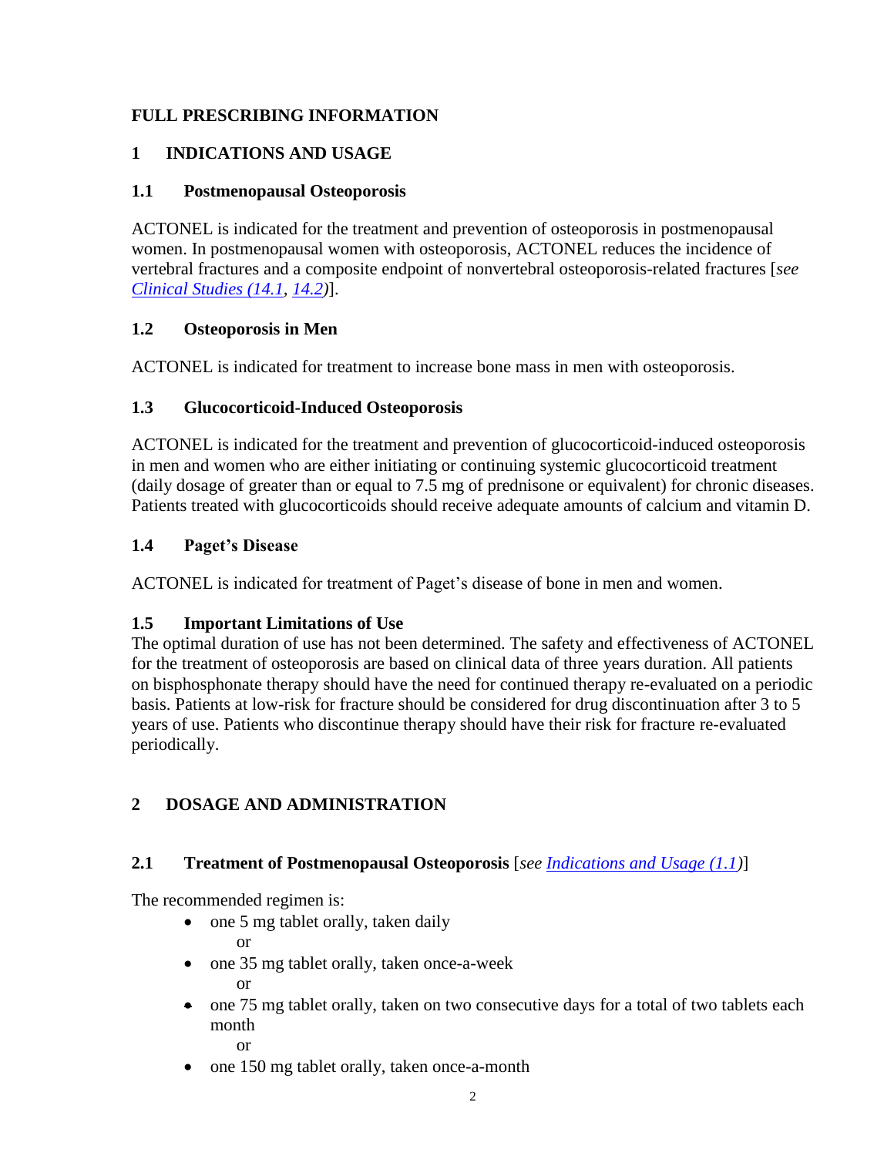# **FULL PRESCRIBING INFORMATION**

# <span id="page-1-7"></span>**1 INDICATIONS AND USAGE**

# <span id="page-1-0"></span>**1.1 Postmenopausal Osteoporosis**

ACTONEL is indicated for the treatment and prevention of osteoporosis in postmenopausal women. In postmenopausal women with osteoporosis, ACTONEL reduces the incidence of vertebral fractures and a composite endpoint of nonvertebral osteoporosis-related fractures [*see [Clinical Studies \(14.1,](#page-23-2) [14.2\)](#page-28-0)*].

## <span id="page-1-1"></span>**1.2 Osteoporosis in Men**

ACTONEL is indicated for treatment to increase bone mass in men with osteoporosis.

# <span id="page-1-2"></span>**1.3 Glucocorticoid-Induced Osteoporosis**

ACTONEL is indicated for the treatment and prevention of glucocorticoid-induced osteoporosis in men and women who are either initiating or continuing systemic glucocorticoid treatment (daily dosage of greater than or equal to 7.5 mg of prednisone or equivalent) for chronic diseases. Patients treated with glucocorticoids should receive adequate amounts of calcium and vitamin D.

# <span id="page-1-3"></span>**1.4 Paget's Disease**

ACTONEL is indicated for treatment of Paget's disease of bone in men and women.

# <span id="page-1-4"></span>**1.5 Important Limitations of Use**

The optimal duration of use has not been determined. The safety and effectiveness of ACTONEL for the treatment of osteoporosis are based on clinical data of three years duration. All patients on bisphosphonate therapy should have the need for continued therapy re-evaluated on a periodic basis. Patients at low-risk for fracture should be considered for drug discontinuation after 3 to 5 years of use. Patients who discontinue therapy should have their risk for fracture re-evaluated periodically.

# <span id="page-1-6"></span>**2 DOSAGE AND ADMINISTRATION**

# <span id="page-1-5"></span>**2.1 Treatment of Postmenopausal Osteoporosis** [*see [Indications and](#page-1-0) Usage (1.1)*]

The recommended regimen is:

- one 5 mg tablet orally, taken daily or
- one 35 mg tablet orally, taken once-a-week or
- one 75 mg tablet orally, taken on two consecutive days for a total of two tablets each month

or

• one 150 mg tablet orally, taken once-a-month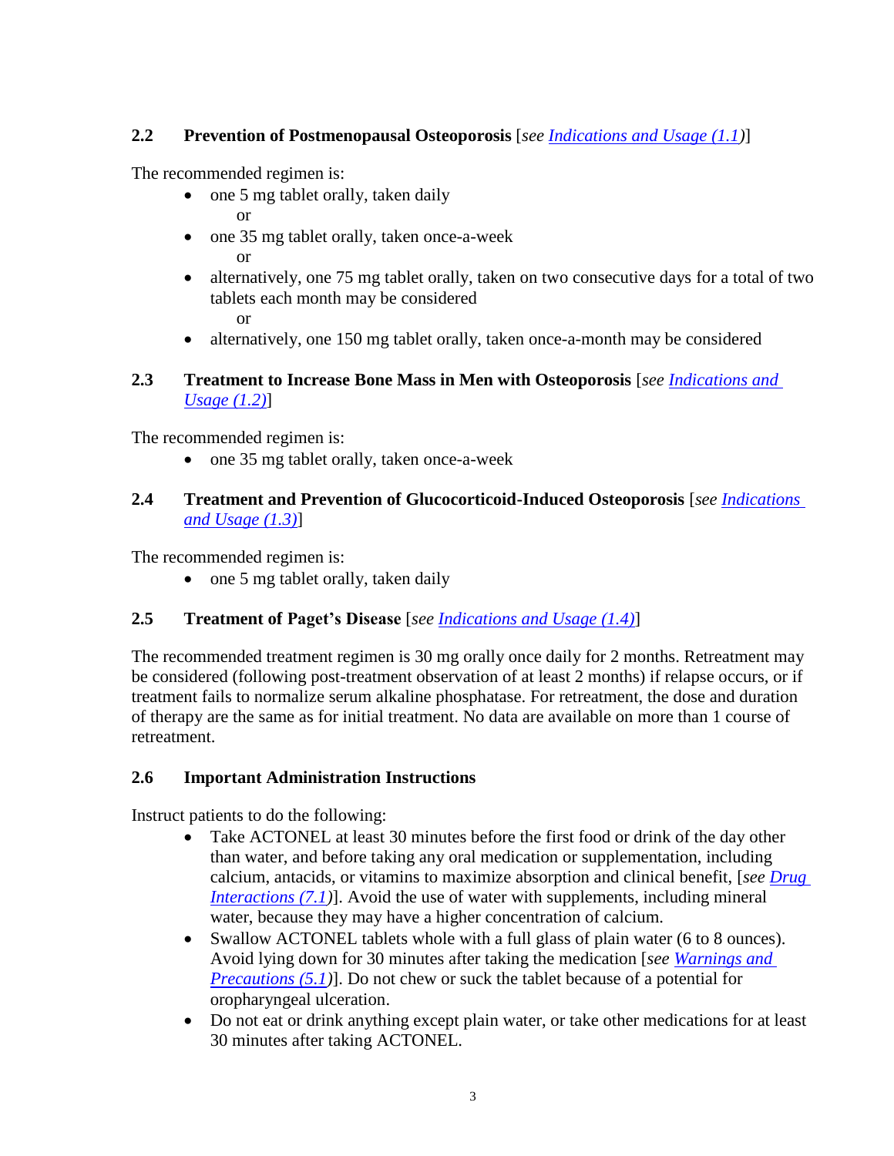# <span id="page-2-0"></span>**2.2 Prevention of Postmenopausal Osteoporosis** [*see [Indications and Usage \(1.1\)](#page-1-0)*]

The recommended regimen is:

- one 5 mg tablet orally, taken daily or
- one 35 mg tablet orally, taken once-a-week
	- or
- alternatively, one 75 mg tablet orally, taken on two consecutive days for a total of two tablets each month may be considered or
- alternatively, one 150 mg tablet orally, taken once-a-month may be considered

# <span id="page-2-1"></span>**2.3 Treatment to Increase Bone Mass in Men with Osteoporosis** [*see [Indications and](#page-1-1)  [Usage \(1.2\)](#page-1-1)*]

The recommended regimen is:

• one 35 mg tablet orally, taken once-a-week

# <span id="page-2-2"></span>**2.4 Treatment and Prevention of Glucocorticoid-Induced Osteoporosis** [*see [Indications](#page-1-2)  [and Usage \(1.3\)](#page-1-2)*]

The recommended regimen is:

• one 5 mg tablet orally, taken daily

# <span id="page-2-3"></span>**2.5 Treatment of Paget's Disease** [*see [Indications and Usage \(1.4\)](#page-1-3)*]

The recommended treatment regimen is 30 mg orally once daily for 2 months. Retreatment may be considered (following post-treatment observation of at least 2 months) if relapse occurs, or if treatment fails to normalize serum alkaline phosphatase. For retreatment, the dose and duration of therapy are the same as for initial treatment. No data are available on more than 1 course of retreatment.

# <span id="page-2-4"></span>**2.6 Important Administration Instructions**

Instruct patients to do the following:

- Take ACTONEL at least 30 minutes before the first food or drink of the day other than water, and before taking any oral medication or supplementation, including calcium, antacids, or vitamins to maximize absorption and clinical benefit, [*see [Drug](#page-15-0)  [Interactions \(7.1\)](#page-15-0)*]. Avoid the use of water with supplements, including mineral water, because they may have a higher concentration of calcium.
- Swallow ACTONEL tablets whole with a full glass of plain water (6 to 8 ounces). Avoid lying down for 30 minutes after taking the medication [*see [Warnings and](#page-4-1)  [Precautions \(5.1\)](#page-4-1)*]. Do not chew or suck the tablet because of a potential for oropharyngeal ulceration.
- Do not eat or drink anything except plain water, or take other medications for at least 30 minutes after taking ACTONEL.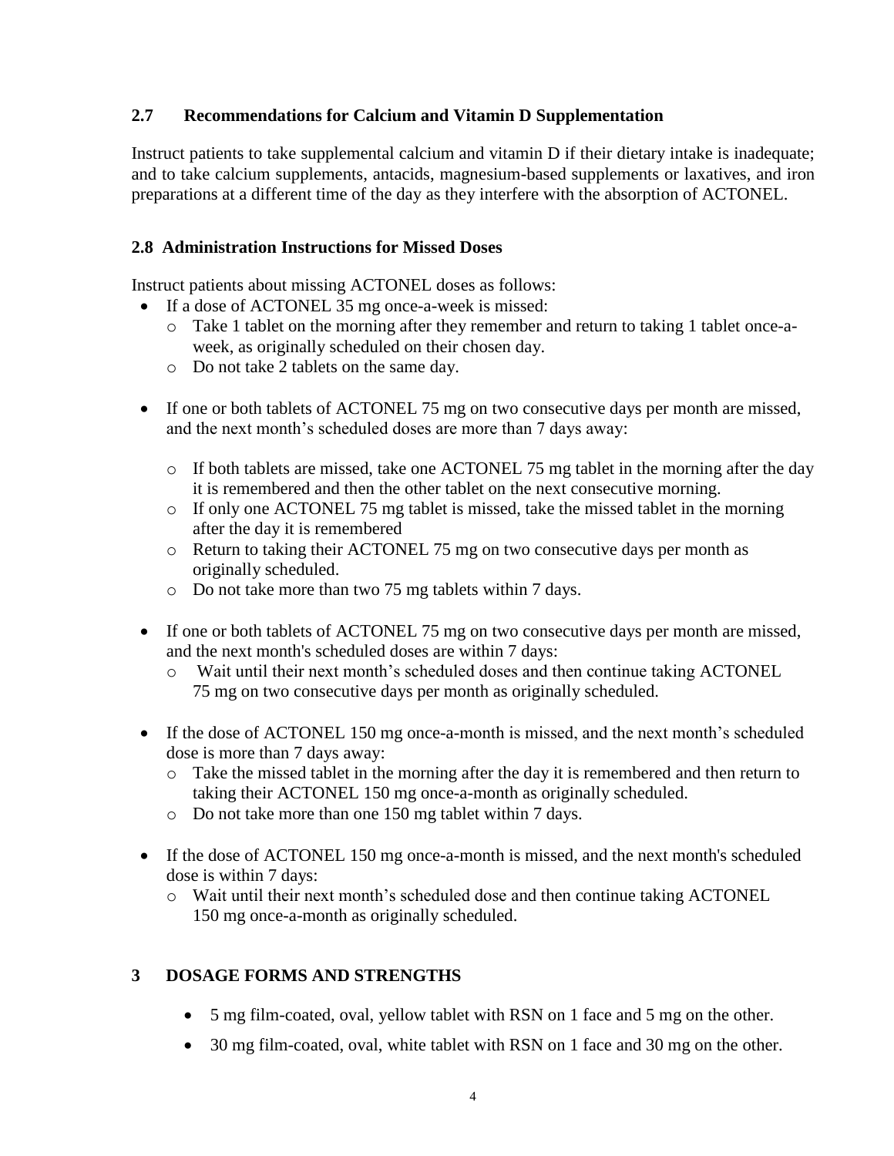## <span id="page-3-0"></span>**2.7 Recommendations for Calcium and Vitamin D Supplementation**

Instruct patients to take supplemental calcium and vitamin D if their dietary intake is inadequate; and to take calcium supplements, antacids, magnesium-based supplements or laxatives, and iron preparations at a different time of the day as they interfere with the absorption of ACTONEL.

## <span id="page-3-2"></span>**2.8 Administration Instructions for Missed Doses**

Instruct patients about missing ACTONEL doses as follows:

- If a dose of ACTONEL 35 mg once-a-week is missed:
	- o Take 1 tablet on the morning after they remember and return to taking 1 tablet once-aweek, as originally scheduled on their chosen day.
	- o Do not take 2 tablets on the same day.
- If one or both tablets of ACTONEL 75 mg on two consecutive days per month are missed, and the next month's scheduled doses are more than 7 days away:
	- o If both tablets are missed, take one ACTONEL 75 mg tablet in the morning after the day it is remembered and then the other tablet on the next consecutive morning.
	- o If only one ACTONEL 75 mg tablet is missed, take the missed tablet in the morning after the day it is remembered
	- o Return to taking their ACTONEL 75 mg on two consecutive days per month as originally scheduled.
	- o Do not take more than two 75 mg tablets within 7 days.
- If one or both tablets of ACTONEL 75 mg on two consecutive days per month are missed, and the next month's scheduled doses are within 7 days:
	- o Wait until their next month's scheduled doses and then continue taking ACTONEL 75 mg on two consecutive days per month as originally scheduled.
- If the dose of ACTONEL 150 mg once-a-month is missed, and the next month's scheduled dose is more than 7 days away:
	- o Take the missed tablet in the morning after the day it is remembered and then return to taking their ACTONEL 150 mg once-a-month as originally scheduled.
	- o Do not take more than one 150 mg tablet within 7 days.
- If the dose of ACTONEL 150 mg once-a-month is missed, and the next month's scheduled dose is within 7 days:
	- o Wait until their next month's scheduled dose and then continue taking ACTONEL 150 mg once-a-month as originally scheduled.

# <span id="page-3-1"></span>**3 DOSAGE FORMS AND STRENGTHS**

- 5 mg film-coated, oval, yellow tablet with RSN on 1 face and 5 mg on the other.
- 30 mg film-coated, oval, white tablet with RSN on 1 face and 30 mg on the other.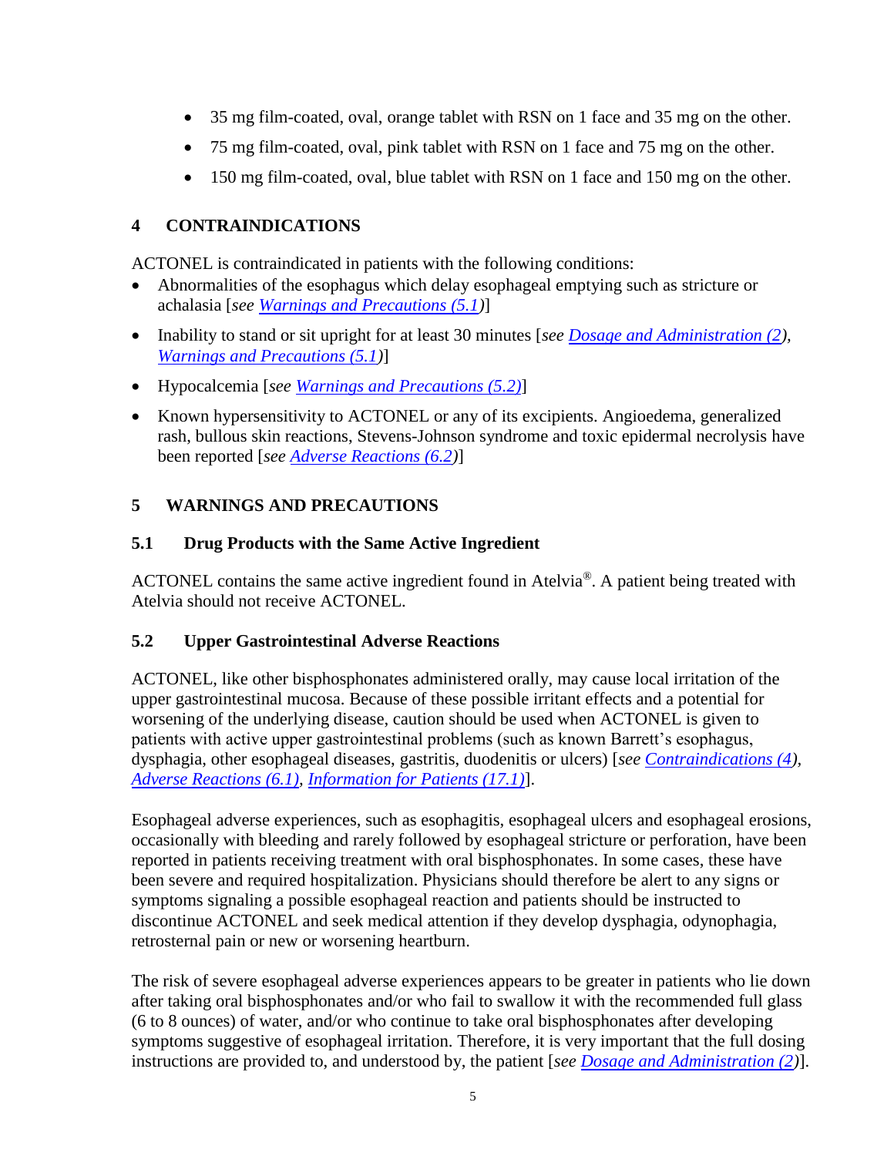- 35 mg film-coated, oval, orange tablet with RSN on 1 face and 35 mg on the other.
- 75 mg film-coated, oval, pink tablet with RSN on 1 face and 75 mg on the other.
- 150 mg film-coated, oval, blue tablet with RSN on 1 face and 150 mg on the other.

# <span id="page-4-0"></span>**4 CONTRAINDICATIONS**

ACTONEL is contraindicated in patients with the following conditions:

- Abnormalities of the esophagus which delay esophageal emptying such as stricture or achalasia [*see [Warnings and Precautions \(5.1\)](#page-4-1)*]
- Inability to stand or sit upright for at least 30 minutes [*see [Dosage and Administration \(2\)](#page-1-6), [Warnings and Precautions \(5.1\)](#page-4-1)*]
- Hypocalcemia [*see [Warnings and Precautions \(5.2\)](#page-4-2)*]
- Known hypersensitivity to ACTONEL or any of its excipients. Angioedema, generalized rash, bullous skin reactions, Stevens-Johnson syndrome and toxic epidermal necrolysis have been reported [*see [Adverse Reactions \(6.2\)](#page-14-0)*]

# <span id="page-4-3"></span>**5 WARNINGS AND PRECAUTIONS**

# <span id="page-4-1"></span>**5.1 Drug Products with the Same Active Ingredient**

ACTONEL contains the same active ingredient found in Atelvia<sup>®</sup>. A patient being treated with Atelvia should not receive ACTONEL.

# <span id="page-4-2"></span>**5.2 Upper Gastrointestinal Adverse Reactions**

ACTONEL, like other bisphosphonates administered orally, may cause local irritation of the upper gastrointestinal mucosa. Because of these possible irritant effects and a potential for worsening of the underlying disease, caution should be used when ACTONEL is given to patients with active upper gastrointestinal problems (such as known Barrett's esophagus, dysphagia, other esophageal diseases, gastritis, duodenitis or ulcers) [*see [Contraindications \(4\)](#page-4-0), [Adverse Reactions \(6.1\),](#page-6-1) [Information for Patients \(17.1\)](#page-34-1)*].

Esophageal adverse experiences, such as esophagitis, esophageal ulcers and esophageal erosions, occasionally with bleeding and rarely followed by esophageal stricture or perforation, have been reported in patients receiving treatment with oral bisphosphonates. In some cases, these have been severe and required hospitalization. Physicians should therefore be alert to any signs or symptoms signaling a possible esophageal reaction and patients should be instructed to discontinue ACTONEL and seek medical attention if they develop dysphagia, odynophagia, retrosternal pain or new or worsening heartburn.

The risk of severe esophageal adverse experiences appears to be greater in patients who lie down after taking oral bisphosphonates and/or who fail to swallow it with the recommended full glass (6 to 8 ounces) of water, and/or who continue to take oral bisphosphonates after developing symptoms suggestive of esophageal irritation. Therefore, it is very important that the full dosing instructions are provided to, and understood by, the patient [*see [Dosage and Administration \(2\)](#page-1-6)*].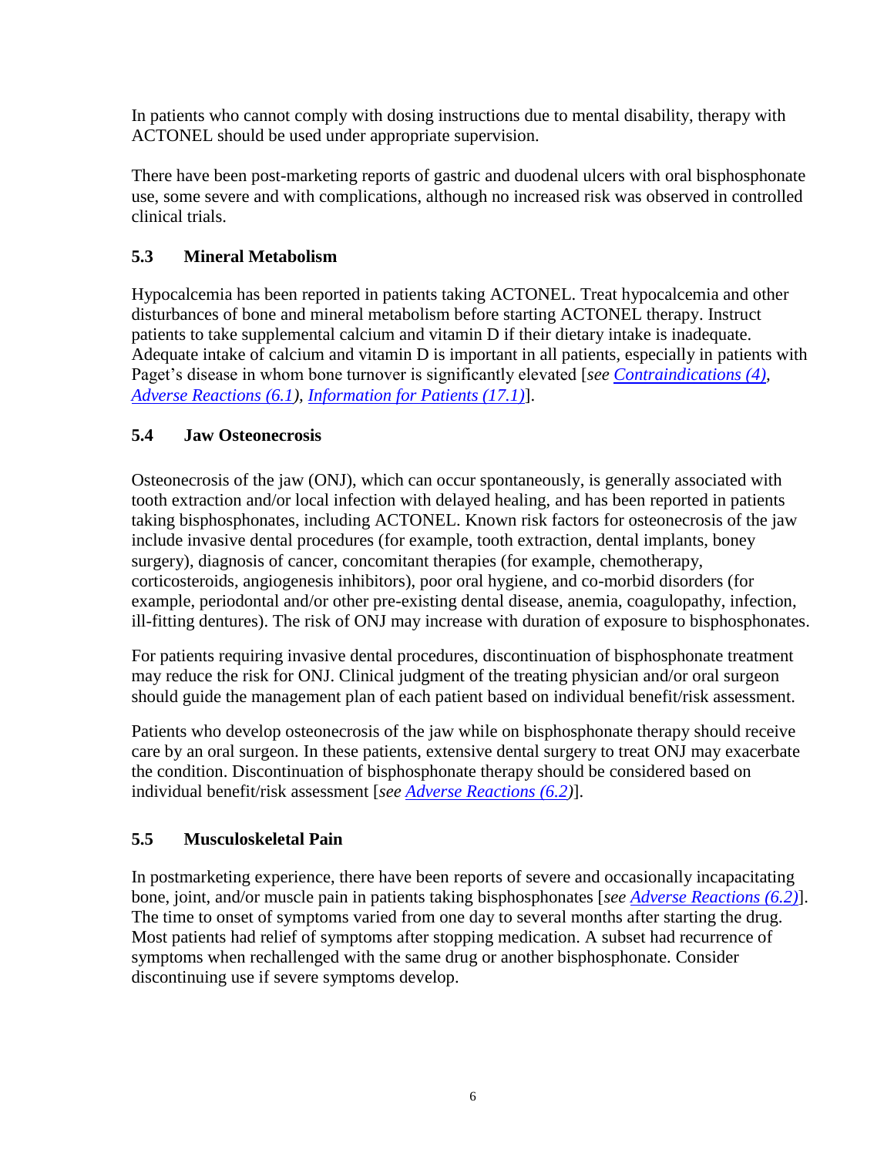In patients who cannot comply with dosing instructions due to mental disability, therapy with ACTONEL should be used under appropriate supervision.

There have been post-marketing reports of gastric and duodenal ulcers with oral bisphosphonate use, some severe and with complications, although no increased risk was observed in controlled clinical trials.

# <span id="page-5-0"></span>**5.3 Mineral Metabolism**

Hypocalcemia has been reported in patients taking ACTONEL. Treat hypocalcemia and other disturbances of bone and mineral metabolism before starting ACTONEL therapy. Instruct patients to take supplemental calcium and vitamin D if their dietary intake is inadequate. Adequate intake of calcium and vitamin D is important in all patients, especially in patients with Paget's disease in whom bone turnover is significantly elevated [*see [Contraindications \(4\),](#page-4-0) [Adverse Reactions \(6.1\)](#page-6-1), [Information for Patients \(17.1\)](#page-34-1)*].

# <span id="page-5-1"></span>**5.4 Jaw Osteonecrosis**

Osteonecrosis of the jaw (ONJ), which can occur spontaneously, is generally associated with tooth extraction and/or local infection with delayed healing, and has been reported in patients taking bisphosphonates, including ACTONEL. Known risk factors for osteonecrosis of the jaw include invasive dental procedures (for example, tooth extraction, dental implants, boney surgery), diagnosis of cancer, concomitant therapies (for example, chemotherapy, corticosteroids, angiogenesis inhibitors), poor oral hygiene, and co-morbid disorders (for example, periodontal and/or other pre-existing dental disease, anemia, coagulopathy, infection, ill-fitting dentures). The risk of ONJ may increase with duration of exposure to bisphosphonates.

For patients requiring invasive dental procedures, discontinuation of bisphosphonate treatment may reduce the risk for ONJ. Clinical judgment of the treating physician and/or oral surgeon should guide the management plan of each patient based on individual benefit/risk assessment.

Patients who develop osteonecrosis of the jaw while on bisphosphonate therapy should receive care by an oral surgeon. In these patients, extensive dental surgery to treat ONJ may exacerbate the condition. Discontinuation of bisphosphonate therapy should be considered based on individual benefit/risk assessment [*see [Adverse Reactions \(6.2\)](#page-14-0)*].

# <span id="page-5-2"></span>**5.5 Musculoskeletal Pain**

In postmarketing experience, there have been reports of severe and occasionally incapacitating bone, joint, and/or muscle pain in patients taking bisphosphonates [*see [Adverse Reactions \(6.2\)](#page-14-0)*]. The time to onset of symptoms varied from one day to several months after starting the drug. Most patients had relief of symptoms after stopping medication. A subset had recurrence of symptoms when rechallenged with the same drug or another bisphosphonate. Consider discontinuing use if severe symptoms develop.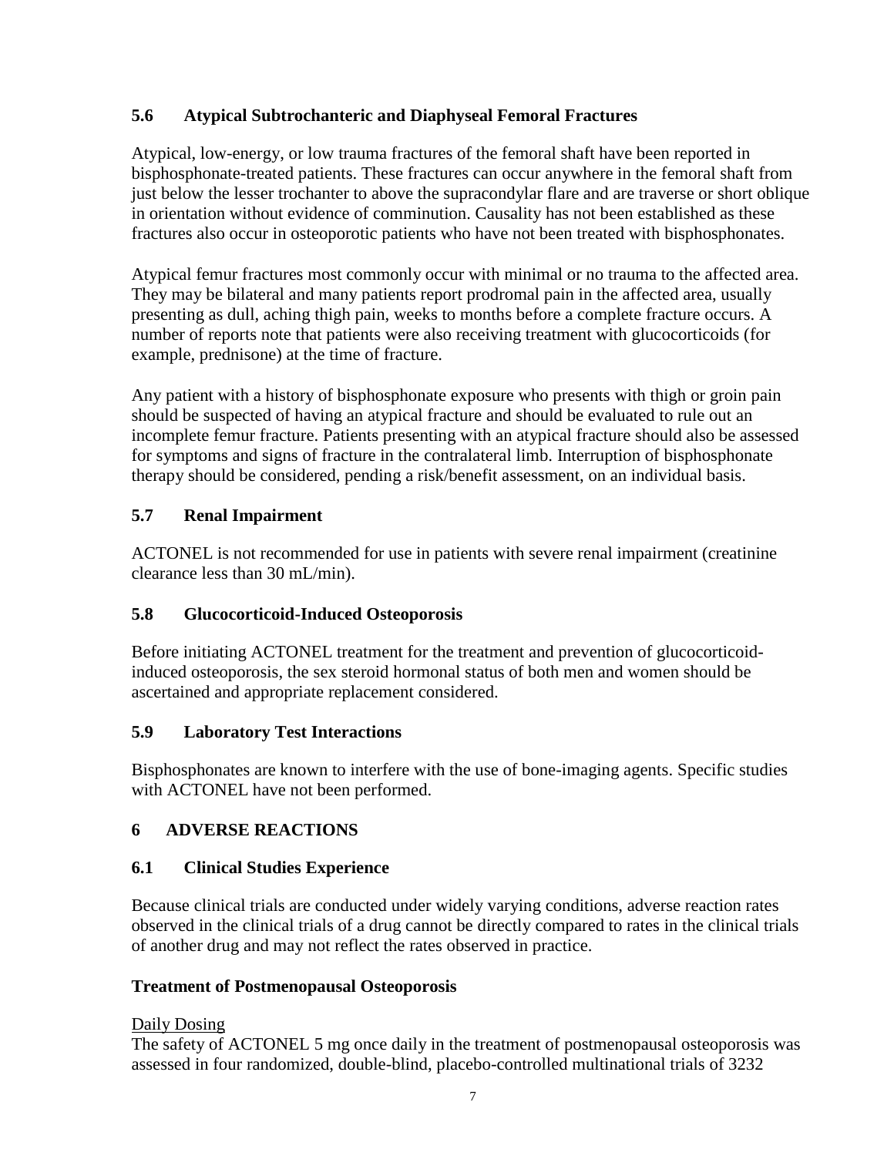# <span id="page-6-0"></span>**5.6 Atypical Subtrochanteric and Diaphyseal Femoral Fractures**

Atypical, low-energy, or low trauma fractures of the femoral shaft have been reported in bisphosphonate-treated patients. These fractures can occur anywhere in the femoral shaft from just below the lesser trochanter to above the supracondylar flare and are traverse or short oblique in orientation without evidence of comminution. Causality has not been established as these fractures also occur in osteoporotic patients who have not been treated with bisphosphonates.

Atypical femur fractures most commonly occur with minimal or no trauma to the affected area. They may be bilateral and many patients report prodromal pain in the affected area, usually presenting as dull, aching thigh pain, weeks to months before a complete fracture occurs. A number of reports note that patients were also receiving treatment with glucocorticoids (for example, prednisone) at the time of fracture.

Any patient with a history of bisphosphonate exposure who presents with thigh or groin pain should be suspected of having an atypical fracture and should be evaluated to rule out an incomplete femur fracture. Patients presenting with an atypical fracture should also be assessed for symptoms and signs of fracture in the contralateral limb. Interruption of bisphosphonate therapy should be considered, pending a risk/benefit assessment, on an individual basis.

# <span id="page-6-2"></span>**5.7 Renal Impairment**

ACTONEL is not recommended for use in patients with severe renal impairment (creatinine clearance less than 30 mL/min).

# <span id="page-6-3"></span>**5.8 Glucocorticoid-Induced Osteoporosis**

Before initiating ACTONEL treatment for the treatment and prevention of glucocorticoidinduced osteoporosis, the sex steroid hormonal status of both men and women should be ascertained and appropriate replacement considered.

# <span id="page-6-4"></span>**5.9 Laboratory Test Interactions**

Bisphosphonates are known to interfere with the use of bone-imaging agents. Specific studies with ACTONEL have not been performed.

# <span id="page-6-5"></span>**6 ADVERSE REACTIONS**

# <span id="page-6-1"></span>**6.1 Clinical Studies Experience**

Because clinical trials are conducted under widely varying conditions, adverse reaction rates observed in the clinical trials of a drug cannot be directly compared to rates in the clinical trials of another drug and may not reflect the rates observed in practice.

# **Treatment of Postmenopausal Osteoporosis**

# Daily Dosing

The safety of ACTONEL 5 mg once daily in the treatment of postmenopausal osteoporosis was assessed in four randomized, double-blind, placebo-controlled multinational trials of 3232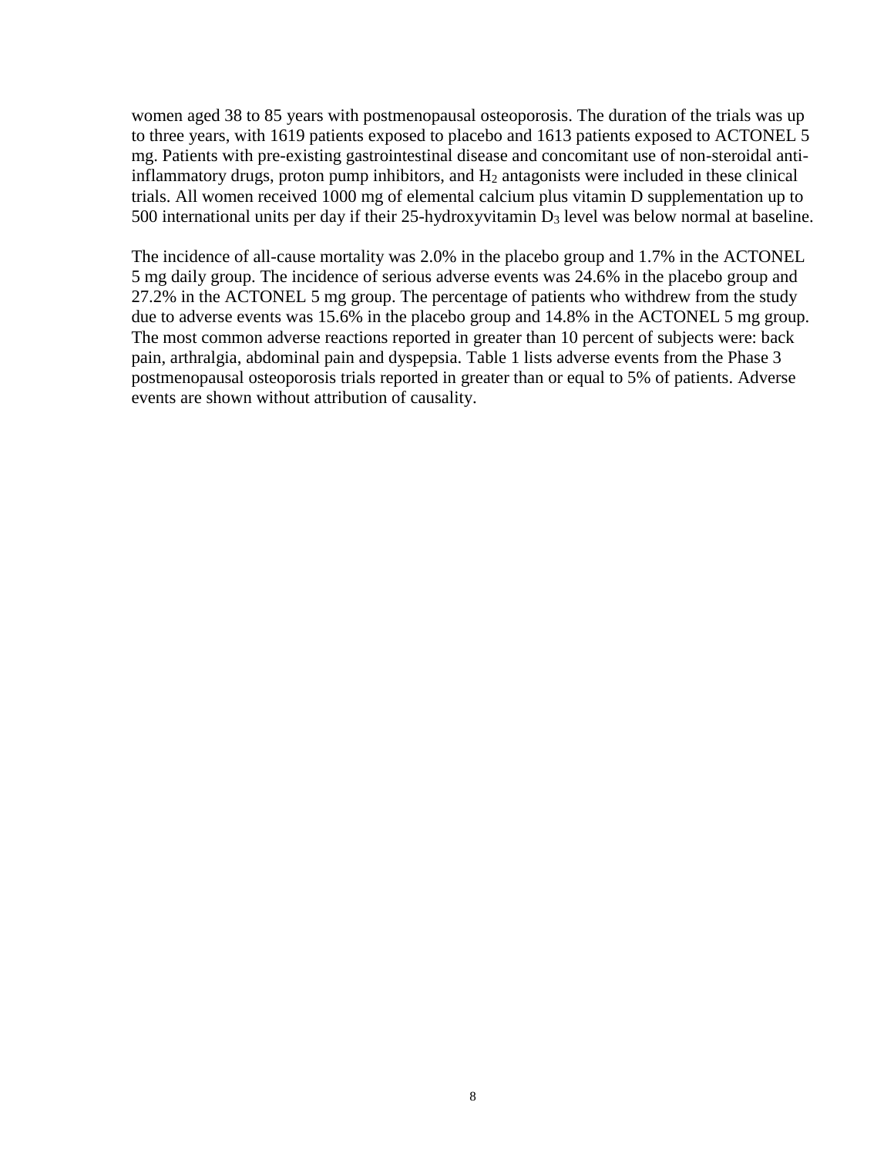women aged 38 to 85 years with postmenopausal osteoporosis. The duration of the trials was up to three years, with 1619 patients exposed to placebo and 1613 patients exposed to ACTONEL 5 mg. Patients with pre-existing gastrointestinal disease and concomitant use of non-steroidal antiinflammatory drugs, proton pump inhibitors, and  $H_2$  antagonists were included in these clinical trials. All women received 1000 mg of elemental calcium plus vitamin D supplementation up to 500 international units per day if their 25-hydroxyvitamin  $D_3$  level was below normal at baseline.

The incidence of all-cause mortality was 2.0% in the placebo group and 1.7% in the ACTONEL 5 mg daily group. The incidence of serious adverse events was 24.6% in the placebo group and 27.2% in the ACTONEL 5 mg group. The percentage of patients who withdrew from the study due to adverse events was 15.6% in the placebo group and 14.8% in the ACTONEL 5 mg group. The most common adverse reactions reported in greater than 10 percent of subjects were: back pain, arthralgia, abdominal pain and dyspepsia. [Table 1](#page-8-0) lists adverse events from the Phase 3 postmenopausal osteoporosis trials reported in greater than or equal to 5% of patients. Adverse events are shown without attribution of causality.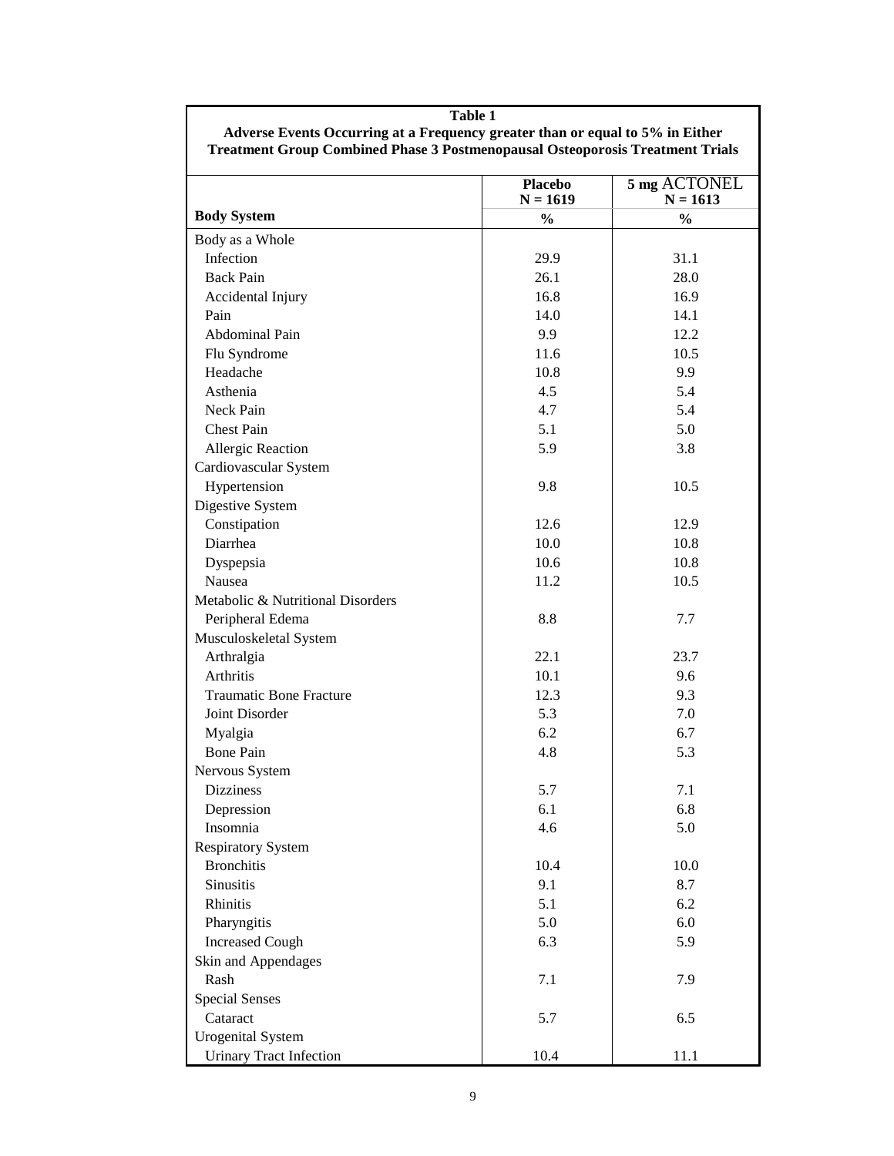<span id="page-8-0"></span>

| Adverse Events Occurring at a Frequency greater than or equal to 5% in Either<br><b>Treatment Group Combined Phase 3 Postmenopausal Osteoporosis Treatment Trials</b> |                              |                            |  |  |  |
|-----------------------------------------------------------------------------------------------------------------------------------------------------------------------|------------------------------|----------------------------|--|--|--|
|                                                                                                                                                                       | <b>Placebo</b><br>$N = 1619$ | 5 mg ACTONEL<br>$N = 1613$ |  |  |  |
| <b>Body System</b>                                                                                                                                                    | $\frac{0}{0}$                | $\frac{0}{0}$              |  |  |  |
| Body as a Whole                                                                                                                                                       |                              |                            |  |  |  |
| Infection                                                                                                                                                             | 29.9                         | 31.1                       |  |  |  |
| <b>Back Pain</b>                                                                                                                                                      | 26.1                         | 28.0                       |  |  |  |
| Accidental Injury                                                                                                                                                     | 16.8                         | 16.9                       |  |  |  |
| Pain                                                                                                                                                                  | 14.0                         | 14.1                       |  |  |  |
| Abdominal Pain                                                                                                                                                        | 9.9                          | 12.2                       |  |  |  |
| Flu Syndrome                                                                                                                                                          | 11.6                         | 10.5                       |  |  |  |
| Headache                                                                                                                                                              | 10.8                         | 9.9                        |  |  |  |
| Asthenia                                                                                                                                                              | 4.5                          | 5.4                        |  |  |  |
| Neck Pain                                                                                                                                                             | 4.7                          | 5.4                        |  |  |  |
| <b>Chest Pain</b>                                                                                                                                                     | 5.1                          | 5.0                        |  |  |  |
| Allergic Reaction                                                                                                                                                     | 5.9                          | 3.8                        |  |  |  |
| Cardiovascular System                                                                                                                                                 |                              |                            |  |  |  |
| Hypertension                                                                                                                                                          | 9.8                          | 10.5                       |  |  |  |
| Digestive System                                                                                                                                                      |                              |                            |  |  |  |
| Constipation                                                                                                                                                          | 12.6                         | 12.9                       |  |  |  |
| Diarrhea                                                                                                                                                              | 10.0                         | 10.8                       |  |  |  |
| Dyspepsia                                                                                                                                                             | 10.6                         | 10.8                       |  |  |  |
| Nausea                                                                                                                                                                | 11.2                         | 10.5                       |  |  |  |
| Metabolic & Nutritional Disorders                                                                                                                                     |                              |                            |  |  |  |
| Peripheral Edema                                                                                                                                                      | 8.8                          | 7.7                        |  |  |  |
| Musculoskeletal System                                                                                                                                                |                              |                            |  |  |  |
| Arthralgia                                                                                                                                                            | 22.1                         | 23.7                       |  |  |  |
| Arthritis                                                                                                                                                             | 10.1                         | 9.6                        |  |  |  |
| <b>Traumatic Bone Fracture</b>                                                                                                                                        | 12.3                         | 9.3                        |  |  |  |
| Joint Disorder                                                                                                                                                        | 5.3                          | 7.0                        |  |  |  |
| Myalgia                                                                                                                                                               | 6.2                          | 6.7                        |  |  |  |
| <b>Bone Pain</b>                                                                                                                                                      | 4.8                          | 5.3                        |  |  |  |
| Nervous System                                                                                                                                                        |                              |                            |  |  |  |
| <b>Dizziness</b>                                                                                                                                                      | 5.7                          | 7.1                        |  |  |  |
| Depression                                                                                                                                                            | 6.1                          | 6.8                        |  |  |  |
| Insomnia                                                                                                                                                              | 4.6                          | 5.0                        |  |  |  |
| <b>Respiratory System</b>                                                                                                                                             |                              |                            |  |  |  |
| <b>Bronchitis</b>                                                                                                                                                     | 10.4                         | 10.0                       |  |  |  |
| <b>Sinusitis</b>                                                                                                                                                      | 9.1                          | 8.7                        |  |  |  |
| Rhinitis                                                                                                                                                              | 5.1                          | 6.2                        |  |  |  |
| Pharyngitis                                                                                                                                                           | 5.0                          | 6.0                        |  |  |  |
|                                                                                                                                                                       | 6.3                          | 5.9                        |  |  |  |
| <b>Increased Cough</b>                                                                                                                                                |                              |                            |  |  |  |
| Skin and Appendages                                                                                                                                                   |                              |                            |  |  |  |
| Rash                                                                                                                                                                  | 7.1                          | 7.9                        |  |  |  |
| <b>Special Senses</b>                                                                                                                                                 |                              |                            |  |  |  |
| Cataract                                                                                                                                                              | 5.7                          | 6.5                        |  |  |  |
| <b>Urogenital System</b>                                                                                                                                              |                              |                            |  |  |  |
| <b>Urinary Tract Infection</b>                                                                                                                                        | 10.4                         | 11.1                       |  |  |  |

**Table 1 Adverse Events Occurring at a Frequency greater than or equal to 5% in Either**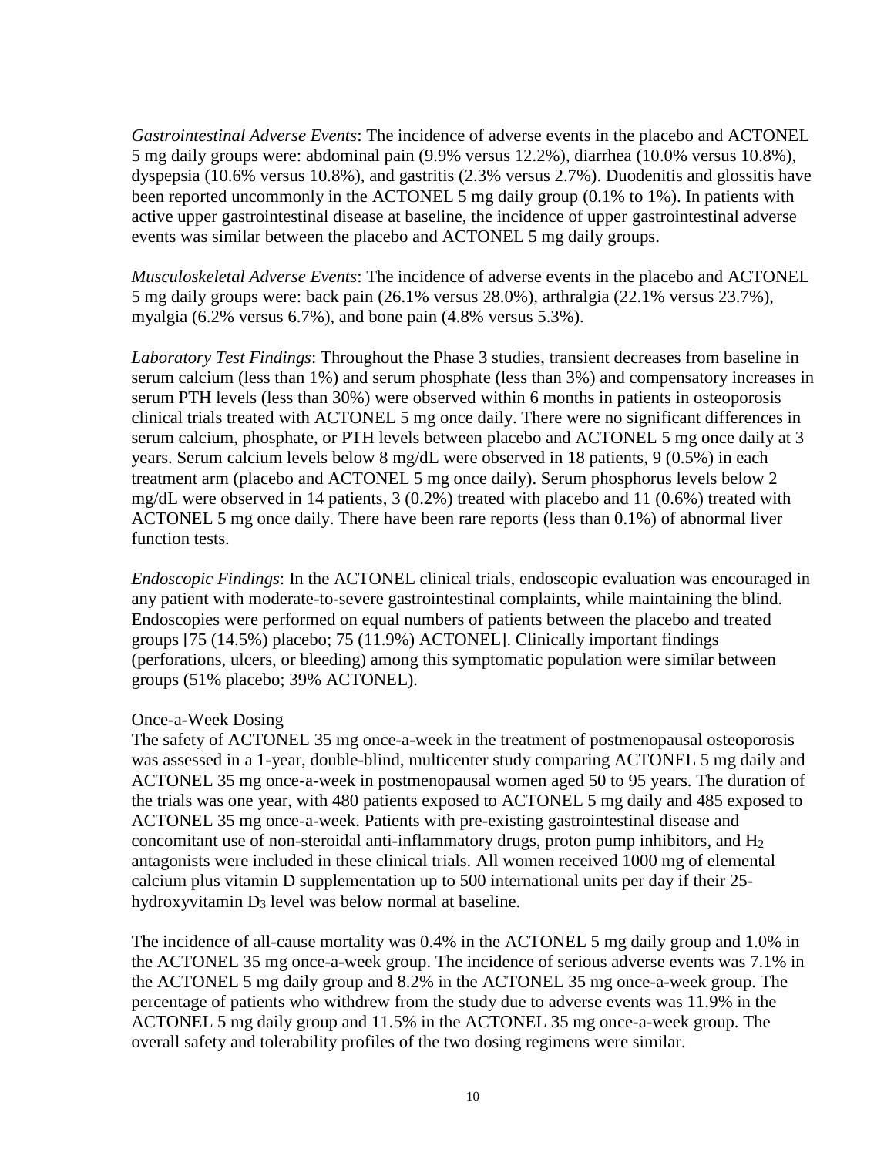*Gastrointestinal Adverse Events*: The incidence of adverse events in the placebo and ACTONEL 5 mg daily groups were: abdominal pain (9.9% versus 12.2%), diarrhea (10.0% versus 10.8%), dyspepsia (10.6% versus 10.8%), and gastritis (2.3% versus 2.7%). Duodenitis and glossitis have been reported uncommonly in the ACTONEL 5 mg daily group (0.1% to 1%). In patients with active upper gastrointestinal disease at baseline, the incidence of upper gastrointestinal adverse events was similar between the placebo and ACTONEL 5 mg daily groups.

*Musculoskeletal Adverse Events*: The incidence of adverse events in the placebo and ACTONEL 5 mg daily groups were: back pain (26.1% versus 28.0%), arthralgia (22.1% versus 23.7%), myalgia (6.2% versus 6.7%), and bone pain (4.8% versus 5.3%).

*Laboratory Test Findings*: Throughout the Phase 3 studies, transient decreases from baseline in serum calcium (less than 1%) and serum phosphate (less than 3%) and compensatory increases in serum PTH levels (less than 30%) were observed within 6 months in patients in osteoporosis clinical trials treated with ACTONEL 5 mg once daily. There were no significant differences in serum calcium, phosphate, or PTH levels between placebo and ACTONEL 5 mg once daily at 3 years. Serum calcium levels below 8 mg/dL were observed in 18 patients, 9 (0.5%) in each treatment arm (placebo and ACTONEL 5 mg once daily). Serum phosphorus levels below 2 mg/dL were observed in 14 patients, 3 (0.2%) treated with placebo and 11 (0.6%) treated with ACTONEL 5 mg once daily. There have been rare reports (less than 0.1%) of abnormal liver function tests.

*Endoscopic Findings*: In the ACTONEL clinical trials, endoscopic evaluation was encouraged in any patient with moderate-to-severe gastrointestinal complaints, while maintaining the blind. Endoscopies were performed on equal numbers of patients between the placebo and treated groups [75 (14.5%) placebo; 75 (11.9%) ACTONEL]. Clinically important findings (perforations, ulcers, or bleeding) among this symptomatic population were similar between groups (51% placebo; 39% ACTONEL).

### Once-a-Week Dosing

The safety of ACTONEL 35 mg once-a-week in the treatment of postmenopausal osteoporosis was assessed in a 1-year, double-blind, multicenter study comparing ACTONEL 5 mg daily and ACTONEL 35 mg once-a-week in postmenopausal women aged 50 to 95 years. The duration of the trials was one year, with 480 patients exposed to ACTONEL 5 mg daily and 485 exposed to ACTONEL 35 mg once-a-week. Patients with pre-existing gastrointestinal disease and concomitant use of non-steroidal anti-inflammatory drugs, proton pump inhibitors, and  $H_2$ antagonists were included in these clinical trials. All women received 1000 mg of elemental calcium plus vitamin D supplementation up to 500 international units per day if their 25 hydroxyvitamin  $D_3$  level was below normal at baseline.

The incidence of all-cause mortality was 0.4% in the ACTONEL 5 mg daily group and 1.0% in the ACTONEL 35 mg once-a-week group. The incidence of serious adverse events was 7.1% in the ACTONEL 5 mg daily group and 8.2% in the ACTONEL 35 mg once-a-week group. The percentage of patients who withdrew from the study due to adverse events was 11.9% in the ACTONEL 5 mg daily group and 11.5% in the ACTONEL 35 mg once-a-week group. The overall safety and tolerability profiles of the two dosing regimens were similar.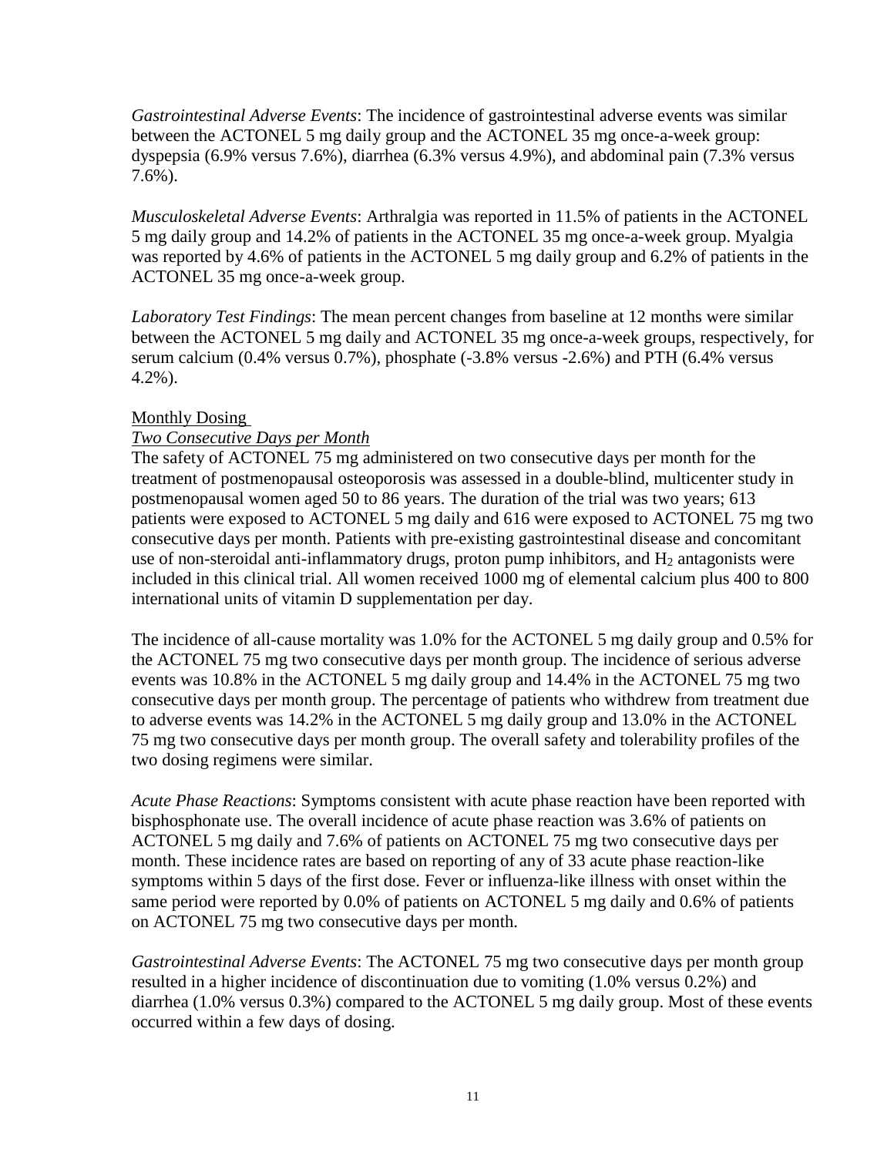*Gastrointestinal Adverse Events*: The incidence of gastrointestinal adverse events was similar between the ACTONEL 5 mg daily group and the ACTONEL 35 mg once-a-week group: dyspepsia (6.9% versus 7.6%), diarrhea (6.3% versus 4.9%), and abdominal pain (7.3% versus 7.6%).

*Musculoskeletal Adverse Events*: Arthralgia was reported in 11.5% of patients in the ACTONEL 5 mg daily group and 14.2% of patients in the ACTONEL 35 mg once-a-week group. Myalgia was reported by 4.6% of patients in the ACTONEL 5 mg daily group and 6.2% of patients in the ACTONEL 35 mg once-a-week group.

*Laboratory Test Findings*: The mean percent changes from baseline at 12 months were similar between the ACTONEL 5 mg daily and ACTONEL 35 mg once-a-week groups, respectively, for serum calcium (0.4% versus 0.7%), phosphate (-3.8% versus -2.6%) and PTH (6.4% versus 4.2%).

### Monthly Dosing

### *Two Consecutive Days per Month*

The safety of ACTONEL 75 mg administered on two consecutive days per month for the treatment of postmenopausal osteoporosis was assessed in a double-blind, multicenter study in postmenopausal women aged 50 to 86 years. The duration of the trial was two years; 613 patients were exposed to ACTONEL 5 mg daily and 616 were exposed to ACTONEL 75 mg two consecutive days per month. Patients with pre-existing gastrointestinal disease and concomitant use of non-steroidal anti-inflammatory drugs, proton pump inhibitors, and  $H_2$  antagonists were included in this clinical trial. All women received 1000 mg of elemental calcium plus 400 to 800 international units of vitamin D supplementation per day.

The incidence of all-cause mortality was 1.0% for the ACTONEL 5 mg daily group and 0.5% for the ACTONEL 75 mg two consecutive days per month group. The incidence of serious adverse events was 10.8% in the ACTONEL 5 mg daily group and 14.4% in the ACTONEL 75 mg two consecutive days per month group. The percentage of patients who withdrew from treatment due to adverse events was 14.2% in the ACTONEL 5 mg daily group and 13.0% in the ACTONEL 75 mg two consecutive days per month group. The overall safety and tolerability profiles of the two dosing regimens were similar.

*Acute Phase Reactions*: Symptoms consistent with acute phase reaction have been reported with bisphosphonate use. The overall incidence of acute phase reaction was 3.6% of patients on ACTONEL 5 mg daily and 7.6% of patients on ACTONEL 75 mg two consecutive days per month. These incidence rates are based on reporting of any of 33 acute phase reaction-like symptoms within 5 days of the first dose. Fever or influenza-like illness with onset within the same period were reported by 0.0% of patients on ACTONEL 5 mg daily and 0.6% of patients on ACTONEL 75 mg two consecutive days per month.

*Gastrointestinal Adverse Events*: The ACTONEL 75 mg two consecutive days per month group resulted in a higher incidence of discontinuation due to vomiting (1.0% versus 0.2%) and diarrhea (1.0% versus 0.3%) compared to the ACTONEL 5 mg daily group. Most of these events occurred within a few days of dosing.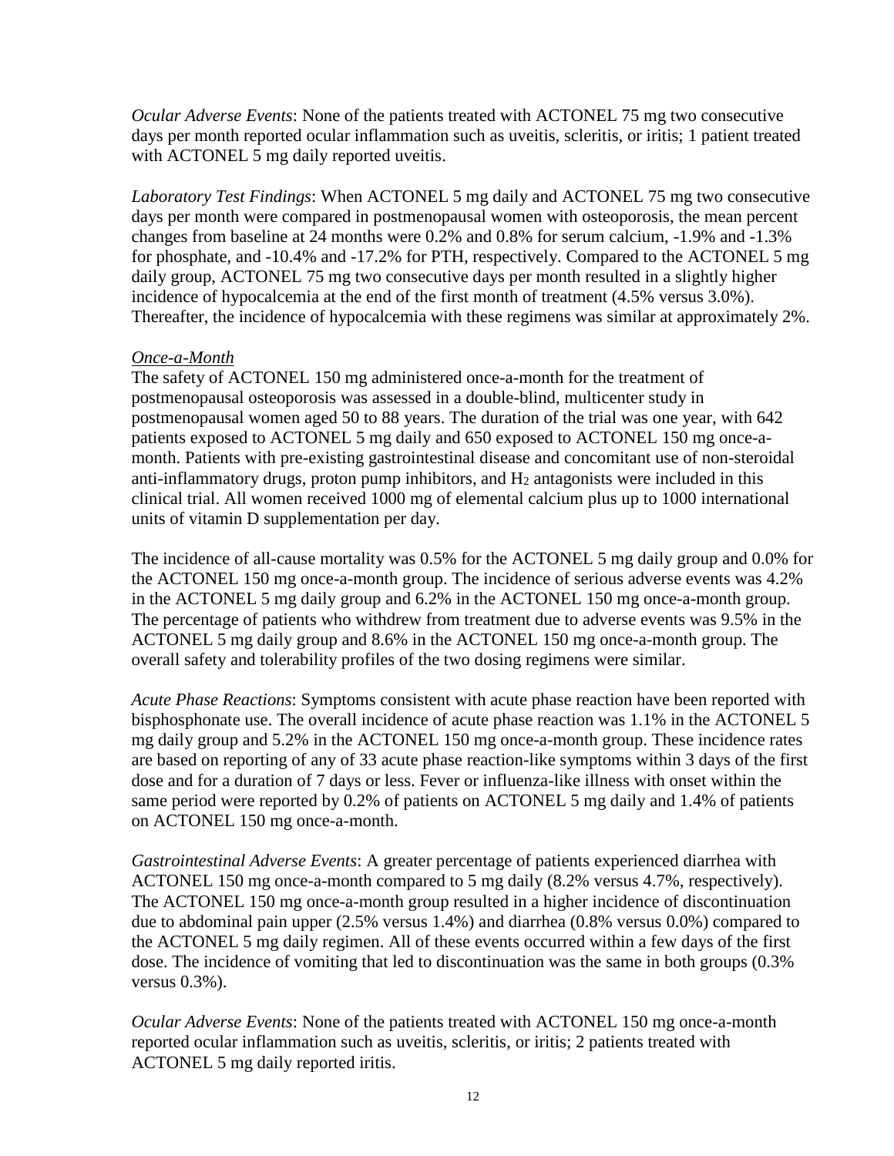*Ocular Adverse Events*: None of the patients treated with ACTONEL 75 mg two consecutive days per month reported ocular inflammation such as uveitis, scleritis, or iritis; 1 patient treated with ACTONEL 5 mg daily reported uveitis.

*Laboratory Test Findings*: When ACTONEL 5 mg daily and ACTONEL 75 mg two consecutive days per month were compared in postmenopausal women with osteoporosis, the mean percent changes from baseline at 24 months were 0.2% and 0.8% for serum calcium, -1.9% and -1.3% for phosphate, and -10.4% and -17.2% for PTH, respectively. Compared to the ACTONEL 5 mg daily group, ACTONEL 75 mg two consecutive days per month resulted in a slightly higher incidence of hypocalcemia at the end of the first month of treatment (4.5% versus 3.0%). Thereafter, the incidence of hypocalcemia with these regimens was similar at approximately 2%.

### *Once-a-Month*

The safety of ACTONEL 150 mg administered once-a-month for the treatment of postmenopausal osteoporosis was assessed in a double-blind, multicenter study in postmenopausal women aged 50 to 88 years. The duration of the trial was one year, with 642 patients exposed to ACTONEL 5 mg daily and 650 exposed to ACTONEL 150 mg once-amonth. Patients with pre-existing gastrointestinal disease and concomitant use of non-steroidal anti-inflammatory drugs, proton pump inhibitors, and  $H_2$  antagonists were included in this clinical trial. All women received 1000 mg of elemental calcium plus up to 1000 international units of vitamin D supplementation per day.

The incidence of all-cause mortality was 0.5% for the ACTONEL 5 mg daily group and 0.0% for the ACTONEL 150 mg once-a-month group. The incidence of serious adverse events was 4.2% in the ACTONEL 5 mg daily group and 6.2% in the ACTONEL 150 mg once-a-month group. The percentage of patients who withdrew from treatment due to adverse events was 9.5% in the ACTONEL 5 mg daily group and 8.6% in the ACTONEL 150 mg once-a-month group. The overall safety and tolerability profiles of the two dosing regimens were similar.

*Acute Phase Reactions*: Symptoms consistent with acute phase reaction have been reported with bisphosphonate use. The overall incidence of acute phase reaction was 1.1% in the ACTONEL 5 mg daily group and 5.2% in the ACTONEL 150 mg once-a-month group. These incidence rates are based on reporting of any of 33 acute phase reaction-like symptoms within 3 days of the first dose and for a duration of 7 days or less. Fever or influenza-like illness with onset within the same period were reported by 0.2% of patients on ACTONEL 5 mg daily and 1.4% of patients on ACTONEL 150 mg once-a-month.

*Gastrointestinal Adverse Events*: A greater percentage of patients experienced diarrhea with ACTONEL 150 mg once-a-month compared to 5 mg daily (8.2% versus 4.7%, respectively). The ACTONEL 150 mg once-a-month group resulted in a higher incidence of discontinuation due to abdominal pain upper (2.5% versus 1.4%) and diarrhea (0.8% versus 0.0%) compared to the ACTONEL 5 mg daily regimen. All of these events occurred within a few days of the first dose. The incidence of vomiting that led to discontinuation was the same in both groups (0.3% versus 0.3%).

*Ocular Adverse Events*: None of the patients treated with ACTONEL 150 mg once-a-month reported ocular inflammation such as uveitis, scleritis, or iritis; 2 patients treated with ACTONEL 5 mg daily reported iritis.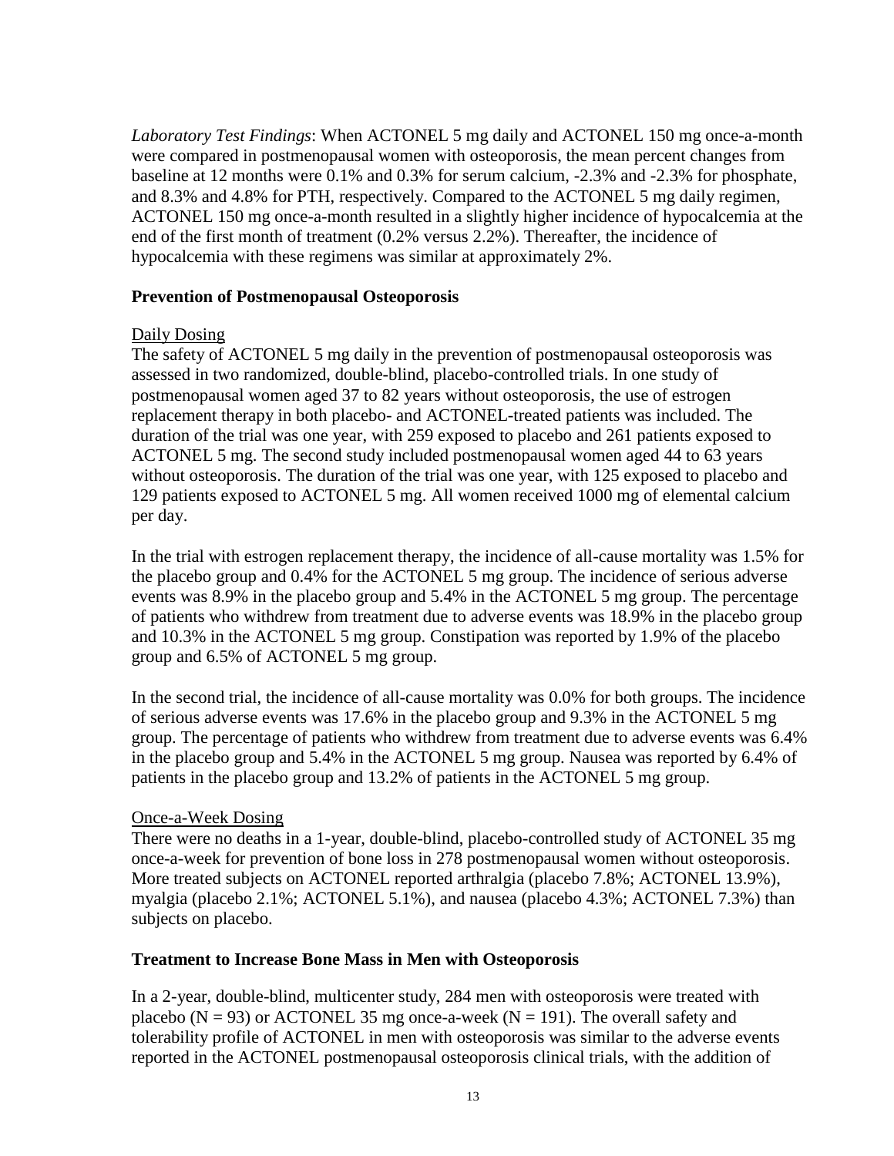*Laboratory Test Findings*: When ACTONEL 5 mg daily and ACTONEL 150 mg once-a-month were compared in postmenopausal women with osteoporosis, the mean percent changes from baseline at 12 months were 0.1% and 0.3% for serum calcium, -2.3% and -2.3% for phosphate, and 8.3% and 4.8% for PTH, respectively. Compared to the ACTONEL 5 mg daily regimen, ACTONEL 150 mg once-a-month resulted in a slightly higher incidence of hypocalcemia at the end of the first month of treatment (0.2% versus 2.2%). Thereafter, the incidence of hypocalcemia with these regimens was similar at approximately 2%.

### **Prevention of Postmenopausal Osteoporosis**

### Daily Dosing

The safety of ACTONEL 5 mg daily in the prevention of postmenopausal osteoporosis was assessed in two randomized, double-blind, placebo-controlled trials. In one study of postmenopausal women aged 37 to 82 years without osteoporosis, the use of estrogen replacement therapy in both placebo- and ACTONEL-treated patients was included. The duration of the trial was one year, with 259 exposed to placebo and 261 patients exposed to ACTONEL 5 mg. The second study included postmenopausal women aged 44 to 63 years without osteoporosis. The duration of the trial was one year, with 125 exposed to placebo and 129 patients exposed to ACTONEL 5 mg. All women received 1000 mg of elemental calcium per day.

In the trial with estrogen replacement therapy, the incidence of all-cause mortality was 1.5% for the placebo group and 0.4% for the ACTONEL 5 mg group. The incidence of serious adverse events was 8.9% in the placebo group and 5.4% in the ACTONEL 5 mg group. The percentage of patients who withdrew from treatment due to adverse events was 18.9% in the placebo group and 10.3% in the ACTONEL 5 mg group. Constipation was reported by 1.9% of the placebo group and 6.5% of ACTONEL 5 mg group.

In the second trial, the incidence of all-cause mortality was 0.0% for both groups. The incidence of serious adverse events was 17.6% in the placebo group and 9.3% in the ACTONEL 5 mg group. The percentage of patients who withdrew from treatment due to adverse events was 6.4% in the placebo group and 5.4% in the ACTONEL 5 mg group. Nausea was reported by 6.4% of patients in the placebo group and 13.2% of patients in the ACTONEL 5 mg group.

### Once-a-Week Dosing

There were no deaths in a 1-year, double-blind, placebo-controlled study of ACTONEL 35 mg once-a-week for prevention of bone loss in 278 postmenopausal women without osteoporosis. More treated subjects on ACTONEL reported arthralgia (placebo 7.8%; ACTONEL 13.9%), myalgia (placebo 2.1%; ACTONEL 5.1%), and nausea (placebo 4.3%; ACTONEL 7.3%) than subjects on placebo.

### **Treatment to Increase Bone Mass in Men with Osteoporosis**

In a 2-year, double-blind, multicenter study, 284 men with osteoporosis were treated with placebo ( $N = 93$ ) or ACTONEL 35 mg once-a-week ( $N = 191$ ). The overall safety and tolerability profile of ACTONEL in men with osteoporosis was similar to the adverse events reported in the ACTONEL postmenopausal osteoporosis clinical trials, with the addition of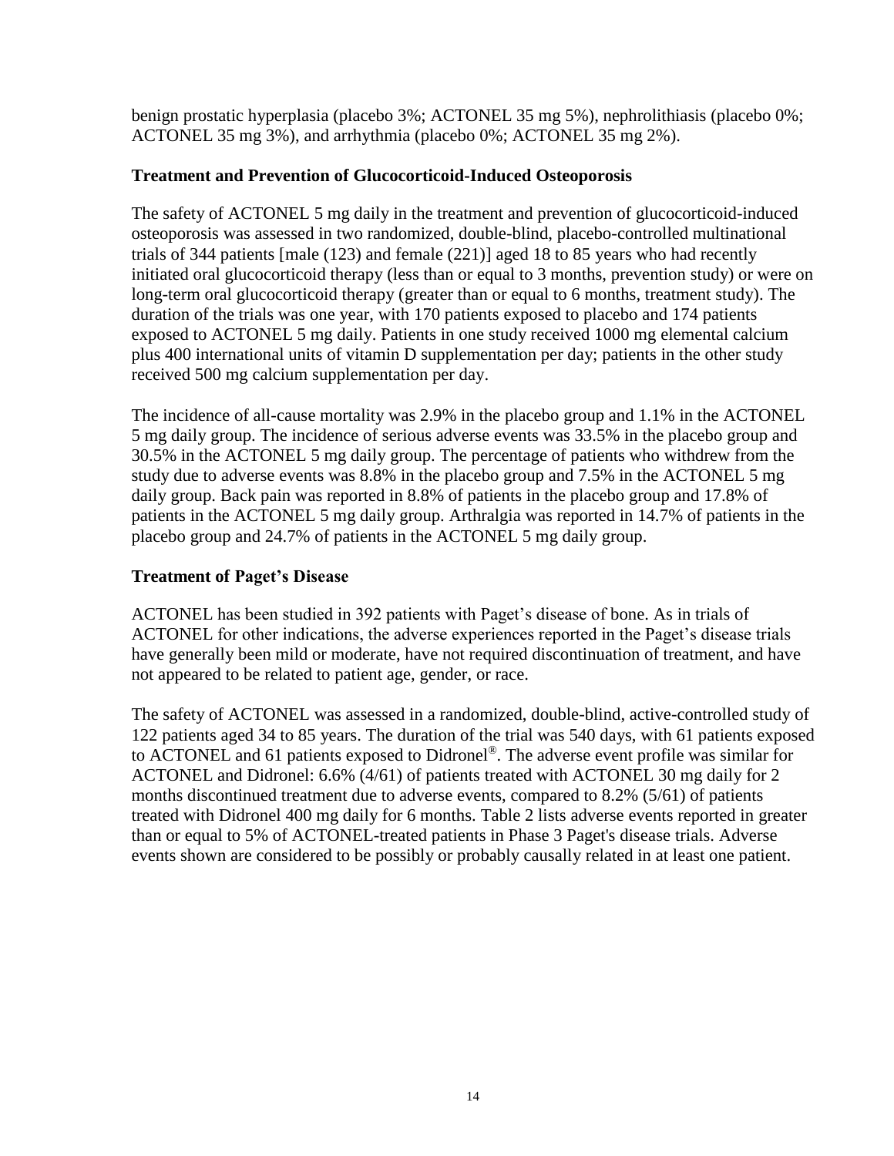benign prostatic hyperplasia (placebo 3%; ACTONEL 35 mg 5%), nephrolithiasis (placebo 0%; ACTONEL 35 mg 3%), and arrhythmia (placebo 0%; ACTONEL 35 mg 2%).

### **Treatment and Prevention of Glucocorticoid-Induced Osteoporosis**

The safety of ACTONEL 5 mg daily in the treatment and prevention of glucocorticoid-induced osteoporosis was assessed in two randomized, double-blind, placebo-controlled multinational trials of 344 patients [male (123) and female (221)] aged 18 to 85 years who had recently initiated oral glucocorticoid therapy (less than or equal to 3 months, prevention study) or were on long-term oral glucocorticoid therapy (greater than or equal to 6 months, treatment study). The duration of the trials was one year, with 170 patients exposed to placebo and 174 patients exposed to ACTONEL 5 mg daily. Patients in one study received 1000 mg elemental calcium plus 400 international units of vitamin D supplementation per day; patients in the other study received 500 mg calcium supplementation per day.

The incidence of all-cause mortality was 2.9% in the placebo group and 1.1% in the ACTONEL 5 mg daily group. The incidence of serious adverse events was 33.5% in the placebo group and 30.5% in the ACTONEL 5 mg daily group. The percentage of patients who withdrew from the study due to adverse events was 8.8% in the placebo group and 7.5% in the ACTONEL 5 mg daily group. Back pain was reported in 8.8% of patients in the placebo group and 17.8% of patients in the ACTONEL 5 mg daily group. Arthralgia was reported in 14.7% of patients in the placebo group and 24.7% of patients in the ACTONEL 5 mg daily group.

## **Treatment of Paget's Disease**

ACTONEL has been studied in 392 patients with Paget's disease of bone. As in trials of ACTONEL for other indications, the adverse experiences reported in the Paget's disease trials have generally been mild or moderate, have not required discontinuation of treatment, and have not appeared to be related to patient age, gender, or race.

The safety of ACTONEL was assessed in a randomized, double-blind, active-controlled study of 122 patients aged 34 to 85 years. The duration of the trial was 540 days, with 61 patients exposed to ACTONEL and 61 patients exposed to Didronel®. The adverse event profile was similar for ACTONEL and Didronel: 6.6% (4/61) of patients treated with ACTONEL 30 mg daily for 2 months discontinued treatment due to adverse events, compared to 8.2% (5/61) of patients treated with Didronel 400 mg daily for 6 months. [Table 2](#page-14-1) lists adverse events reported in greater than or equal to 5% of ACTONEL-treated patients in Phase 3 Paget's disease trials. Adverse events shown are considered to be possibly or probably causally related in at least one patient.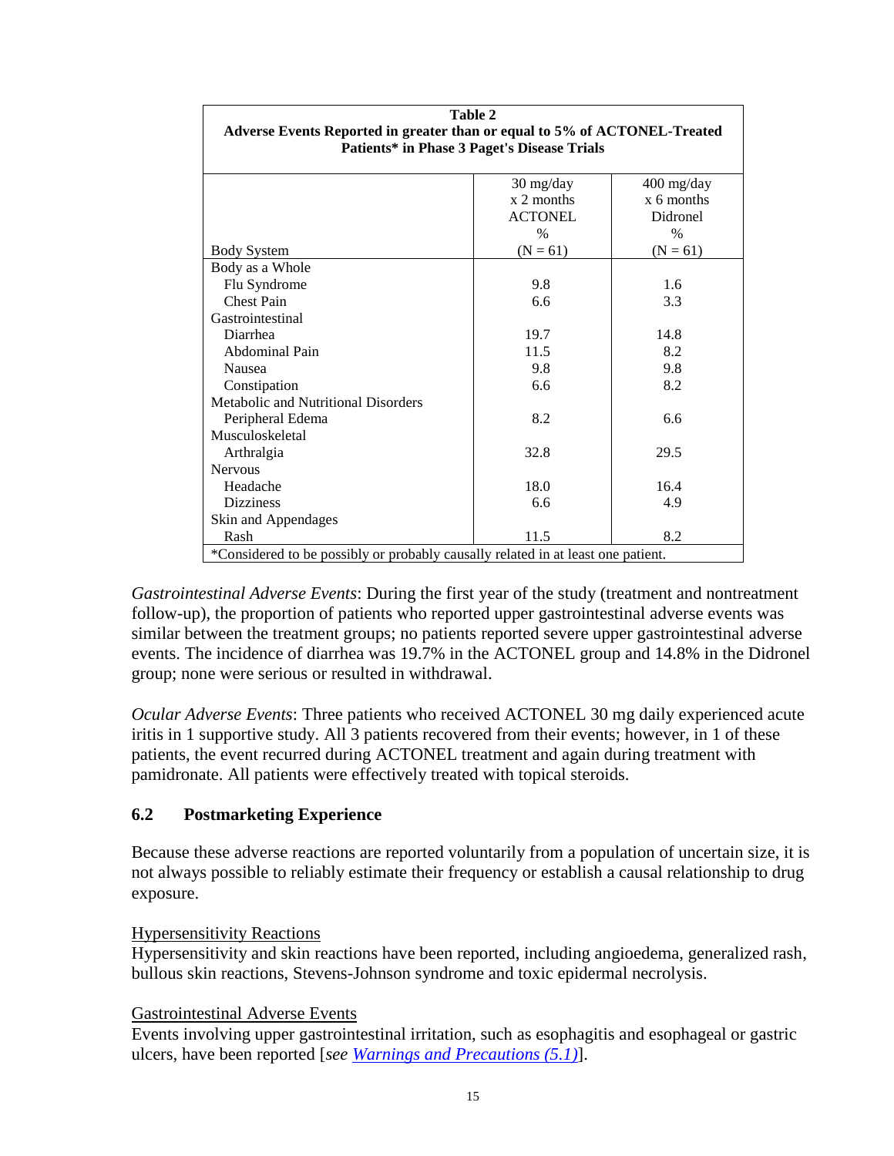<span id="page-14-1"></span>

| Table 2                                                                                                                  |                                             |                                        |  |  |  |  |
|--------------------------------------------------------------------------------------------------------------------------|---------------------------------------------|----------------------------------------|--|--|--|--|
| Adverse Events Reported in greater than or equal to 5% of ACTONEL-Treated<br>Patients* in Phase 3 Paget's Disease Trials |                                             |                                        |  |  |  |  |
|                                                                                                                          | $30$ mg/day<br>x 2 months<br><b>ACTONEL</b> | $400$ mg/day<br>x 6 months<br>Didronel |  |  |  |  |
|                                                                                                                          | $\frac{0}{0}$                               | $\%$                                   |  |  |  |  |
| <b>Body System</b>                                                                                                       | $(N = 61)$                                  | $(N = 61)$                             |  |  |  |  |
| Body as a Whole                                                                                                          |                                             |                                        |  |  |  |  |
| Flu Syndrome                                                                                                             | 9.8                                         | 1.6                                    |  |  |  |  |
| <b>Chest Pain</b>                                                                                                        | 6.6                                         | 3.3                                    |  |  |  |  |
| Gastrointestinal                                                                                                         |                                             |                                        |  |  |  |  |
| Diarrhea                                                                                                                 | 19.7                                        | 14.8                                   |  |  |  |  |
| Abdominal Pain                                                                                                           | 11.5                                        | 8.2                                    |  |  |  |  |
| Nausea                                                                                                                   | 9.8                                         | 9.8                                    |  |  |  |  |
| Constipation                                                                                                             | 6.6                                         | 8.2                                    |  |  |  |  |
| Metabolic and Nutritional Disorders                                                                                      |                                             |                                        |  |  |  |  |
| Peripheral Edema                                                                                                         | 8.2                                         | 6.6                                    |  |  |  |  |
| Musculoskeletal                                                                                                          |                                             |                                        |  |  |  |  |
| Arthralgia                                                                                                               | 32.8                                        | 29.5                                   |  |  |  |  |
| <b>Nervous</b>                                                                                                           |                                             |                                        |  |  |  |  |
| Headache                                                                                                                 | 18.0                                        | 16.4                                   |  |  |  |  |
| <b>Dizziness</b>                                                                                                         | 6.6                                         | 4.9                                    |  |  |  |  |
| Skin and Appendages                                                                                                      |                                             |                                        |  |  |  |  |
| Rash<br>11.5<br>8.2                                                                                                      |                                             |                                        |  |  |  |  |
| *Considered to be possibly or probably causally related in at least one patient.                                         |                                             |                                        |  |  |  |  |

*Gastrointestinal Adverse Events*: During the first year of the study (treatment and nontreatment follow-up), the proportion of patients who reported upper gastrointestinal adverse events was similar between the treatment groups; no patients reported severe upper gastrointestinal adverse events. The incidence of diarrhea was 19.7% in the ACTONEL group and 14.8% in the Didronel group; none were serious or resulted in withdrawal.

*Ocular Adverse Events*: Three patients who received ACTONEL 30 mg daily experienced acute iritis in 1 supportive study. All 3 patients recovered from their events; however, in 1 of these patients, the event recurred during ACTONEL treatment and again during treatment with pamidronate. All patients were effectively treated with topical steroids.

## <span id="page-14-0"></span>**6.2 Postmarketing Experience**

Because these adverse reactions are reported voluntarily from a population of uncertain size, it is not always possible to reliably estimate their frequency or establish a causal relationship to drug exposure.

### Hypersensitivity Reactions

Hypersensitivity and skin reactions have been reported, including angioedema, generalized rash, bullous skin reactions, Stevens-Johnson syndrome and toxic epidermal necrolysis.

### Gastrointestinal Adverse Events

Events involving upper gastrointestinal irritation, such as esophagitis and esophageal or gastric ulcers, have been reported [*see Warnings and [Precautions \(5.1\)](#page-4-1)*].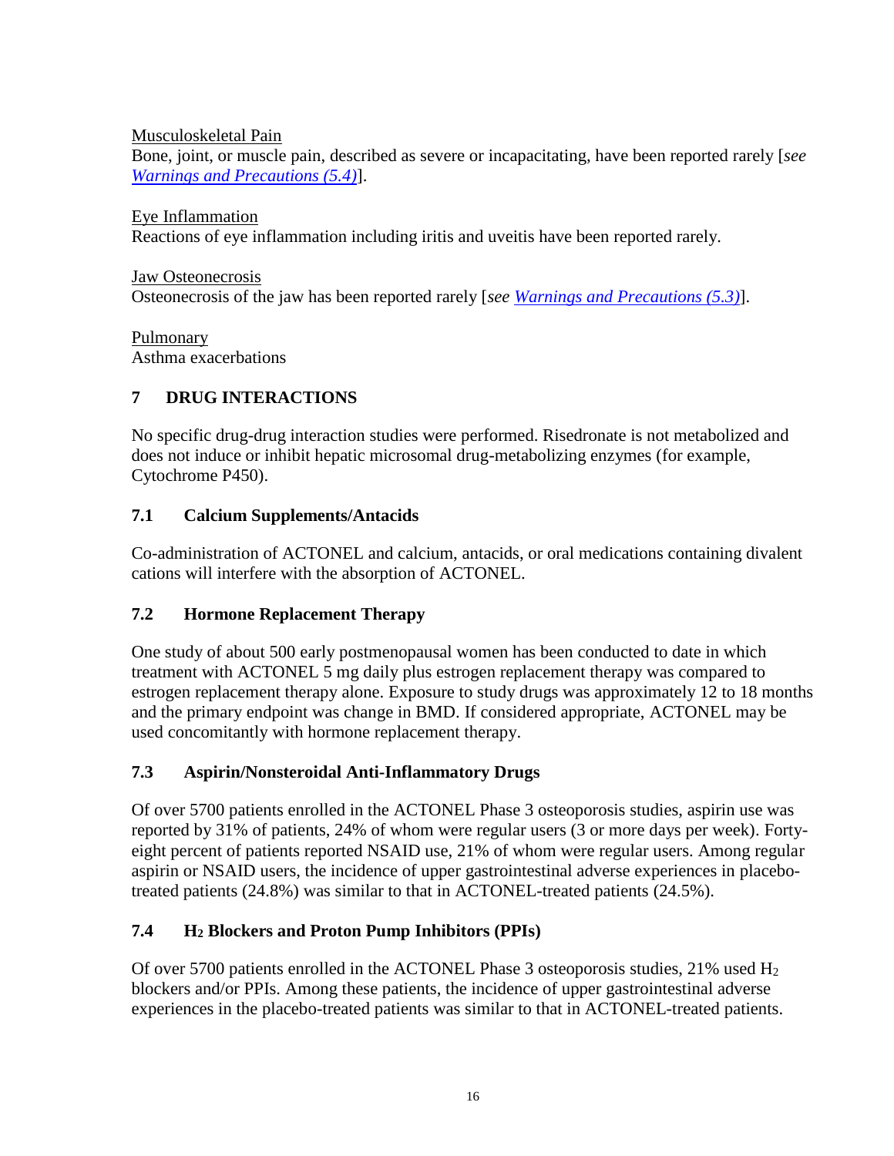Musculoskeletal Pain

Bone, joint, or muscle pain, described as severe or incapacitating, have been reported rarely [*see Warnings and [Precautions \(5.4\)](#page-5-2)*].

Eye Inflammation Reactions of eye inflammation including iritis and uveitis have been reported rarely.

Jaw Osteonecrosis Osteonecrosis of the jaw has been reported rarely [*see Warnings and [Precautions \(5.3\)](#page-5-1)*].

Pulmonary Asthma exacerbations

# <span id="page-15-1"></span>**7 DRUG INTERACTIONS**

No specific drug-drug interaction studies were performed. Risedronate is not metabolized and does not induce or inhibit hepatic microsomal drug-metabolizing enzymes (for example, Cytochrome P450).

# <span id="page-15-0"></span>**7.1 Calcium Supplements/Antacids**

Co-administration of ACTONEL and calcium, antacids, or oral medications containing divalent cations will interfere with the absorption of ACTONEL.

# <span id="page-15-2"></span>**7.2 Hormone Replacement Therapy**

One study of about 500 early postmenopausal women has been conducted to date in which treatment with ACTONEL 5 mg daily plus estrogen replacement therapy was compared to estrogen replacement therapy alone. Exposure to study drugs was approximately 12 to 18 months and the primary endpoint was change in BMD. If considered appropriate, ACTONEL may be used concomitantly with hormone replacement therapy.

# <span id="page-15-3"></span>**7.3 Aspirin/Nonsteroidal Anti-Inflammatory Drugs**

Of over 5700 patients enrolled in the ACTONEL Phase 3 osteoporosis studies, aspirin use was reported by 31% of patients, 24% of whom were regular users (3 or more days per week). Fortyeight percent of patients reported NSAID use, 21% of whom were regular users. Among regular aspirin or NSAID users, the incidence of upper gastrointestinal adverse experiences in placebotreated patients (24.8%) was similar to that in ACTONEL-treated patients (24.5%).

# <span id="page-15-4"></span>**7.4 H<sup>2</sup> Blockers and Proton Pump Inhibitors (PPIs)**

Of over 5700 patients enrolled in the ACTONEL Phase 3 osteoporosis studies, 21% used H<sup>2</sup> blockers and/or PPIs. Among these patients, the incidence of upper gastrointestinal adverse experiences in the placebo-treated patients was similar to that in ACTONEL-treated patients.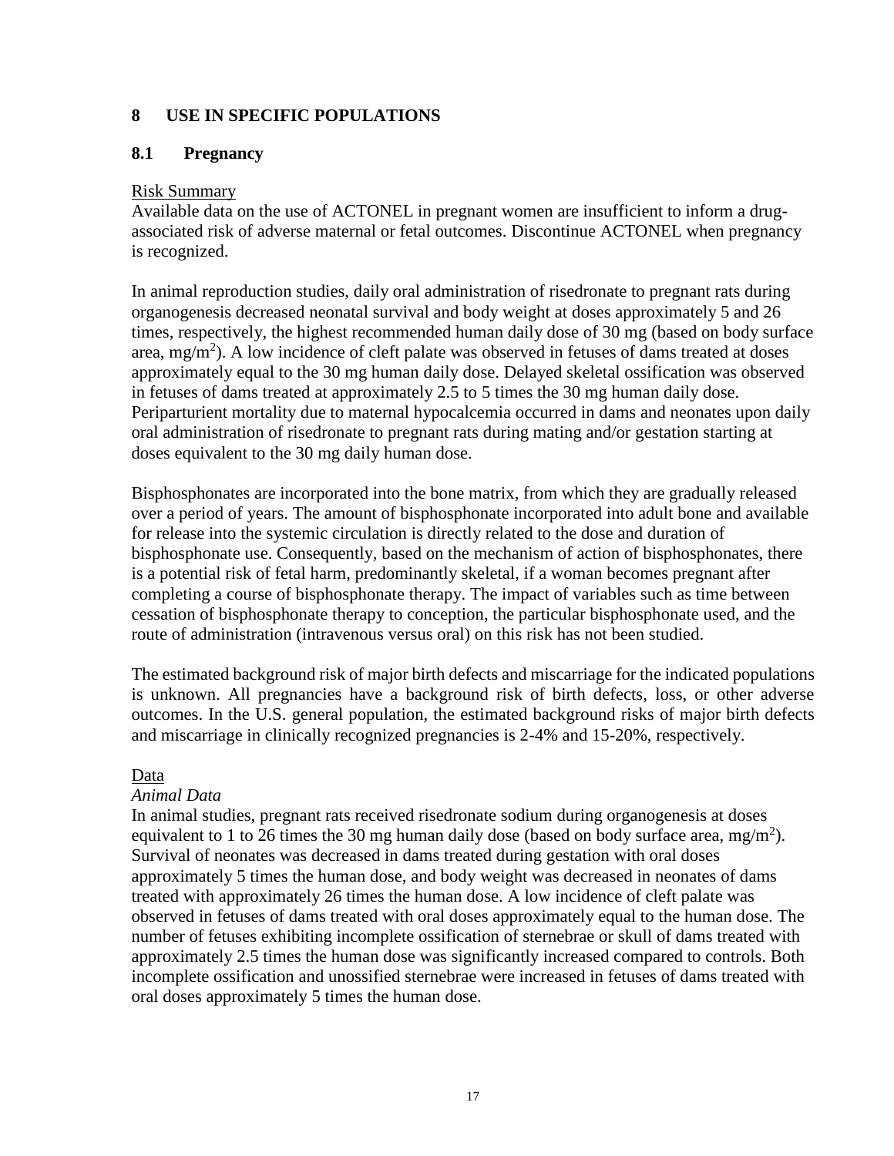## <span id="page-16-0"></span>**8 USE IN SPECIFIC POPULATIONS**

## <span id="page-16-1"></span>**8.1 Pregnancy**

### Risk Summary

Available data on the use of ACTONEL in pregnant women are insufficient to inform a drugassociated risk of adverse maternal or fetal outcomes. Discontinue ACTONEL when pregnancy is recognized.

In animal reproduction studies, daily oral administration of risedronate to pregnant rats during organogenesis decreased neonatal survival and body weight at doses approximately 5 and 26 times, respectively, the highest recommended human daily dose of 30 mg (based on body surface area, mg/m<sup>2</sup>). A low incidence of cleft palate was observed in fetuses of dams treated at doses approximately equal to the 30 mg human daily dose. Delayed skeletal ossification was observed in fetuses of dams treated at approximately 2.5 to 5 times the 30 mg human daily dose. Periparturient mortality due to maternal hypocalcemia occurred in dams and neonates upon daily oral administration of risedronate to pregnant rats during mating and/or gestation starting at doses equivalent to the 30 mg daily human dose.

Bisphosphonates are incorporated into the bone matrix, from which they are gradually released over a period of years. The amount of bisphosphonate incorporated into adult bone and available for release into the systemic circulation is directly related to the dose and duration of bisphosphonate use. Consequently, based on the mechanism of action of bisphosphonates, there is a potential risk of fetal harm, predominantly skeletal, if a woman becomes pregnant after completing a course of bisphosphonate therapy. The impact of variables such as time between cessation of bisphosphonate therapy to conception, the particular bisphosphonate used, and the route of administration (intravenous versus oral) on this risk has not been studied.

The estimated background risk of major birth defects and miscarriage for the indicated populations is unknown. All pregnancies have a background risk of birth defects, loss, or other adverse outcomes. In the U.S. general population, the estimated background risks of major birth defects and miscarriage in clinically recognized pregnancies is 2-4% and 15-20%, respectively.

### Data

### *Animal Data*

In animal studies, pregnant rats received risedronate sodium during organogenesis at doses equivalent to 1 to 26 times the 30 mg human daily dose (based on body surface area, mg/m<sup>2</sup>). Survival of neonates was decreased in dams treated during gestation with oral doses approximately 5 times the human dose, and body weight was decreased in neonates of dams treated with approximately 26 times the human dose. A low incidence of cleft palate was observed in fetuses of dams treated with oral doses approximately equal to the human dose. The number of fetuses exhibiting incomplete ossification of sternebrae or skull of dams treated with approximately 2.5 times the human dose was significantly increased compared to controls. Both incomplete ossification and unossified sternebrae were increased in fetuses of dams treated with oral doses approximately 5 times the human dose.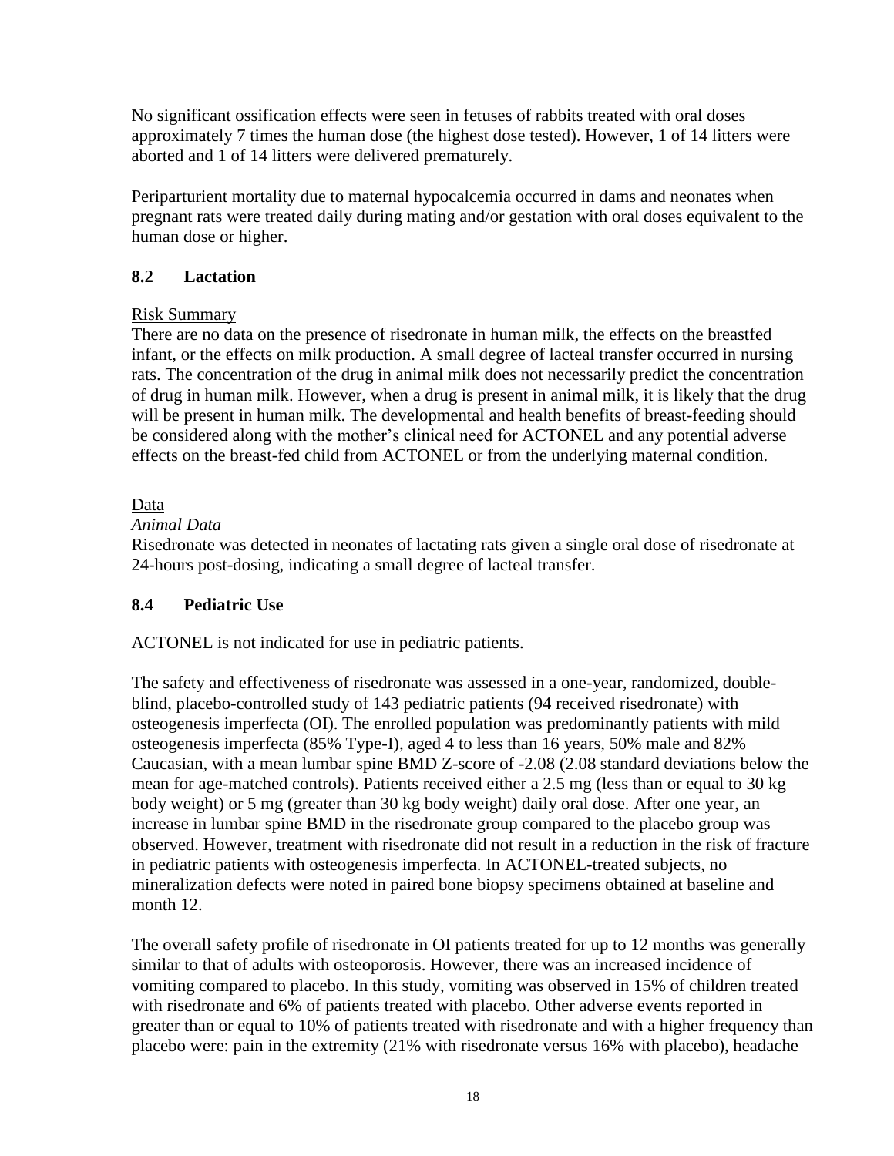No significant ossification effects were seen in fetuses of rabbits treated with oral doses approximately 7 times the human dose (the highest dose tested). However, 1 of 14 litters were aborted and 1 of 14 litters were delivered prematurely.

Periparturient mortality due to maternal hypocalcemia occurred in dams and neonates when pregnant rats were treated daily during mating and/or gestation with oral doses equivalent to the human dose or higher.

# <span id="page-17-1"></span>**8.2 Lactation**

## Risk Summary

There are no data on the presence of risedronate in human milk, the effects on the breastfed infant, or the effects on milk production. A small degree of lacteal transfer occurred in nursing rats. The concentration of the drug in animal milk does not necessarily predict the concentration of drug in human milk. However, when a drug is present in animal milk, it is likely that the drug will be present in human milk. The developmental and health benefits of breast-feeding should be considered along with the mother's clinical need for ACTONEL and any potential adverse effects on the breast-fed child from ACTONEL or from the underlying maternal condition.

# Data

## *Animal Data*

Risedronate was detected in neonates of lactating rats given a single oral dose of risedronate at 24-hours post-dosing, indicating a small degree of lacteal transfer.

# <span id="page-17-0"></span>**8.4 Pediatric Use**

ACTONEL is not indicated for use in pediatric patients.

The safety and effectiveness of risedronate was assessed in a one-year, randomized, doubleblind, placebo-controlled study of 143 pediatric patients (94 received risedronate) with osteogenesis imperfecta (OI). The enrolled population was predominantly patients with mild osteogenesis imperfecta (85% Type-I), aged 4 to less than 16 years, 50% male and 82% Caucasian, with a mean lumbar spine BMD Z-score of -2.08 (2.08 standard deviations below the mean for age-matched controls). Patients received either a 2.5 mg (less than or equal to 30 kg body weight) or 5 mg (greater than 30 kg body weight) daily oral dose. After one year, an increase in lumbar spine BMD in the risedronate group compared to the placebo group was observed. However, treatment with risedronate did not result in a reduction in the risk of fracture in pediatric patients with osteogenesis imperfecta. In ACTONEL-treated subjects, no mineralization defects were noted in paired bone biopsy specimens obtained at baseline and month 12.

The overall safety profile of risedronate in OI patients treated for up to 12 months was generally similar to that of adults with osteoporosis. However, there was an increased incidence of vomiting compared to placebo. In this study, vomiting was observed in 15% of children treated with risedronate and 6% of patients treated with placebo. Other adverse events reported in greater than or equal to 10% of patients treated with risedronate and with a higher frequency than placebo were: pain in the extremity (21% with risedronate versus 16% with placebo), headache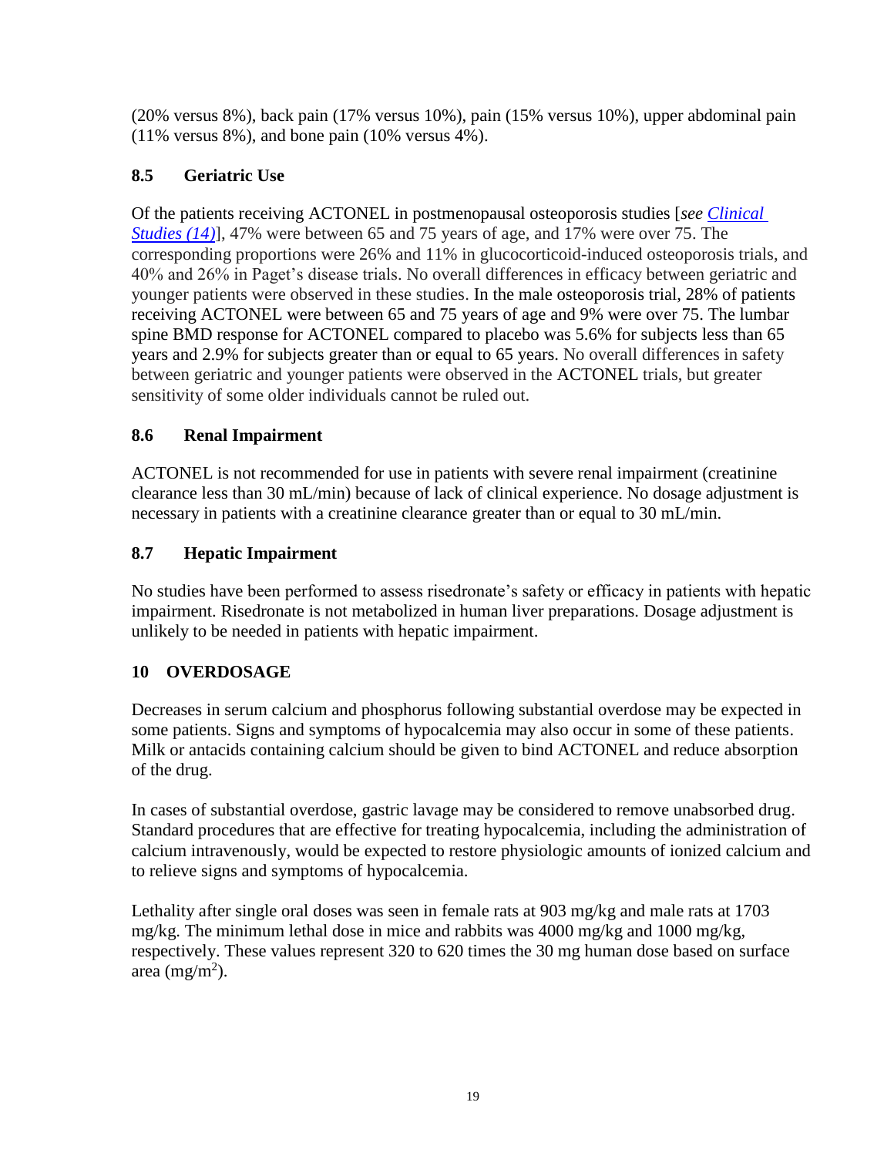(20% versus 8%), back pain (17% versus 10%), pain (15% versus 10%), upper abdominal pain (11% versus 8%), and bone pain (10% versus 4%).

# <span id="page-18-1"></span>**8.5 Geriatric Use**

Of the patients receiving ACTONEL in postmenopausal osteoporosis studies [*see [Clinical](#page-23-1)  [Studies \(14\)](#page-23-1)*], 47% were between 65 and 75 years of age, and 17% were over 75. The corresponding proportions were 26% and 11% in glucocorticoid-induced osteoporosis trials, and 40% and 26% in Paget's disease trials. No overall differences in efficacy between geriatric and younger patients were observed in these studies. In the male osteoporosis trial, 28% of patients receiving ACTONEL were between 65 and 75 years of age and 9% were over 75. The lumbar spine BMD response for ACTONEL compared to placebo was 5.6% for subjects less than 65 years and 2.9% for subjects greater than or equal to 65 years. No overall differences in safety between geriatric and younger patients were observed in the ACTONEL trials, but greater sensitivity of some older individuals cannot be ruled out.

# <span id="page-18-0"></span>**8.6 Renal Impairment**

ACTONEL is not recommended for use in patients with severe renal impairment (creatinine clearance less than 30 mL/min) because of lack of clinical experience. No dosage adjustment is necessary in patients with a creatinine clearance greater than or equal to 30 mL/min.

# <span id="page-18-2"></span>**8.7 Hepatic Impairment**

No studies have been performed to assess risedronate's safety or efficacy in patients with hepatic impairment. Risedronate is not metabolized in human liver preparations. Dosage adjustment is unlikely to be needed in patients with hepatic impairment.

# <span id="page-18-3"></span>**10 OVERDOSAGE**

Decreases in serum calcium and phosphorus following substantial overdose may be expected in some patients. Signs and symptoms of hypocalcemia may also occur in some of these patients. Milk or antacids containing calcium should be given to bind ACTONEL and reduce absorption of the drug.

In cases of substantial overdose, gastric lavage may be considered to remove unabsorbed drug. Standard procedures that are effective for treating hypocalcemia, including the administration of calcium intravenously, would be expected to restore physiologic amounts of ionized calcium and to relieve signs and symptoms of hypocalcemia.

Lethality after single oral doses was seen in female rats at 903 mg/kg and male rats at 1703 mg/kg. The minimum lethal dose in mice and rabbits was 4000 mg/kg and 1000 mg/kg, respectively. These values represent 320 to 620 times the 30 mg human dose based on surface area (mg/m<sup>2</sup>).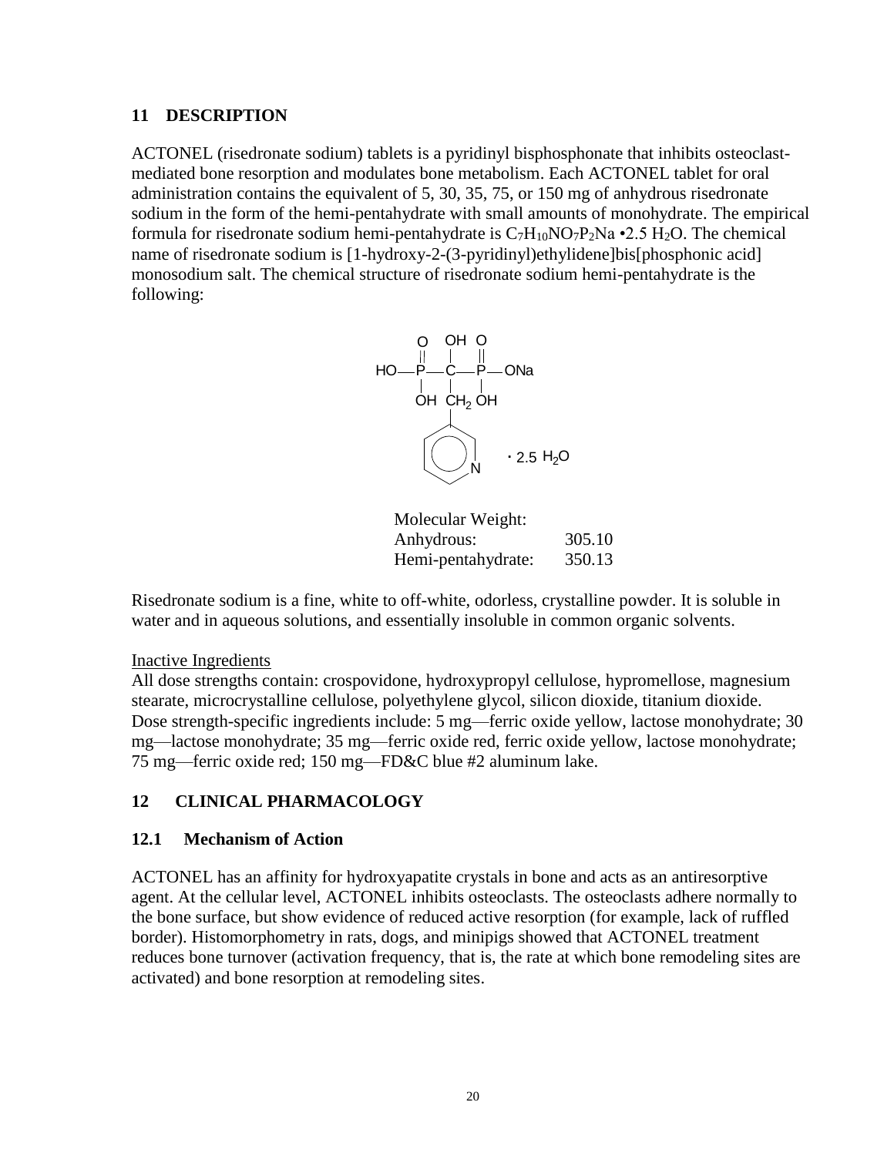### <span id="page-19-0"></span>**11 DESCRIPTION**

ACTONEL (risedronate sodium) tablets is a pyridinyl bisphosphonate that inhibits osteoclastmediated bone resorption and modulates bone metabolism. Each ACTONEL tablet for oral administration contains the equivalent of 5, 30, 35, 75, or 150 mg of anhydrous risedronate sodium in the form of the hemi-pentahydrate with small amounts of monohydrate. The empirical formula for risedronate sodium hemi-pentahydrate is  $C_7H_{10}NO_7P_2Na$  •2.5 H<sub>2</sub>O. The chemical name of risedronate sodium is [1-hydroxy-2-(3-pyridinyl)ethylidene]bis[phosphonic acid] monosodium salt. The chemical structure of risedronate sodium hemi-pentahydrate is the following:



Molecular Weight: Anhydrous: 305.10 Hemi-pentahydrate: 350.13

Risedronate sodium is a fine, white to off-white, odorless, crystalline powder. It is soluble in water and in aqueous solutions, and essentially insoluble in common organic solvents.

### Inactive Ingredients

All dose strengths contain: crospovidone, hydroxypropyl cellulose, hypromellose, magnesium stearate, microcrystalline cellulose, polyethylene glycol, silicon dioxide, titanium dioxide. Dose strength-specific ingredients include: 5 mg—ferric oxide yellow, lactose monohydrate; 30 mg—lactose monohydrate; 35 mg—ferric oxide red, ferric oxide yellow, lactose monohydrate; 75 mg—ferric oxide red; 150 mg—FD&C blue #2 aluminum lake.

## <span id="page-19-1"></span>**12 CLINICAL PHARMACOLOGY**

### <span id="page-19-2"></span>**12.1 Mechanism of Action**

ACTONEL has an affinity for hydroxyapatite crystals in bone and acts as an antiresorptive agent. At the cellular level, ACTONEL inhibits osteoclasts. The osteoclasts adhere normally to the bone surface, but show evidence of reduced active resorption (for example, lack of ruffled border). Histomorphometry in rats, dogs, and minipigs showed that ACTONEL treatment reduces bone turnover (activation frequency, that is, the rate at which bone remodeling sites are activated) and bone resorption at remodeling sites.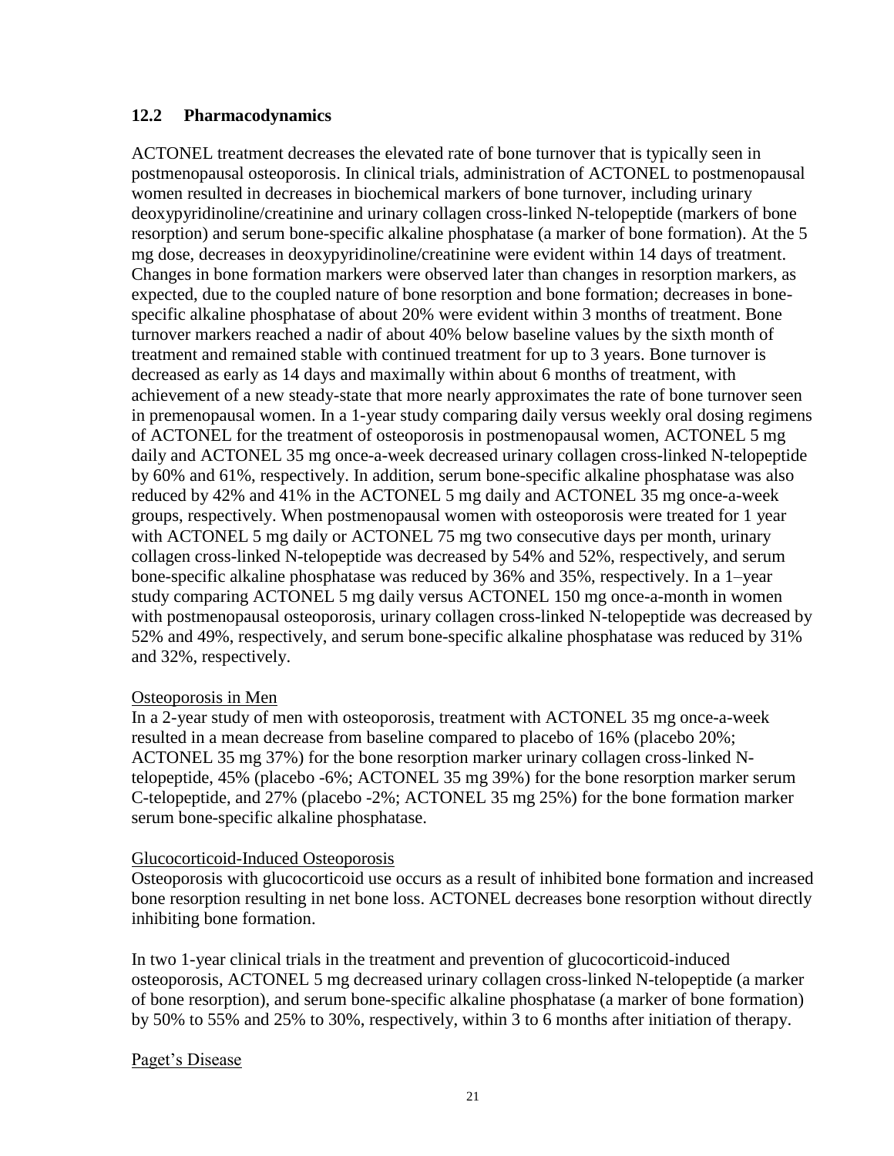### <span id="page-20-0"></span>**12.2 Pharmacodynamics**

ACTONEL treatment decreases the elevated rate of bone turnover that is typically seen in postmenopausal osteoporosis. In clinical trials, administration of ACTONEL to postmenopausal women resulted in decreases in biochemical markers of bone turnover, including urinary deoxypyridinoline/creatinine and urinary collagen cross-linked N-telopeptide (markers of bone resorption) and serum bone-specific alkaline phosphatase (a marker of bone formation). At the 5 mg dose, decreases in deoxypyridinoline/creatinine were evident within 14 days of treatment. Changes in bone formation markers were observed later than changes in resorption markers, as expected, due to the coupled nature of bone resorption and bone formation; decreases in bonespecific alkaline phosphatase of about 20% were evident within 3 months of treatment. Bone turnover markers reached a nadir of about 40% below baseline values by the sixth month of treatment and remained stable with continued treatment for up to 3 years. Bone turnover is decreased as early as 14 days and maximally within about 6 months of treatment, with achievement of a new steady-state that more nearly approximates the rate of bone turnover seen in premenopausal women. In a 1-year study comparing daily versus weekly oral dosing regimens of ACTONEL for the treatment of osteoporosis in postmenopausal women, ACTONEL 5 mg daily and ACTONEL 35 mg once-a-week decreased urinary collagen cross-linked N-telopeptide by 60% and 61%, respectively. In addition, serum bone-specific alkaline phosphatase was also reduced by 42% and 41% in the ACTONEL 5 mg daily and ACTONEL 35 mg once-a-week groups, respectively. When postmenopausal women with osteoporosis were treated for 1 year with ACTONEL 5 mg daily or ACTONEL 75 mg two consecutive days per month, urinary collagen cross-linked N-telopeptide was decreased by 54% and 52%, respectively, and serum bone-specific alkaline phosphatase was reduced by 36% and 35%, respectively. In a 1–year study comparing ACTONEL 5 mg daily versus ACTONEL 150 mg once-a-month in women with postmenopausal osteoporosis, urinary collagen cross-linked N-telopeptide was decreased by 52% and 49%, respectively, and serum bone-specific alkaline phosphatase was reduced by 31% and 32%, respectively.

### Osteoporosis in Men

In a 2-year study of men with osteoporosis, treatment with ACTONEL 35 mg once-a-week resulted in a mean decrease from baseline compared to placebo of 16% (placebo 20%; ACTONEL 35 mg 37%) for the bone resorption marker urinary collagen cross-linked Ntelopeptide, 45% (placebo -6%; ACTONEL 35 mg 39%) for the bone resorption marker serum C-telopeptide, and 27% (placebo -2%; ACTONEL 35 mg 25%) for the bone formation marker serum bone-specific alkaline phosphatase.

### Glucocorticoid-Induced Osteoporosis

Osteoporosis with glucocorticoid use occurs as a result of inhibited bone formation and increased bone resorption resulting in net bone loss. ACTONEL decreases bone resorption without directly inhibiting bone formation.

In two 1-year clinical trials in the treatment and prevention of glucocorticoid-induced osteoporosis, ACTONEL 5 mg decreased urinary collagen cross-linked N-telopeptide (a marker of bone resorption), and serum bone-specific alkaline phosphatase (a marker of bone formation) by 50% to 55% and 25% to 30%, respectively, within 3 to 6 months after initiation of therapy.

## Paget's Disease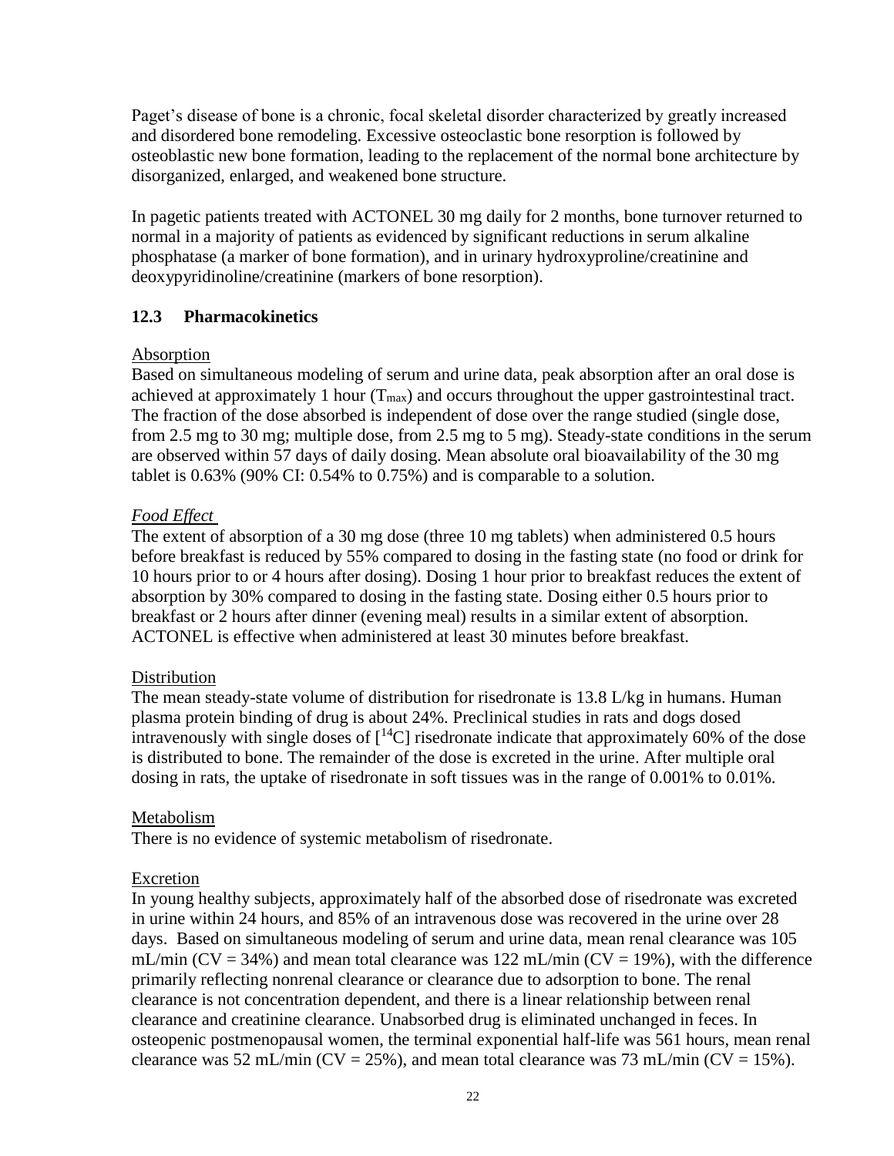Paget's disease of bone is a chronic, focal skeletal disorder characterized by greatly increased and disordered bone remodeling. Excessive osteoclastic bone resorption is followed by osteoblastic new bone formation, leading to the replacement of the normal bone architecture by disorganized, enlarged, and weakened bone structure.

In pagetic patients treated with ACTONEL 30 mg daily for 2 months, bone turnover returned to normal in a majority of patients as evidenced by significant reductions in serum alkaline phosphatase (a marker of bone formation), and in urinary hydroxyproline/creatinine and deoxypyridinoline/creatinine (markers of bone resorption).

# <span id="page-21-0"></span>**12.3 Pharmacokinetics**

## Absorption

Based on simultaneous modeling of serum and urine data, peak absorption after an oral dose is achieved at approximately 1 hour  $(T_{max})$  and occurs throughout the upper gastrointestinal tract. The fraction of the dose absorbed is independent of dose over the range studied (single dose, from 2.5 mg to 30 mg; multiple dose, from 2.5 mg to 5 mg). Steady-state conditions in the serum are observed within 57 days of daily dosing. Mean absolute oral bioavailability of the 30 mg tablet is 0.63% (90% CI: 0.54% to 0.75%) and is comparable to a solution.

## *Food Effect*

The extent of absorption of a 30 mg dose (three 10 mg tablets) when administered 0.5 hours before breakfast is reduced by 55% compared to dosing in the fasting state (no food or drink for 10 hours prior to or 4 hours after dosing). Dosing 1 hour prior to breakfast reduces the extent of absorption by 30% compared to dosing in the fasting state. Dosing either 0.5 hours prior to breakfast or 2 hours after dinner (evening meal) results in a similar extent of absorption. ACTONEL is effective when administered at least 30 minutes before breakfast.

## **Distribution**

The mean steady-state volume of distribution for risedronate is 13.8 L/kg in humans. Human plasma protein binding of drug is about 24%. Preclinical studies in rats and dogs dosed intravenously with single doses of  $[14C]$  risedronate indicate that approximately 60% of the dose is distributed to bone. The remainder of the dose is excreted in the urine. After multiple oral dosing in rats, the uptake of risedronate in soft tissues was in the range of 0.001% to 0.01%.

## Metabolism

There is no evidence of systemic metabolism of risedronate.

### Excretion

In young healthy subjects, approximately half of the absorbed dose of risedronate was excreted in urine within 24 hours, and 85% of an intravenous dose was recovered in the urine over 28 days. Based on simultaneous modeling of serum and urine data, mean renal clearance was 105 mL/min ( $CV = 34\%$ ) and mean total clearance was 122 mL/min ( $CV = 19\%$ ), with the difference primarily reflecting nonrenal clearance or clearance due to adsorption to bone. The renal clearance is not concentration dependent, and there is a linear relationship between renal clearance and creatinine clearance. Unabsorbed drug is eliminated unchanged in feces. In osteopenic postmenopausal women, the terminal exponential half-life was 561 hours, mean renal clearance was 52 mL/min (CV = 25%), and mean total clearance was 73 mL/min (CV = 15%).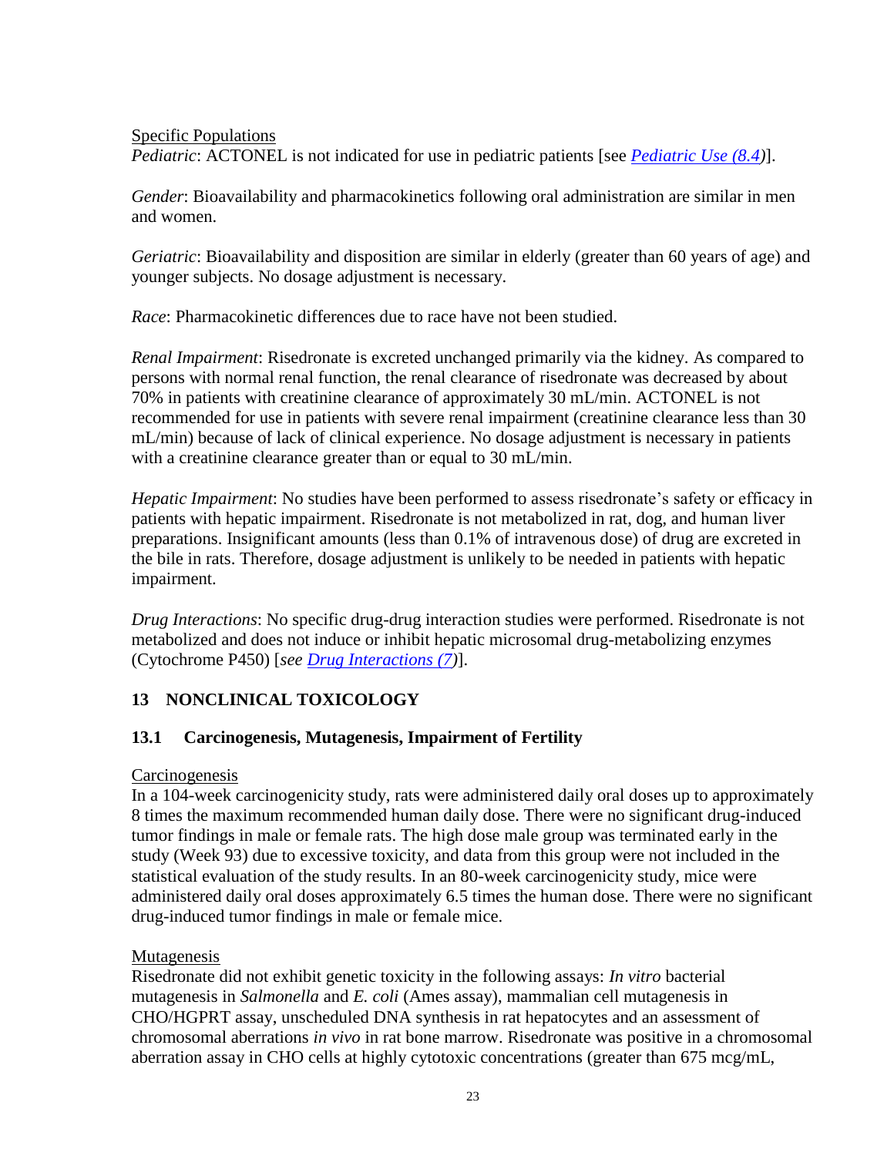### Specific Populations

*Pediatric*: ACTONEL is not indicated for use in pediatric patients [see *[Pediatric Use \(8.4\)](#page-17-0)*].

*Gender*: Bioavailability and pharmacokinetics following oral administration are similar in men and women.

*Geriatric*: Bioavailability and disposition are similar in elderly (greater than 60 years of age) and younger subjects. No dosage adjustment is necessary.

*Race*: Pharmacokinetic differences due to race have not been studied.

*Renal Impairment*: Risedronate is excreted unchanged primarily via the kidney. As compared to persons with normal renal function, the renal clearance of risedronate was decreased by about 70% in patients with creatinine clearance of approximately 30 mL/min. ACTONEL is not recommended for use in patients with severe renal impairment (creatinine clearance less than 30 mL/min) because of lack of clinical experience. No dosage adjustment is necessary in patients with a creatinine clearance greater than or equal to 30 mL/min.

*Hepatic Impairment*: No studies have been performed to assess risedronate's safety or efficacy in patients with hepatic impairment. Risedronate is not metabolized in rat, dog, and human liver preparations. Insignificant amounts (less than 0.1% of intravenous dose) of drug are excreted in the bile in rats. Therefore, dosage adjustment is unlikely to be needed in patients with hepatic impairment.

*Drug Interactions*: No specific drug-drug interaction studies were performed. Risedronate is not metabolized and does not induce or inhibit hepatic microsomal drug-metabolizing enzymes (Cytochrome P450) [*see [Drug Interactions \(7\)](#page-15-1)*].

# <span id="page-22-0"></span>**13 NONCLINICAL TOXICOLOGY**

## <span id="page-22-1"></span>**13.1 Carcinogenesis, Mutagenesis, Impairment of Fertility**

## **Carcinogenesis**

In a 104-week carcinogenicity study, rats were administered daily oral doses up to approximately 8 times the maximum recommended human daily dose. There were no significant drug-induced tumor findings in male or female rats. The high dose male group was terminated early in the study (Week 93) due to excessive toxicity, and data from this group were not included in the statistical evaluation of the study results. In an 80-week carcinogenicity study, mice were administered daily oral doses approximately 6.5 times the human dose. There were no significant drug-induced tumor findings in male or female mice.

## Mutagenesis

Risedronate did not exhibit genetic toxicity in the following assays: *In vitro* bacterial mutagenesis in *Salmonella* and *E. coli* (Ames assay), mammalian cell mutagenesis in CHO/HGPRT assay, unscheduled DNA synthesis in rat hepatocytes and an assessment of chromosomal aberrations *in vivo* in rat bone marrow. Risedronate was positive in a chromosomal aberration assay in CHO cells at highly cytotoxic concentrations (greater than 675 mcg/mL,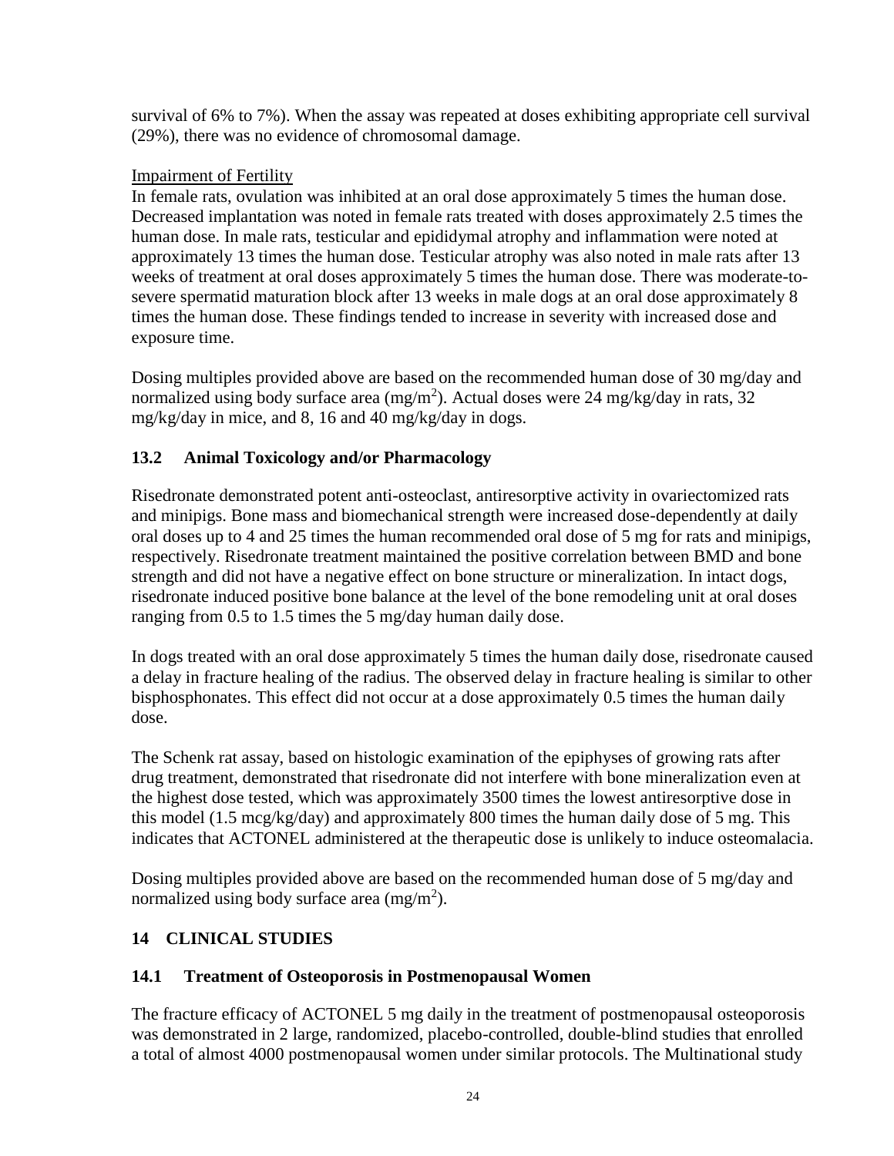survival of 6% to 7%). When the assay was repeated at doses exhibiting appropriate cell survival (29%), there was no evidence of chromosomal damage.

# Impairment of Fertility

In female rats, ovulation was inhibited at an oral dose approximately 5 times the human dose. Decreased implantation was noted in female rats treated with doses approximately 2.5 times the human dose. In male rats, testicular and epididymal atrophy and inflammation were noted at approximately 13 times the human dose. Testicular atrophy was also noted in male rats after 13 weeks of treatment at oral doses approximately 5 times the human dose. There was moderate-tosevere spermatid maturation block after 13 weeks in male dogs at an oral dose approximately 8 times the human dose. These findings tended to increase in severity with increased dose and exposure time.

Dosing multiples provided above are based on the recommended human dose of 30 mg/day and normalized using body surface area (mg/m<sup>2</sup>). Actual doses were 24 mg/kg/day in rats, 32 mg/kg/day in mice, and 8, 16 and 40 mg/kg/day in dogs.

# <span id="page-23-0"></span>**13.2 Animal Toxicology and/or Pharmacology**

Risedronate demonstrated potent anti-osteoclast, antiresorptive activity in ovariectomized rats and minipigs. Bone mass and biomechanical strength were increased dose-dependently at daily oral doses up to 4 and 25 times the human recommended oral dose of 5 mg for rats and minipigs, respectively. Risedronate treatment maintained the positive correlation between BMD and bone strength and did not have a negative effect on bone structure or mineralization. In intact dogs, risedronate induced positive bone balance at the level of the bone remodeling unit at oral doses ranging from 0.5 to 1.5 times the 5 mg/day human daily dose.

In dogs treated with an oral dose approximately 5 times the human daily dose, risedronate caused a delay in fracture healing of the radius. The observed delay in fracture healing is similar to other bisphosphonates. This effect did not occur at a dose approximately 0.5 times the human daily dose.

The Schenk rat assay, based on histologic examination of the epiphyses of growing rats after drug treatment, demonstrated that risedronate did not interfere with bone mineralization even at the highest dose tested, which was approximately 3500 times the lowest antiresorptive dose in this model (1.5 mcg/kg/day) and approximately 800 times the human daily dose of 5 mg. This indicates that ACTONEL administered at the therapeutic dose is unlikely to induce osteomalacia.

Dosing multiples provided above are based on the recommended human dose of 5 mg/day and normalized using body surface area  $(mg/m<sup>2</sup>)$ .

# <span id="page-23-1"></span>**14 CLINICAL STUDIES**

# <span id="page-23-2"></span>**14.1 Treatment of Osteoporosis in Postmenopausal Women**

The fracture efficacy of ACTONEL 5 mg daily in the treatment of postmenopausal osteoporosis was demonstrated in 2 large, randomized, placebo-controlled, double-blind studies that enrolled a total of almost 4000 postmenopausal women under similar protocols. The Multinational study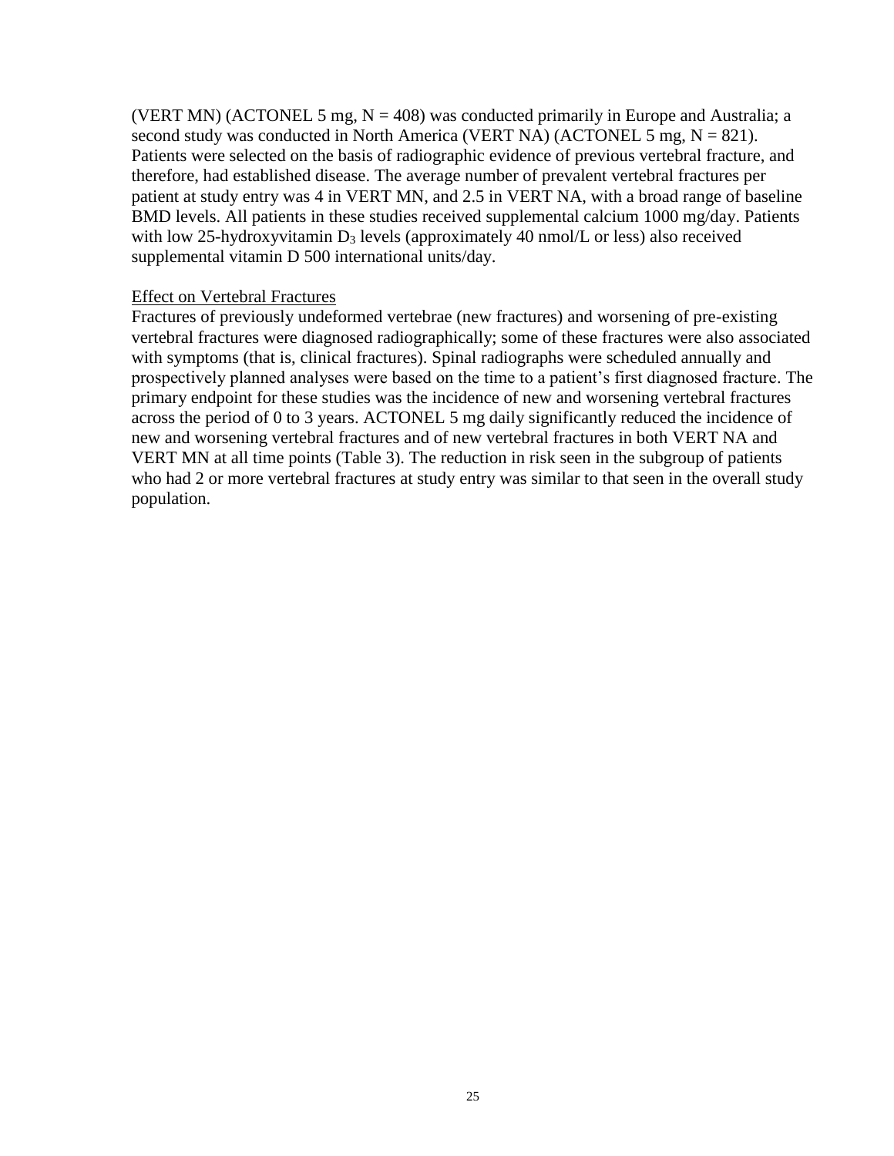(VERT MN) (ACTONEL 5 mg,  $N = 408$ ) was conducted primarily in Europe and Australia; a second study was conducted in North America (VERT NA) (ACTONEL 5 mg,  $N = 821$ ). Patients were selected on the basis of radiographic evidence of previous vertebral fracture, and therefore, had established disease. The average number of prevalent vertebral fractures per patient at study entry was 4 in VERT MN, and 2.5 in VERT NA, with a broad range of baseline BMD levels. All patients in these studies received supplemental calcium 1000 mg/day. Patients with low 25-hydroxyvitamin  $D_3$  levels (approximately 40 nmol/L or less) also received supplemental vitamin D 500 international units/day.

#### Effect on Vertebral Fractures

Fractures of previously undeformed vertebrae (new fractures) and worsening of pre-existing vertebral fractures were diagnosed radiographically; some of these fractures were also associated with symptoms (that is, clinical fractures). Spinal radiographs were scheduled annually and prospectively planned analyses were based on the time to a patient's first diagnosed fracture. The primary endpoint for these studies was the incidence of new and worsening vertebral fractures across the period of 0 to 3 years. ACTONEL 5 mg daily significantly reduced the incidence of new and worsening vertebral fractures and of new vertebral fractures in both VERT NA and VERT MN at all time points [\(Table](#page-25-0) 3). The reduction in risk seen in the subgroup of patients who had 2 or more vertebral fractures at study entry was similar to that seen in the overall study population.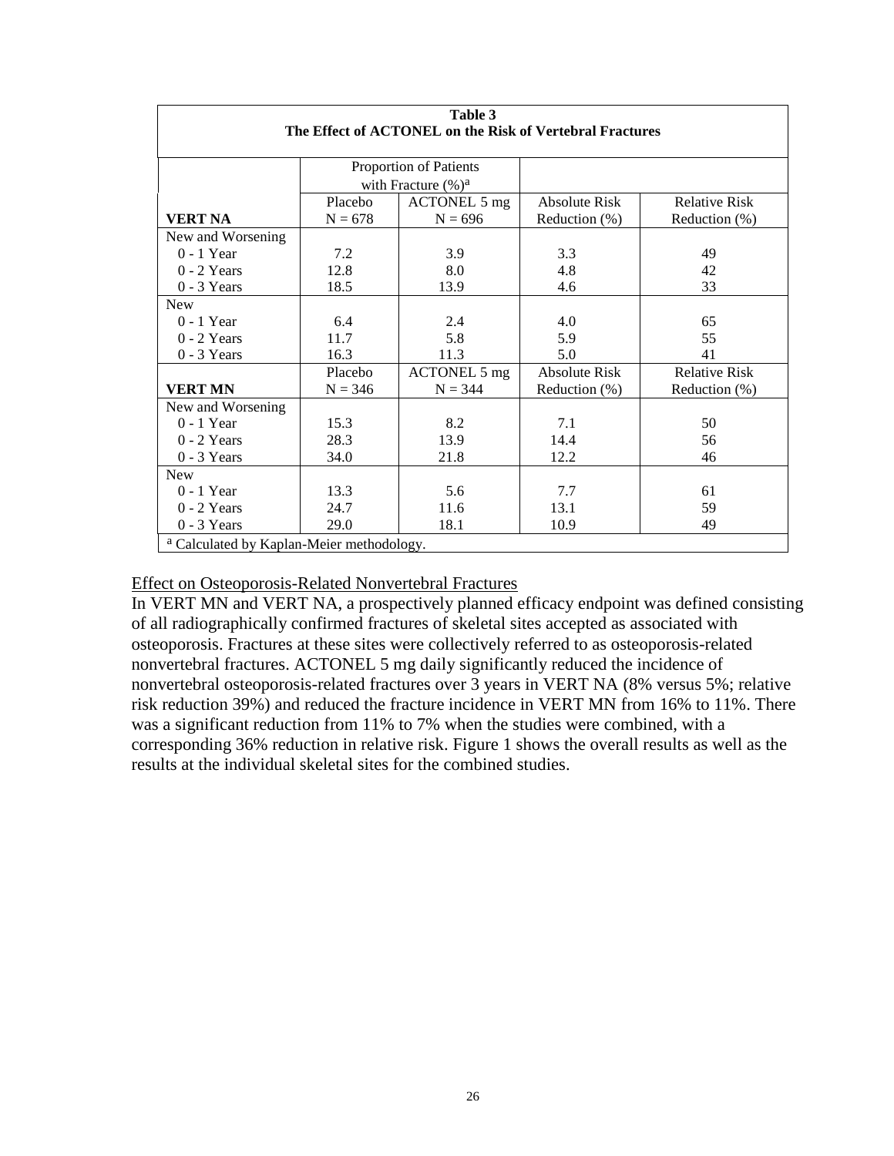<span id="page-25-0"></span>

| Table 3<br>The Effect of ACTONEL on the Risk of Vertebral Fractures |                        |                        |                      |                      |  |  |
|---------------------------------------------------------------------|------------------------|------------------------|----------------------|----------------------|--|--|
|                                                                     |                        |                        |                      |                      |  |  |
|                                                                     | Proportion of Patients |                        |                      |                      |  |  |
|                                                                     |                        | with Fracture $(\%)^a$ |                      |                      |  |  |
|                                                                     | Placebo                | ACTONEL 5 mg           | Absolute Risk        | <b>Relative Risk</b> |  |  |
| VERT NA                                                             | $N = 678$              | $N = 696$              | Reduction (%)        | Reduction (%)        |  |  |
| New and Worsening                                                   |                        |                        |                      |                      |  |  |
| $0 - 1$ Year                                                        | 7.2                    | 3.9                    | 3.3                  | 49                   |  |  |
| $0 - 2$ Years                                                       | 12.8                   | 8.0                    | 4.8                  | 42                   |  |  |
| $0 - 3$ Years                                                       | 18.5                   | 13.9                   | 4.6                  | 33                   |  |  |
| <b>New</b>                                                          |                        |                        |                      |                      |  |  |
| $0 - 1$ Year                                                        | 6.4                    | 2.4                    | 4.0                  | 65                   |  |  |
| $0 - 2$ Years                                                       | 11.7                   | 5.8                    | 5.9                  | 55                   |  |  |
| $0 - 3$ Years                                                       | 16.3                   | 11.3                   | 5.0                  | 41                   |  |  |
|                                                                     | Placebo                | <b>ACTONEL 5 mg</b>    | <b>Absolute Risk</b> | <b>Relative Risk</b> |  |  |
| <b>VERT MN</b>                                                      | $N = 346$              | $N = 344$              | Reduction (%)        | Reduction (%)        |  |  |
| New and Worsening                                                   |                        |                        |                      |                      |  |  |
| $0 - 1$ Year                                                        | 15.3                   | 8.2                    | 7.1                  | 50                   |  |  |
| $0 - 2$ Years                                                       | 28.3                   | 13.9                   | 14.4                 | 56                   |  |  |
| $0 - 3$ Years                                                       | 34.0                   | 21.8                   | 12.2                 | 46                   |  |  |
| <b>New</b>                                                          |                        |                        |                      |                      |  |  |
| $0 - 1$ Year                                                        | 13.3                   | 5.6                    | 7.7                  | 61                   |  |  |
| $0 - 2$ Years                                                       | 24.7                   | 11.6                   | 13.1                 | 59                   |  |  |
| $0 - 3$ Years                                                       | 29.0                   | 18.1                   | 10.9                 | 49                   |  |  |
| a Calculated by Kaplan-Meier methodology.                           |                        |                        |                      |                      |  |  |

Effect on Osteoporosis-Related Nonvertebral Fractures

In VERT MN and VERT NA, a prospectively planned efficacy endpoint was defined consisting of all radiographically confirmed fractures of skeletal sites accepted as associated with osteoporosis. Fractures at these sites were collectively referred to as osteoporosis-related nonvertebral fractures. ACTONEL 5 mg daily significantly reduced the incidence of nonvertebral osteoporosis-related fractures over 3 years in VERT NA (8% versus 5%; relative risk reduction 39%) and reduced the fracture incidence in VERT MN from 16% to 11%. There was a significant reduction from 11% to 7% when the studies were combined, with a corresponding 36% reduction in relative risk. [Figure 1](#page-26-0) shows the overall results as well as the results at the individual skeletal sites for the combined studies.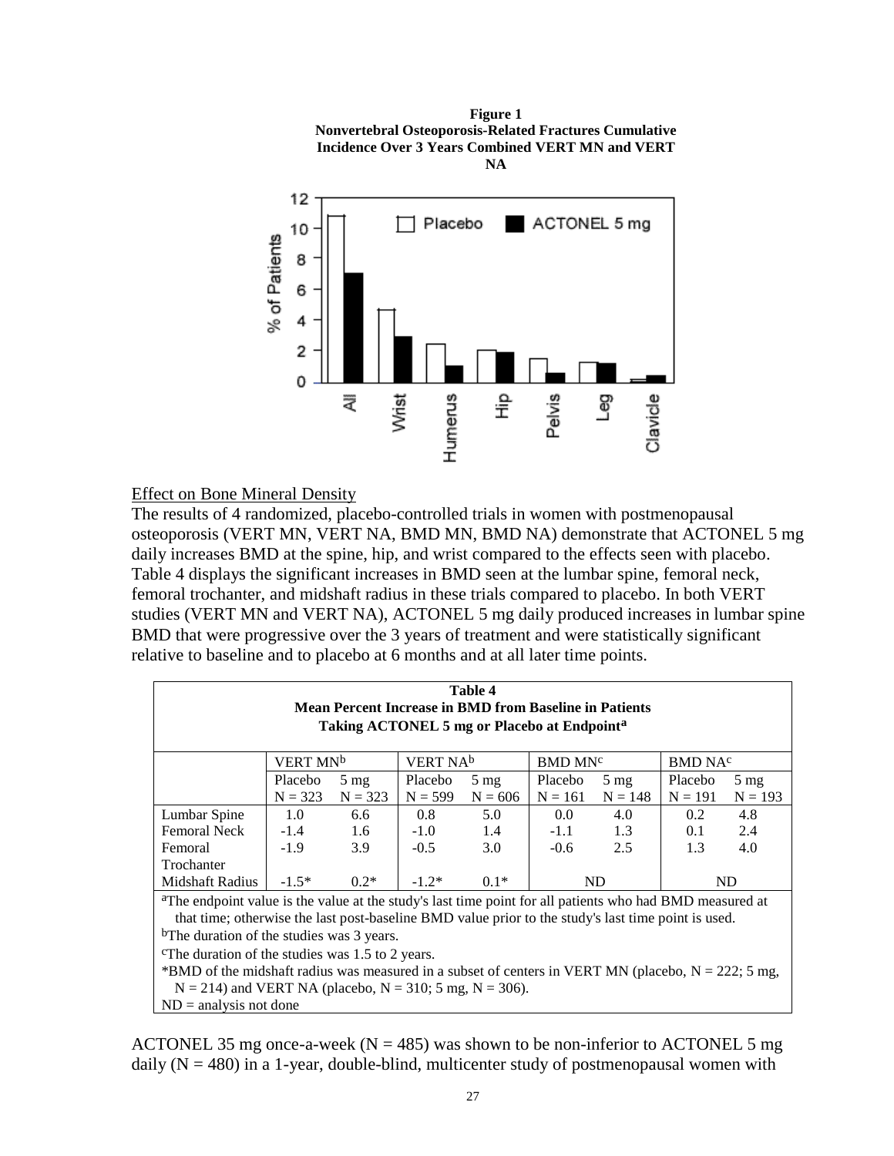<span id="page-26-0"></span>

## Effect on Bone Mineral Density

The results of 4 randomized, placebo-controlled trials in women with postmenopausal osteoporosis (VERT MN, VERT NA, BMD MN, BMD NA) demonstrate that ACTONEL 5 mg daily increases BMD at the spine, hip, and wrist compared to the effects seen with placebo. [Table](#page-26-1) 4 displays the significant increases in BMD seen at the lumbar spine, femoral neck, femoral trochanter, and midshaft radius in these trials compared to placebo. In both VERT studies (VERT MN and VERT NA), ACTONEL 5 mg daily produced increases in lumbar spine BMD that were progressive over the 3 years of treatment and were statistically significant relative to baseline and to placebo at 6 months and at all later time points.

<span id="page-26-1"></span>

| Table 4<br><b>Mean Percent Increase in BMD from Baseline in Patients</b><br>Taking ACTONEL 5 mg or Placebo at Endpoint <sup>a</sup>                                                                          |                                              |                |           |                     |                  |                     |               |                |
|--------------------------------------------------------------------------------------------------------------------------------------------------------------------------------------------------------------|----------------------------------------------|----------------|-----------|---------------------|------------------|---------------------|---------------|----------------|
|                                                                                                                                                                                                              | VERT NA <sup>b</sup><br>VERT MN <sup>b</sup> |                |           | BMD MN <sup>c</sup> |                  | BMD NA <sup>c</sup> |               |                |
|                                                                                                                                                                                                              | Placebo                                      | $5 \text{ mg}$ | Placebo   | $5 \text{ mg}$      | Placebo          | $5 \text{ mg}$      | Placebo       | $5 \text{ mg}$ |
|                                                                                                                                                                                                              | $N = 323$                                    | $N = 323$      | $N = 599$ | $N = 606$           | $N = 161$        | $N = 148$           | $N = 191$     | $N = 193$      |
| Lumbar Spine                                                                                                                                                                                                 | 1.0                                          | 6.6            | 0.8       | 5.0                 | 0.0              | 4.0                 | $0.2^{\circ}$ | 4.8            |
| <b>Femoral Neck</b>                                                                                                                                                                                          | $-1.4$                                       | 1.6            | $-1.0$    | 1.4                 | $-1.1$           | 1.3                 | 0.1           | 2.4            |
| Femoral                                                                                                                                                                                                      | $-1.9$                                       | 3.9            | $-0.5$    | 3.0                 | $-0.6$           | 2.5                 | 1.3           | 4.0            |
| Trochanter                                                                                                                                                                                                   |                                              |                |           |                     |                  |                     |               |                |
| Midshaft Radius                                                                                                                                                                                              | $-1.5*$                                      | $0.2*$         | $-1.2*$   | $0.1*$              | <b>ND</b><br>ND. |                     |               |                |
| 2.73<br>$\mathbf{1}$ , $\mathbf{1}$ , $\mathbf{1}$ , $\mathbf{1}$ , $\mathbf{1}$ , $\mathbf{1}$ , $\mathbf{1}$ , $\mathbf{1}$ , $\mathbf{1}$ , $\mathbf{1}$<br>$\sim$ $\sim$ 11 $\sim$ 1 1 1 $\sim$ 1 $\sim$ |                                              |                |           |                     |                  |                     |               |                |

aThe endpoint value is the value at the study's last time point for all patients who had BMD measured at that time; otherwise the last post-baseline BMD value prior to the study's last time point is used.

<sup>b</sup>The duration of the studies was 3 years.

cThe duration of the studies was 1.5 to 2 years.

\*BMD of the midshaft radius was measured in a subset of centers in VERT MN (placebo,  $N = 222$ ; 5 mg,  $N = 214$ ) and VERT NA (placebo,  $N = 310$ ; 5 mg,  $N = 306$ ).

 $ND =$  analysis not done

ACTONEL 35 mg once-a-week ( $N = 485$ ) was shown to be non-inferior to ACTONEL 5 mg daily  $(N = 480)$  in a 1-year, double-blind, multicenter study of postmenopausal women with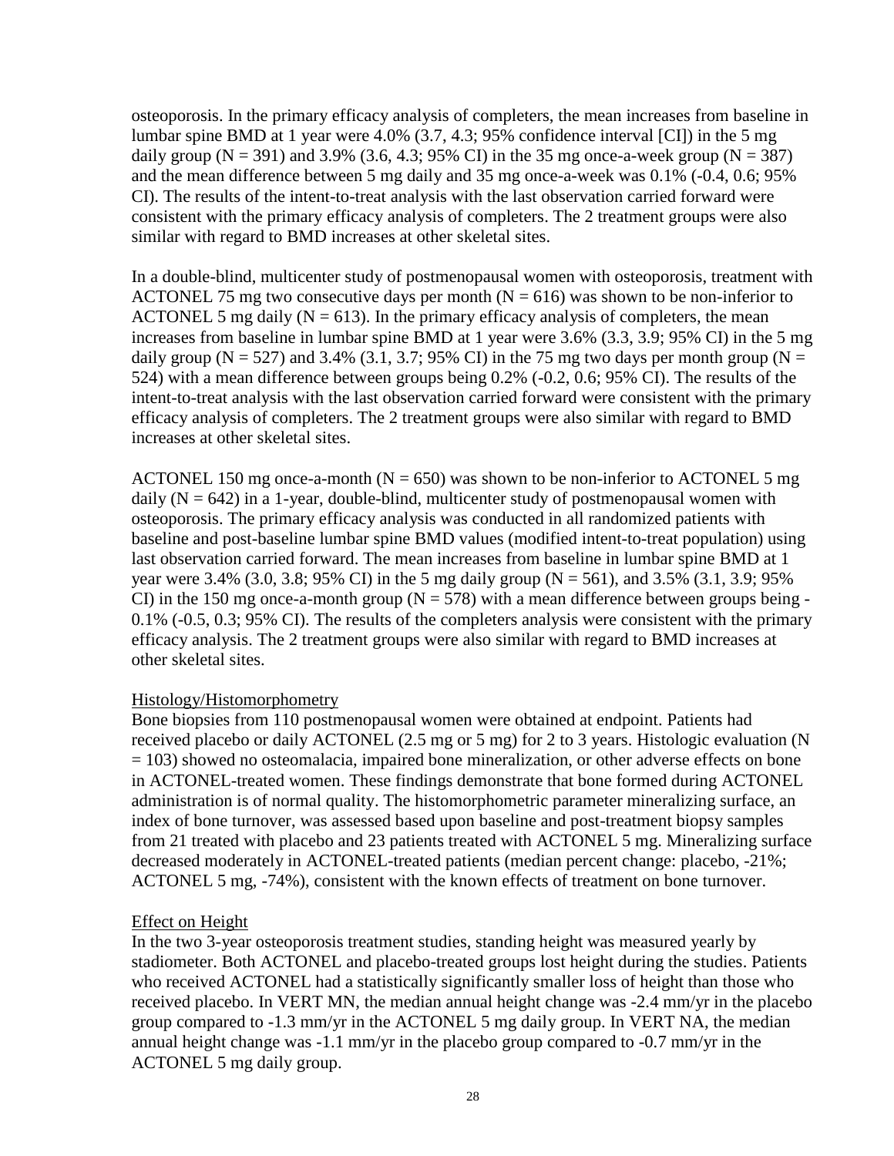osteoporosis. In the primary efficacy analysis of completers, the mean increases from baseline in lumbar spine BMD at 1 year were 4.0% (3.7, 4.3; 95% confidence interval [CI]) in the 5 mg daily group ( $N = 391$ ) and 3.9% (3.6, 4.3; 95% CI) in the 35 mg once-a-week group ( $N = 387$ ) and the mean difference between 5 mg daily and 35 mg once-a-week was 0.1% (-0.4, 0.6; 95% CI). The results of the intent-to-treat analysis with the last observation carried forward were consistent with the primary efficacy analysis of completers. The 2 treatment groups were also similar with regard to BMD increases at other skeletal sites.

In a double-blind, multicenter study of postmenopausal women with osteoporosis, treatment with ACTONEL 75 mg two consecutive days per month ( $N = 616$ ) was shown to be non-inferior to ACTONEL 5 mg daily ( $N = 613$ ). In the primary efficacy analysis of completers, the mean increases from baseline in lumbar spine BMD at 1 year were 3.6% (3.3, 3.9; 95% CI) in the 5 mg daily group ( $N = 527$ ) and 3.4% (3.1, 3.7; 95% CI) in the 75 mg two days per month group ( $N =$ 524) with a mean difference between groups being 0.2% (-0.2, 0.6; 95% CI). The results of the intent-to-treat analysis with the last observation carried forward were consistent with the primary efficacy analysis of completers. The 2 treatment groups were also similar with regard to BMD increases at other skeletal sites.

ACTONEL 150 mg once-a-month ( $N = 650$ ) was shown to be non-inferior to ACTONEL 5 mg daily  $(N = 642)$  in a 1-year, double-blind, multicenter study of postmenopausal women with osteoporosis. The primary efficacy analysis was conducted in all randomized patients with baseline and post-baseline lumbar spine BMD values (modified intent-to-treat population) using last observation carried forward. The mean increases from baseline in lumbar spine BMD at 1 year were 3.4% (3.0, 3.8; 95% CI) in the 5 mg daily group ( $N = 561$ ), and 3.5% (3.1, 3.9; 95% CI) in the 150 mg once-a-month group ( $N = 578$ ) with a mean difference between groups being -0.1% (-0.5, 0.3; 95% CI). The results of the completers analysis were consistent with the primary efficacy analysis. The 2 treatment groups were also similar with regard to BMD increases at other skeletal sites.

#### Histology/Histomorphometry

Bone biopsies from 110 postmenopausal women were obtained at endpoint. Patients had received placebo or daily ACTONEL (2.5 mg or 5 mg) for 2 to 3 years. Histologic evaluation (N = 103) showed no osteomalacia, impaired bone mineralization, or other adverse effects on bone in ACTONEL-treated women. These findings demonstrate that bone formed during ACTONEL administration is of normal quality. The histomorphometric parameter mineralizing surface, an index of bone turnover, was assessed based upon baseline and post-treatment biopsy samples from 21 treated with placebo and 23 patients treated with ACTONEL 5 mg. Mineralizing surface decreased moderately in ACTONEL-treated patients (median percent change: placebo, -21%; ACTONEL 5 mg, -74%), consistent with the known effects of treatment on bone turnover.

### Effect on Height

In the two 3-year osteoporosis treatment studies, standing height was measured yearly by stadiometer. Both ACTONEL and placebo-treated groups lost height during the studies. Patients who received ACTONEL had a statistically significantly smaller loss of height than those who received placebo. In VERT MN, the median annual height change was -2.4 mm/yr in the placebo group compared to -1.3 mm/yr in the ACTONEL 5 mg daily group. In VERT NA, the median annual height change was -1.1 mm/yr in the placebo group compared to -0.7 mm/yr in the ACTONEL 5 mg daily group.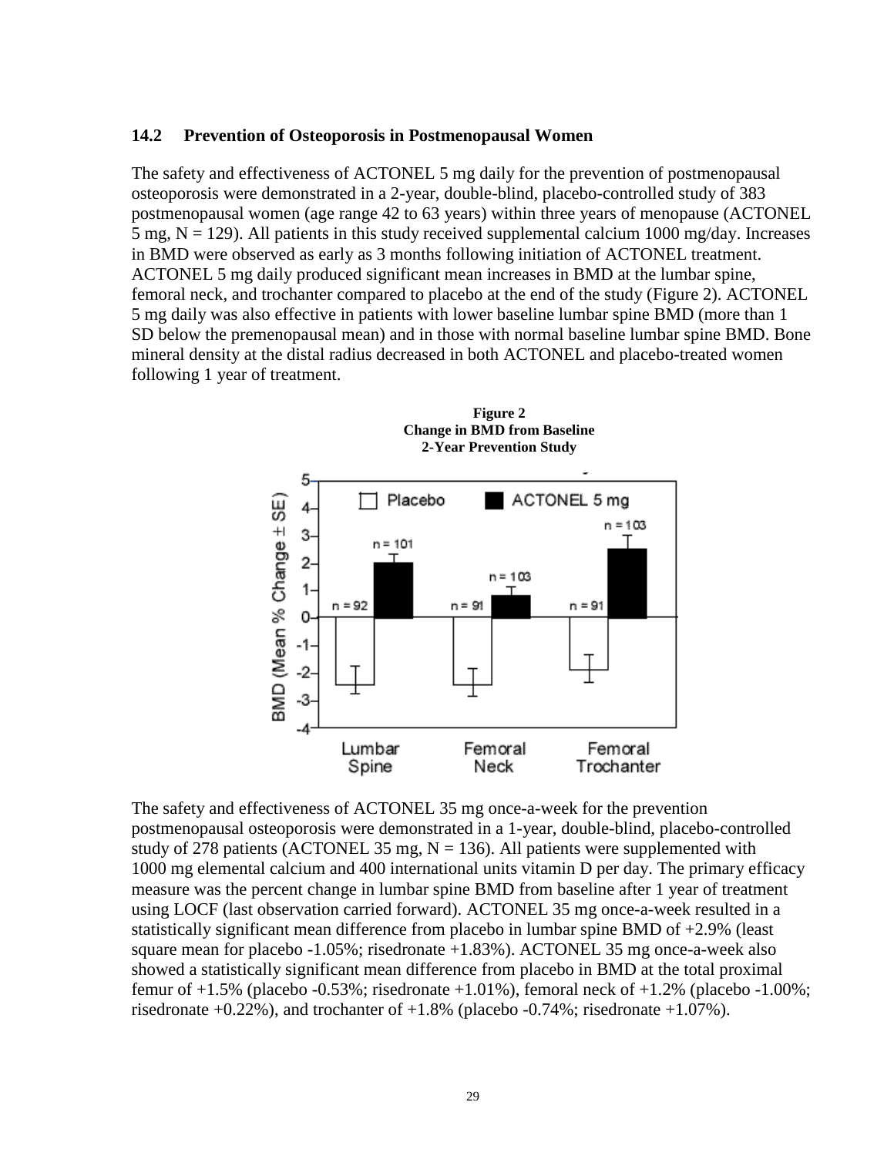#### <span id="page-28-0"></span>**14.2 Prevention of Osteoporosis in Postmenopausal Women**

The safety and effectiveness of ACTONEL 5 mg daily for the prevention of postmenopausal osteoporosis were demonstrated in a 2-year, double-blind, placebo-controlled study of 383 postmenopausal women (age range 42 to 63 years) within three years of menopause (ACTONEL  $5$  mg,  $N = 129$ ). All patients in this study received supplemental calcium 1000 mg/day. Increases in BMD were observed as early as 3 months following initiation of ACTONEL treatment. ACTONEL 5 mg daily produced significant mean increases in BMD at the lumbar spine, femoral neck, and trochanter compared to placebo at the end of the study [\(Figure 2\)](#page-28-1). ACTONEL 5 mg daily was also effective in patients with lower baseline lumbar spine BMD (more than 1 SD below the premenopausal mean) and in those with normal baseline lumbar spine BMD. Bone mineral density at the distal radius decreased in both ACTONEL and placebo-treated women following 1 year of treatment.

<span id="page-28-1"></span>

The safety and effectiveness of ACTONEL 35 mg once-a-week for the prevention postmenopausal osteoporosis were demonstrated in a 1-year, double-blind, placebo-controlled study of 278 patients (ACTONEL 35 mg,  $N = 136$ ). All patients were supplemented with 1000 mg elemental calcium and 400 international units vitamin D per day. The primary efficacy measure was the percent change in lumbar spine BMD from baseline after 1 year of treatment using LOCF (last observation carried forward). ACTONEL 35 mg once-a-week resulted in a statistically significant mean difference from placebo in lumbar spine BMD of +2.9% (least square mean for placebo -1.05%; risedronate +1.83%). ACTONEL 35 mg once-a-week also showed a statistically significant mean difference from placebo in BMD at the total proximal femur of  $+1.5\%$  (placebo  $-0.53\%$ ; risedronate  $+1.01\%$ ), femoral neck of  $+1.2\%$  (placebo  $-1.00\%$ ; risedronate  $+0.22\%$ ), and trochanter of  $+1.8\%$  (placebo  $-0.74\%$ ; risedronate  $+1.07\%$ ).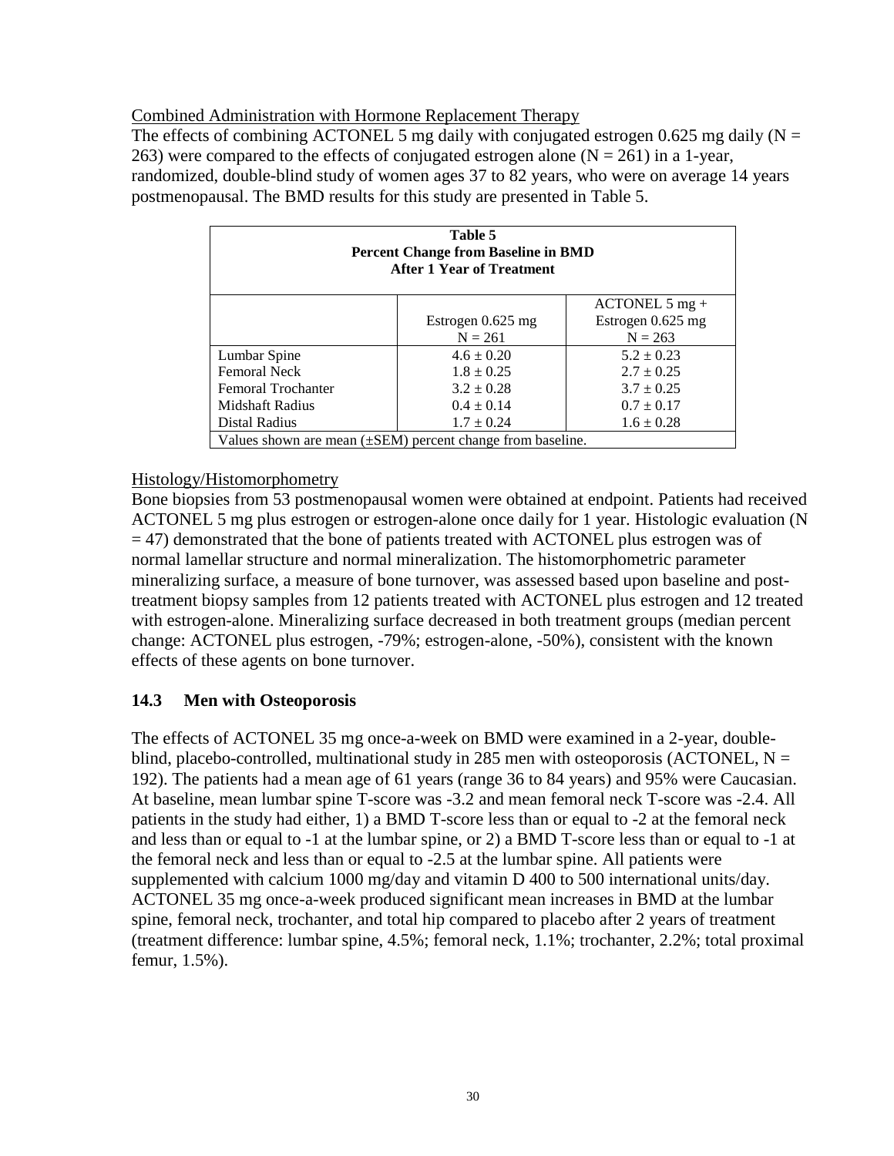### Combined Administration with Hormone Replacement Therapy

The effects of combining ACTONEL 5 mg daily with conjugated estrogen 0.625 mg daily ( $N =$ 263) were compared to the effects of conjugated estrogen alone ( $N = 261$ ) in a 1-year, randomized, double-blind study of women ages 37 to 82 years, who were on average 14 years postmenopausal. The BMD results for this study are presented in [Table 5.](#page-29-1)

<span id="page-29-1"></span>

| Table 5<br><b>Percent Change from Baseline in BMD</b><br><b>After 1 Year of Treatment</b> |                   |                                   |  |  |  |
|-------------------------------------------------------------------------------------------|-------------------|-----------------------------------|--|--|--|
|                                                                                           |                   | $\text{ACTONEL } 5 \text{ mg } +$ |  |  |  |
|                                                                                           | Estrogen 0.625 mg | Estrogen 0.625 mg                 |  |  |  |
|                                                                                           | $N = 261$         | $N = 263$                         |  |  |  |
| Lumbar Spine                                                                              | $4.6 \pm 0.20$    | $5.2 \pm 0.23$                    |  |  |  |
| <b>Femoral Neck</b>                                                                       | $1.8 \pm 0.25$    | $2.7 \pm 0.25$                    |  |  |  |
| Femoral Trochanter                                                                        | $3.2 \pm 0.28$    | $3.7 \pm 0.25$                    |  |  |  |
| Midshaft Radius                                                                           | $0.4 \pm 0.14$    | $0.7 \pm 0.17$                    |  |  |  |
| Distal Radius                                                                             | $1.7 \pm 0.24$    | $1.6 \pm 0.28$                    |  |  |  |
| Values shown are mean $(\pm$ SEM) percent change from baseline.                           |                   |                                   |  |  |  |

### Histology/Histomorphometry

Bone biopsies from 53 postmenopausal women were obtained at endpoint. Patients had received ACTONEL 5 mg plus estrogen or estrogen-alone once daily for 1 year. Histologic evaluation (N  $=$  47) demonstrated that the bone of patients treated with ACTONEL plus estrogen was of normal lamellar structure and normal mineralization. The histomorphometric parameter mineralizing surface, a measure of bone turnover, was assessed based upon baseline and posttreatment biopsy samples from 12 patients treated with ACTONEL plus estrogen and 12 treated with estrogen-alone. Mineralizing surface decreased in both treatment groups (median percent change: ACTONEL plus estrogen, -79%; estrogen-alone, -50%), consistent with the known effects of these agents on bone turnover.

## <span id="page-29-0"></span>**14.3 Men with Osteoporosis**

The effects of ACTONEL 35 mg once-a-week on BMD were examined in a 2-year, doubleblind, placebo-controlled, multinational study in 285 men with osteoporosis (ACTONEL,  $N =$ 192). The patients had a mean age of 61 years (range 36 to 84 years) and 95% were Caucasian. At baseline, mean lumbar spine T-score was -3.2 and mean femoral neck T-score was -2.4. All patients in the study had either, 1) a BMD T-score less than or equal to -2 at the femoral neck and less than or equal to -1 at the lumbar spine, or 2) a BMD T-score less than or equal to -1 at the femoral neck and less than or equal to -2.5 at the lumbar spine. All patients were supplemented with calcium 1000 mg/day and vitamin D 400 to 500 international units/day. ACTONEL 35 mg once-a-week produced significant mean increases in BMD at the lumbar spine, femoral neck, trochanter, and total hip compared to placebo after 2 years of treatment (treatment difference: lumbar spine, 4.5%; femoral neck, 1.1%; trochanter, 2.2%; total proximal femur, 1.5%).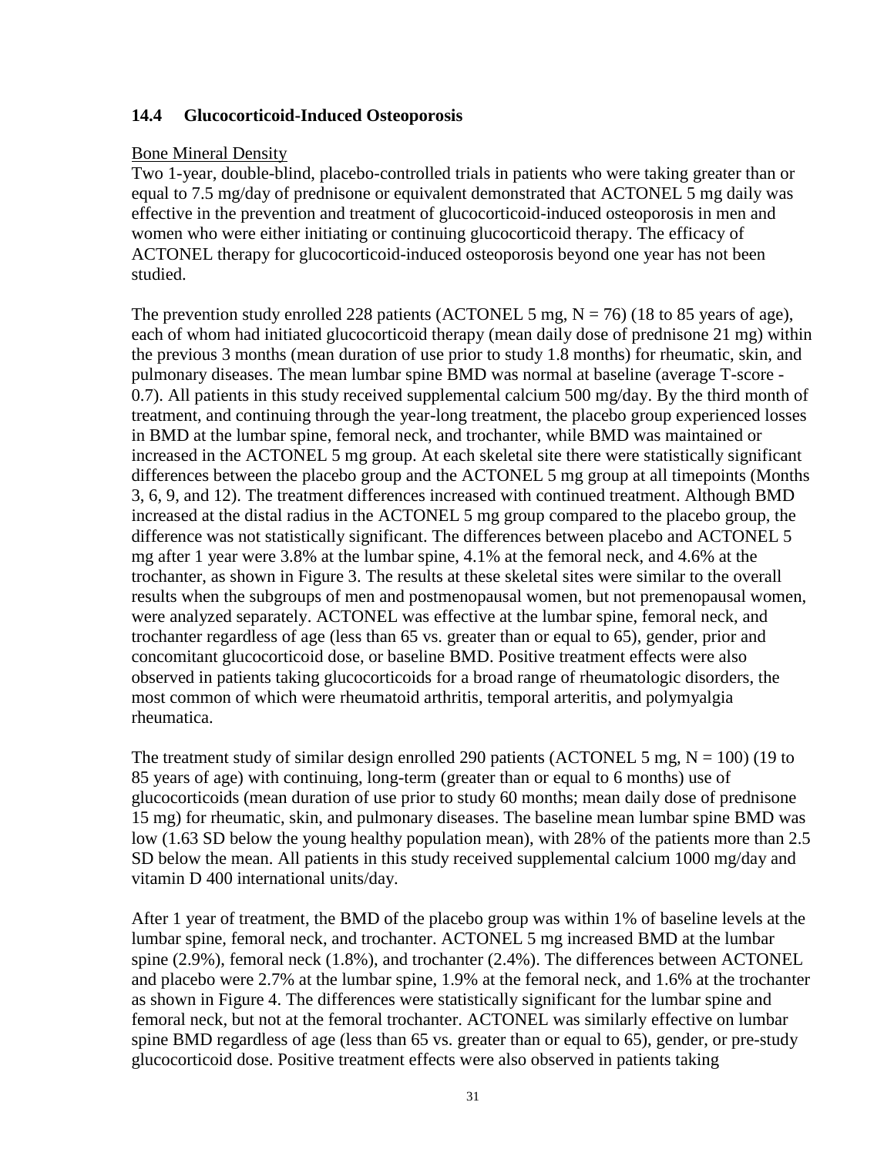### <span id="page-30-0"></span>**14.4 Glucocorticoid-Induced Osteoporosis**

#### Bone Mineral Density

Two 1-year, double-blind, placebo-controlled trials in patients who were taking greater than or equal to 7.5 mg/day of prednisone or equivalent demonstrated that ACTONEL 5 mg daily was effective in the prevention and treatment of glucocorticoid-induced osteoporosis in men and women who were either initiating or continuing glucocorticoid therapy. The efficacy of ACTONEL therapy for glucocorticoid-induced osteoporosis beyond one year has not been studied.

The prevention study enrolled 228 patients (ACTONEL 5 mg,  $N = 76$ ) (18 to 85 years of age), each of whom had initiated glucocorticoid therapy (mean daily dose of prednisone 21 mg) within the previous 3 months (mean duration of use prior to study 1.8 months) for rheumatic, skin, and pulmonary diseases. The mean lumbar spine BMD was normal at baseline (average T-score - 0.7). All patients in this study received supplemental calcium 500 mg/day. By the third month of treatment, and continuing through the year-long treatment, the placebo group experienced losses in BMD at the lumbar spine, femoral neck, and trochanter, while BMD was maintained or increased in the ACTONEL 5 mg group. At each skeletal site there were statistically significant differences between the placebo group and the ACTONEL 5 mg group at all timepoints (Months 3, 6, 9, and 12). The treatment differences increased with continued treatment. Although BMD increased at the distal radius in the ACTONEL 5 mg group compared to the placebo group, the difference was not statistically significant. The differences between placebo and ACTONEL 5 mg after 1 year were 3.8% at the lumbar spine, 4.1% at the femoral neck, and 4.6% at the trochanter, as shown in [Figure 3.](#page-31-0) The results at these skeletal sites were similar to the overall results when the subgroups of men and postmenopausal women, but not premenopausal women, were analyzed separately. ACTONEL was effective at the lumbar spine, femoral neck, and trochanter regardless of age (less than 65 vs. greater than or equal to 65), gender, prior and concomitant glucocorticoid dose, or baseline BMD. Positive treatment effects were also observed in patients taking glucocorticoids for a broad range of rheumatologic disorders, the most common of which were rheumatoid arthritis, temporal arteritis, and polymyalgia rheumatica.

The treatment study of similar design enrolled 290 patients (ACTONEL 5 mg,  $N = 100$ ) (19 to 85 years of age) with continuing, long-term (greater than or equal to 6 months) use of glucocorticoids (mean duration of use prior to study 60 months; mean daily dose of prednisone 15 mg) for rheumatic, skin, and pulmonary diseases. The baseline mean lumbar spine BMD was low (1.63 SD below the young healthy population mean), with 28% of the patients more than 2.5 SD below the mean. All patients in this study received supplemental calcium 1000 mg/day and vitamin D 400 international units/day.

After 1 year of treatment, the BMD of the placebo group was within 1% of baseline levels at the lumbar spine, femoral neck, and trochanter. ACTONEL 5 mg increased BMD at the lumbar spine (2.9%), femoral neck (1.8%), and trochanter (2.4%). The differences between ACTONEL and placebo were 2.7% at the lumbar spine, 1.9% at the femoral neck, and 1.6% at the trochanter as shown in [Figure 4.](#page-31-1) The differences were statistically significant for the lumbar spine and femoral neck, but not at the femoral trochanter. ACTONEL was similarly effective on lumbar spine BMD regardless of age (less than 65 vs. greater than or equal to 65), gender, or pre-study glucocorticoid dose. Positive treatment effects were also observed in patients taking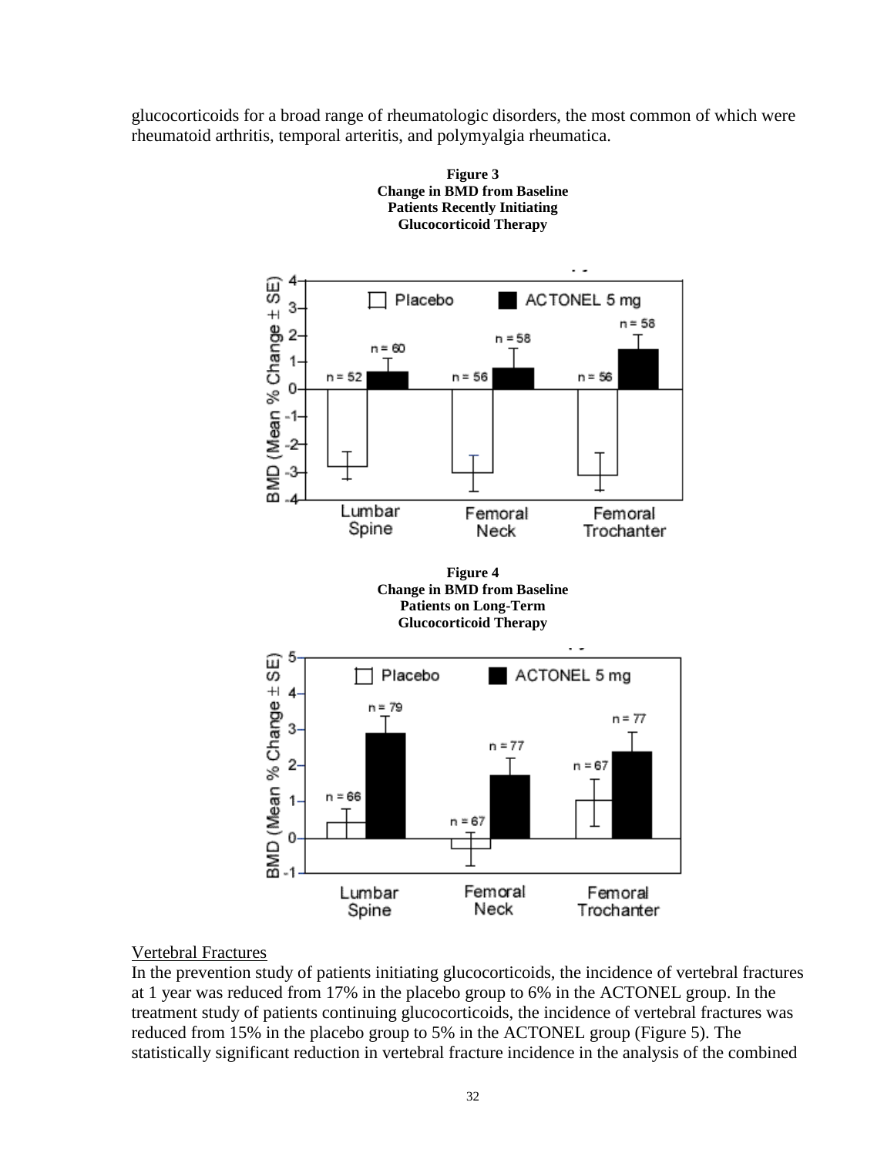<span id="page-31-0"></span>glucocorticoids for a broad range of rheumatologic disorders, the most common of which were rheumatoid arthritis, temporal arteritis, and polymyalgia rheumatica.

<span id="page-31-1"></span>



### Vertebral Fractures

In the prevention study of patients initiating glucocorticoids, the incidence of vertebral fractures at 1 year was reduced from 17% in the placebo group to 6% in the ACTONEL group. In the treatment study of patients continuing glucocorticoids, the incidence of vertebral fractures was reduced from 15% in the placebo group to 5% in the ACTONEL group [\(Figure 5\)](#page-32-1). The statistically significant reduction in vertebral fracture incidence in the analysis of the combined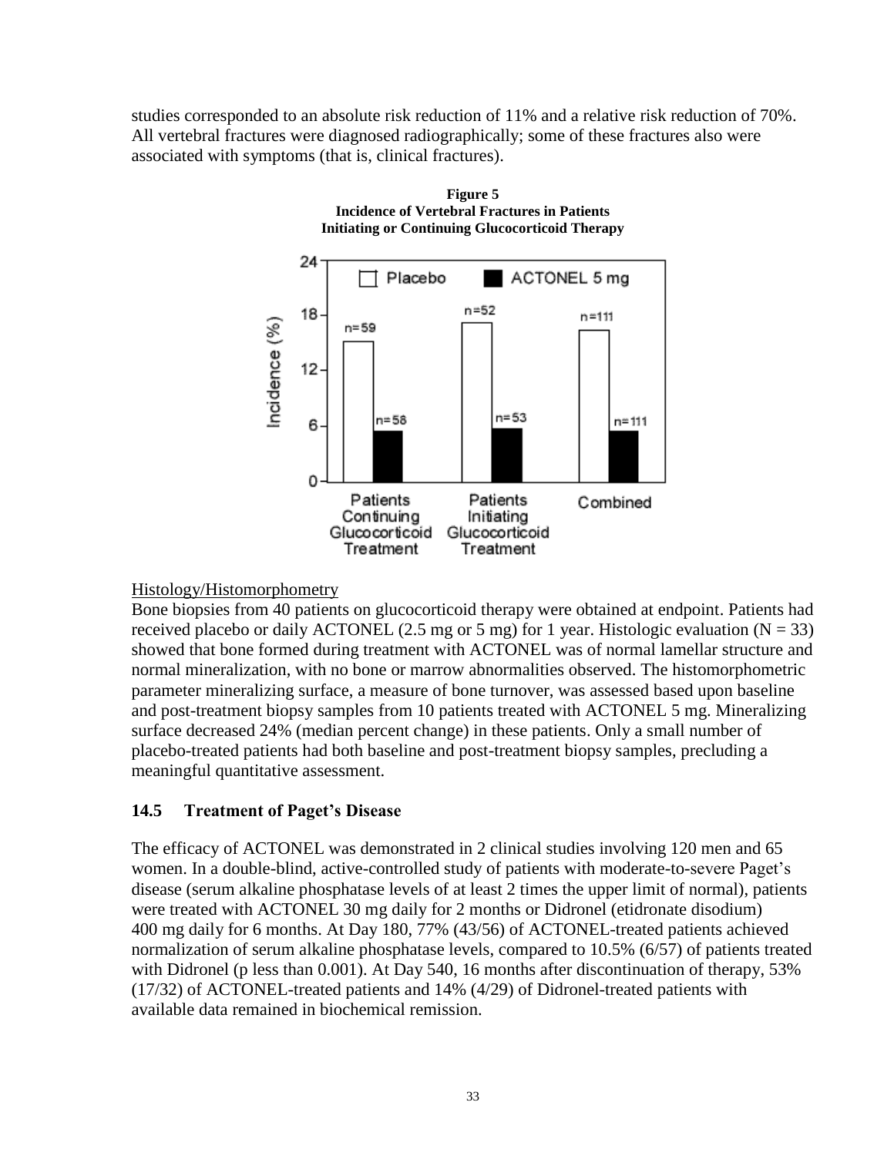<span id="page-32-1"></span>studies corresponded to an absolute risk reduction of 11% and a relative risk reduction of 70%. All vertebral fractures were diagnosed radiographically; some of these fractures also were associated with symptoms (that is, clinical fractures).





## Histology/Histomorphometry

Bone biopsies from 40 patients on glucocorticoid therapy were obtained at endpoint. Patients had received placebo or daily ACTONEL (2.5 mg or 5 mg) for 1 year. Histologic evaluation ( $N = 33$ ) showed that bone formed during treatment with ACTONEL was of normal lamellar structure and normal mineralization, with no bone or marrow abnormalities observed. The histomorphometric parameter mineralizing surface, a measure of bone turnover, was assessed based upon baseline and post-treatment biopsy samples from 10 patients treated with ACTONEL 5 mg. Mineralizing surface decreased 24% (median percent change) in these patients. Only a small number of placebo-treated patients had both baseline and post-treatment biopsy samples, precluding a meaningful quantitative assessment.

# <span id="page-32-0"></span>**14.5 Treatment of Paget's Disease**

The efficacy of ACTONEL was demonstrated in 2 clinical studies involving 120 men and 65 women. In a double-blind, active-controlled study of patients with moderate-to-severe Paget's disease (serum alkaline phosphatase levels of at least 2 times the upper limit of normal), patients were treated with ACTONEL 30 mg daily for 2 months or Didronel (etidronate disodium) 400 mg daily for 6 months. At Day 180, 77% (43/56) of ACTONEL-treated patients achieved normalization of serum alkaline phosphatase levels, compared to 10.5% (6/57) of patients treated with Didronel (p less than 0.001). At Day 540, 16 months after discontinuation of therapy, 53% (17/32) of ACTONEL-treated patients and 14% (4/29) of Didronel-treated patients with available data remained in biochemical remission.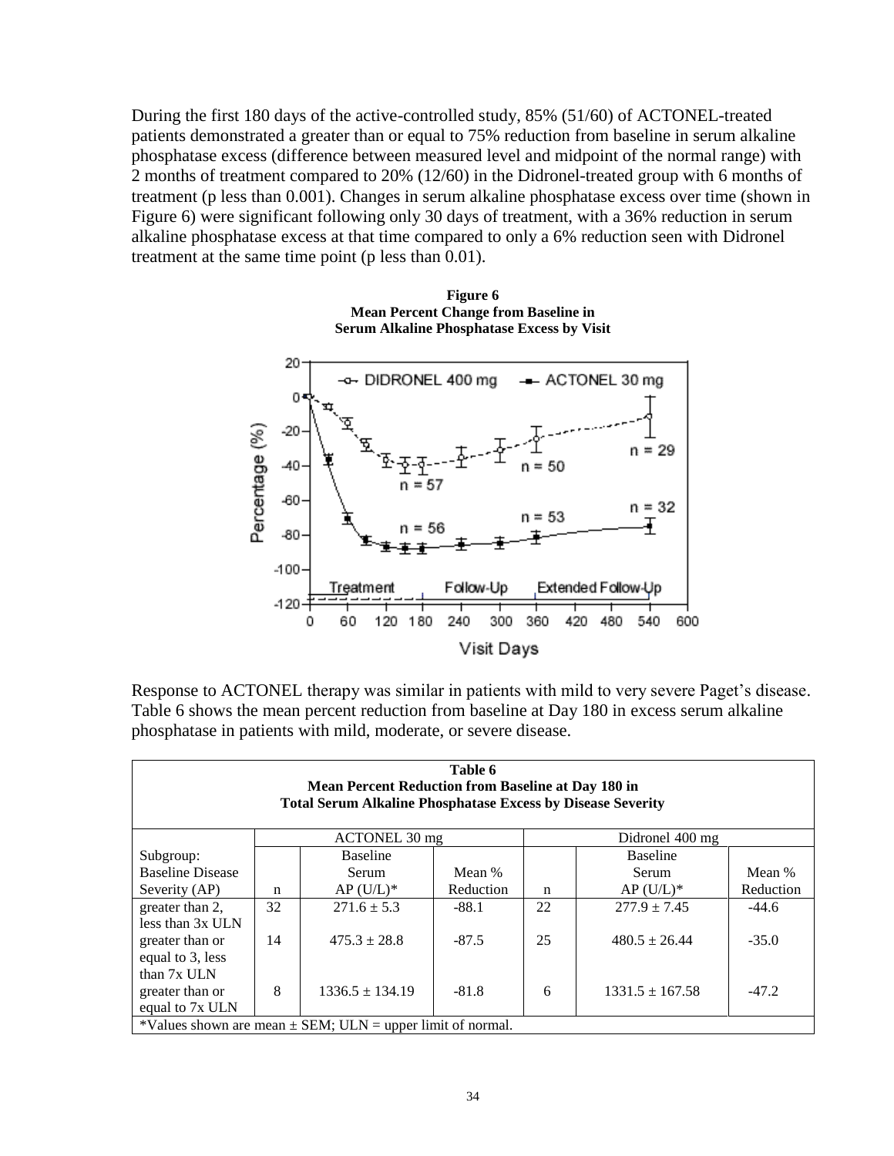During the first 180 days of the active-controlled study, 85% (51/60) of ACTONEL-treated patients demonstrated a greater than or equal to 75% reduction from baseline in serum alkaline phosphatase excess (difference between measured level and midpoint of the normal range) with 2 months of treatment compared to 20% (12/60) in the Didronel-treated group with 6 months of treatment (p less than 0.001). Changes in serum alkaline phosphatase excess over time (shown in [Figure 6\)](#page-33-0) were significant following only 30 days of treatment, with a 36% reduction in serum alkaline phosphatase excess at that time compared to only a 6% reduction seen with Didronel treatment at the same time point (p less than 0.01).

> **Figure 6 Mean Percent Change from Baseline in**

<span id="page-33-0"></span>

Response to ACTONEL therapy was similar in patients with mild to very severe Paget's disease. [Table 6](#page-33-1) shows the mean percent reduction from baseline at Day 180 in excess serum alkaline phosphatase in patients with mild, moderate, or severe disease.

<span id="page-33-1"></span>

| Table 6<br><b>Mean Percent Reduction from Baseline at Day 180 in</b><br><b>Total Serum Alkaline Phosphatase Excess by Disease Severity</b> |               |                     |           |    |                     |           |  |
|--------------------------------------------------------------------------------------------------------------------------------------------|---------------|---------------------|-----------|----|---------------------|-----------|--|
|                                                                                                                                            | ACTONEL 30 mg |                     |           |    | Didronel 400 mg     |           |  |
| Subgroup:                                                                                                                                  |               | <b>Baseline</b>     |           |    | <b>Baseline</b>     |           |  |
| <b>Baseline Disease</b>                                                                                                                    |               | Serum               | Mean %    |    | Serum               | Mean %    |  |
| Severity (AP)                                                                                                                              | n             | $AP (U/L)^*$        | Reduction | n  | $AP (U/L)*$         | Reduction |  |
| greater than 2,                                                                                                                            | 32            | $271.6 \pm 5.3$     | $-88.1$   | 22 | $277.9 \pm 7.45$    | $-44.6$   |  |
| less than $3x$ ULN<br>greater than or<br>equal to 3, less                                                                                  | 14            | $475.3 \pm 28.8$    | $-87.5$   | 25 | $480.5 \pm 26.44$   | $-35.0$   |  |
| than 7x ULN<br>greater than or<br>equal to 7x ULN                                                                                          | 8             | $1336.5 \pm 134.19$ | $-81.8$   | 6  | $1331.5 \pm 167.58$ | $-47.2$   |  |
| *Values shown are mean $\pm$ SEM; ULN = upper limit of normal.                                                                             |               |                     |           |    |                     |           |  |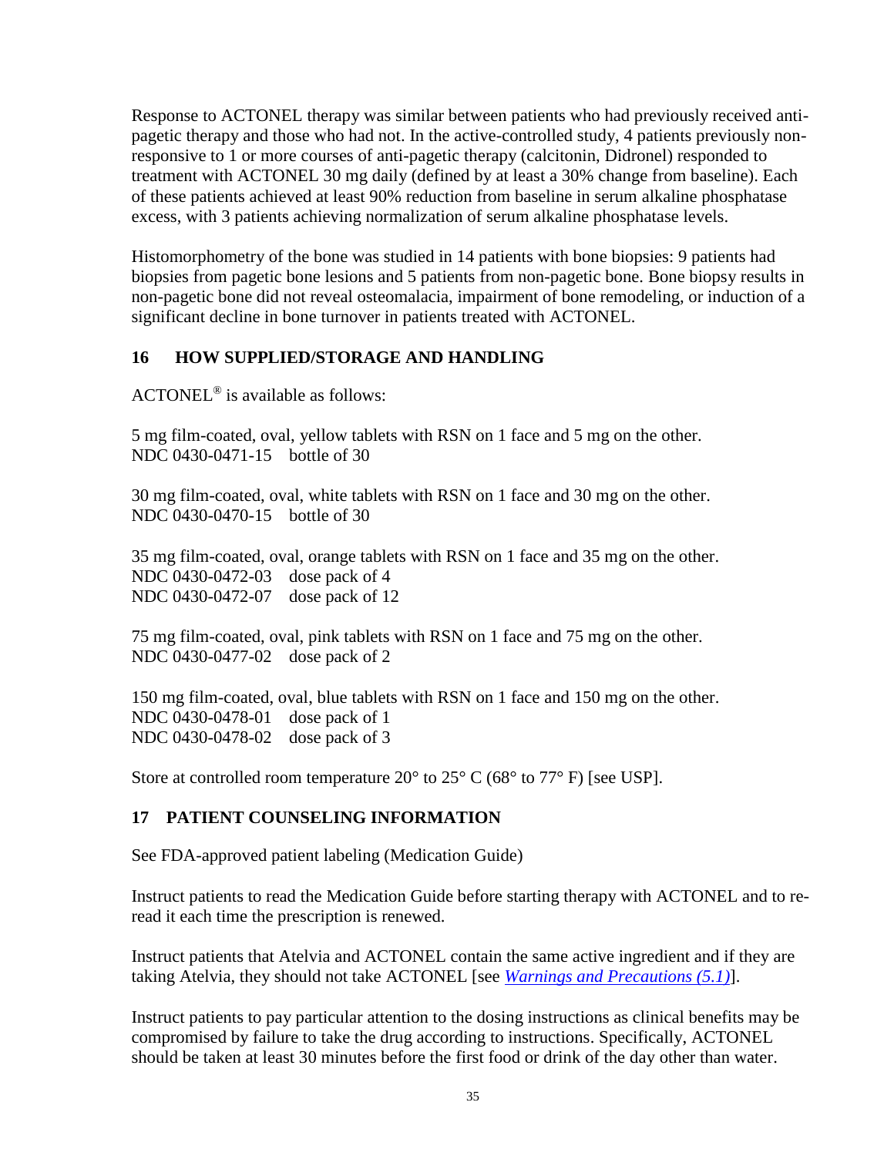Response to ACTONEL therapy was similar between patients who had previously received antipagetic therapy and those who had not. In the active-controlled study, 4 patients previously nonresponsive to 1 or more courses of anti-pagetic therapy (calcitonin, Didronel) responded to treatment with ACTONEL 30 mg daily (defined by at least a 30% change from baseline). Each of these patients achieved at least 90% reduction from baseline in serum alkaline phosphatase excess, with 3 patients achieving normalization of serum alkaline phosphatase levels.

Histomorphometry of the bone was studied in 14 patients with bone biopsies: 9 patients had biopsies from pagetic bone lesions and 5 patients from non-pagetic bone. Bone biopsy results in non-pagetic bone did not reveal osteomalacia, impairment of bone remodeling, or induction of a significant decline in bone turnover in patients treated with ACTONEL.

## <span id="page-34-0"></span>**16 HOW SUPPLIED/STORAGE AND HANDLING**

ACTONEL® is available as follows:

5 mg film-coated, oval, yellow tablets with RSN on 1 face and 5 mg on the other. NDC 0430-0471-15 bottle of 30

30 mg film-coated, oval, white tablets with RSN on 1 face and 30 mg on the other. NDC 0430-0470-15 bottle of 30

35 mg film-coated, oval, orange tablets with RSN on 1 face and 35 mg on the other. NDC 0430-0472-03 dose pack of 4 NDC 0430-0472-07 dose pack of 12

75 mg film-coated, oval, pink tablets with RSN on 1 face and 75 mg on the other. NDC 0430-0477-02 dose pack of 2

150 mg film-coated, oval, blue tablets with RSN on 1 face and 150 mg on the other. NDC 0430-0478-01 dose pack of 1 NDC 0430-0478-02 dose pack of 3

Store at controlled room temperature  $20^{\circ}$  to  $25^{\circ}$  C (68° to  $77^{\circ}$  F) [see USP].

## <span id="page-34-1"></span>**17 PATIENT COUNSELING INFORMATION**

See FDA-approved patient labeling (Medication Guide)

Instruct patients to read the Medication Guide before starting therapy with ACTONEL and to reread it each time the prescription is renewed.

Instruct patients that Atelvia and ACTONEL contain the same active ingredient and if they are taking Atelvia, they should not take ACTONEL [see *[Warnings and Precautions \(5.1\)](#page-4-1)*].

Instruct patients to pay particular attention to the dosing instructions as clinical benefits may be compromised by failure to take the drug according to instructions. Specifically, ACTONEL should be taken at least 30 minutes before the first food or drink of the day other than water.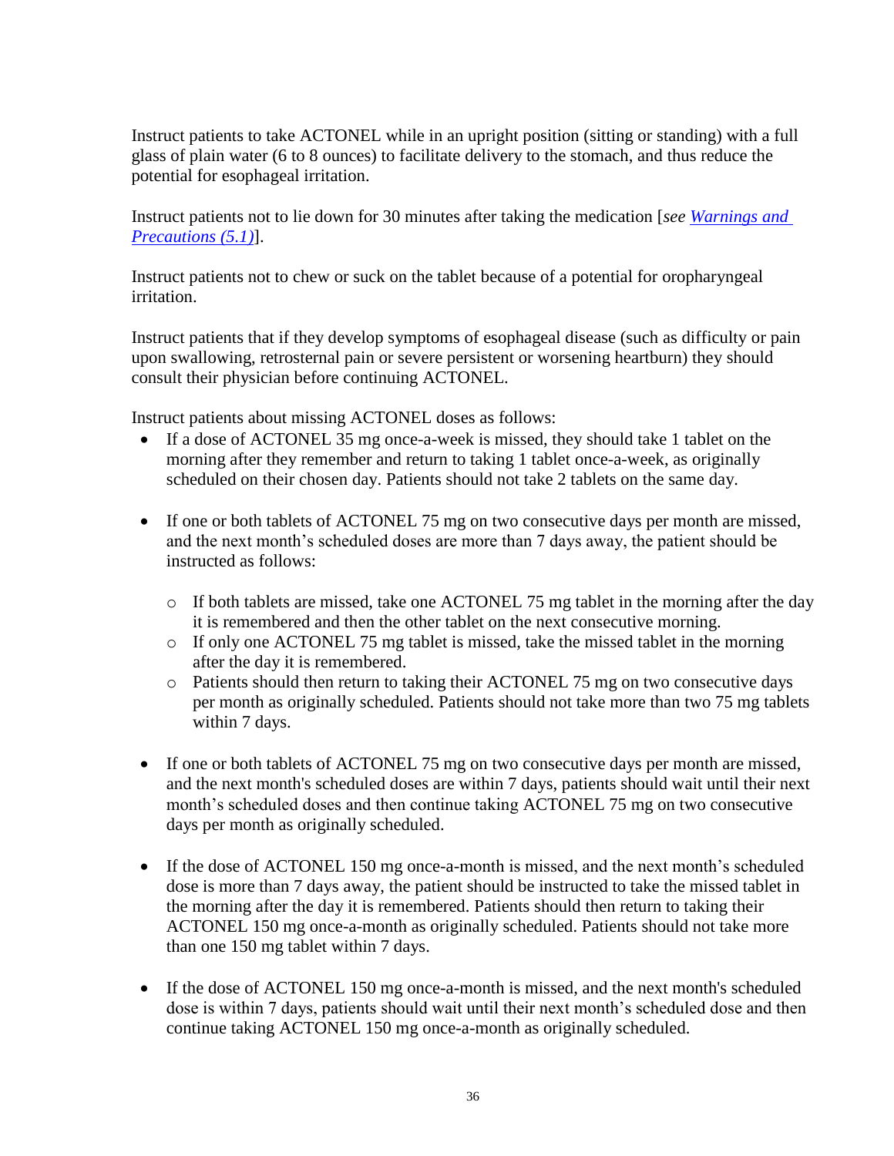Instruct patients to take ACTONEL while in an upright position (sitting or standing) with a full glass of plain water (6 to 8 ounces) to facilitate delivery to the stomach, and thus reduce the potential for esophageal irritation.

Instruct patients not to lie down for 30 minutes after taking the medication [*see [Warnings and](#page-4-1)  [Precautions \(5.1\)](#page-4-1)*].

Instruct patients not to chew or suck on the tablet because of a potential for oropharyngeal irritation.

Instruct patients that if they develop symptoms of esophageal disease (such as difficulty or pain upon swallowing, retrosternal pain or severe persistent or worsening heartburn) they should consult their physician before continuing ACTONEL.

Instruct patients about missing ACTONEL doses as follows:

- If a dose of ACTONEL 35 mg once-a-week is missed, they should take 1 tablet on the morning after they remember and return to taking 1 tablet once-a-week, as originally scheduled on their chosen day. Patients should not take 2 tablets on the same day.
- If one or both tablets of ACTONEL 75 mg on two consecutive days per month are missed, and the next month's scheduled doses are more than 7 days away, the patient should be instructed as follows:
	- o If both tablets are missed, take one ACTONEL 75 mg tablet in the morning after the day it is remembered and then the other tablet on the next consecutive morning.
	- o If only one ACTONEL 75 mg tablet is missed, take the missed tablet in the morning after the day it is remembered.
	- o Patients should then return to taking their ACTONEL 75 mg on two consecutive days per month as originally scheduled. Patients should not take more than two 75 mg tablets within 7 days.
- If one or both tablets of ACTONEL 75 mg on two consecutive days per month are missed, and the next month's scheduled doses are within 7 days, patients should wait until their next month's scheduled doses and then continue taking ACTONEL 75 mg on two consecutive days per month as originally scheduled.
- If the dose of ACTONEL 150 mg once-a-month is missed, and the next month's scheduled dose is more than 7 days away, the patient should be instructed to take the missed tablet in the morning after the day it is remembered. Patients should then return to taking their ACTONEL 150 mg once-a-month as originally scheduled. Patients should not take more than one 150 mg tablet within 7 days.
- If the dose of ACTONEL 150 mg once-a-month is missed, and the next month's scheduled dose is within 7 days, patients should wait until their next month's scheduled dose and then continue taking ACTONEL 150 mg once-a-month as originally scheduled.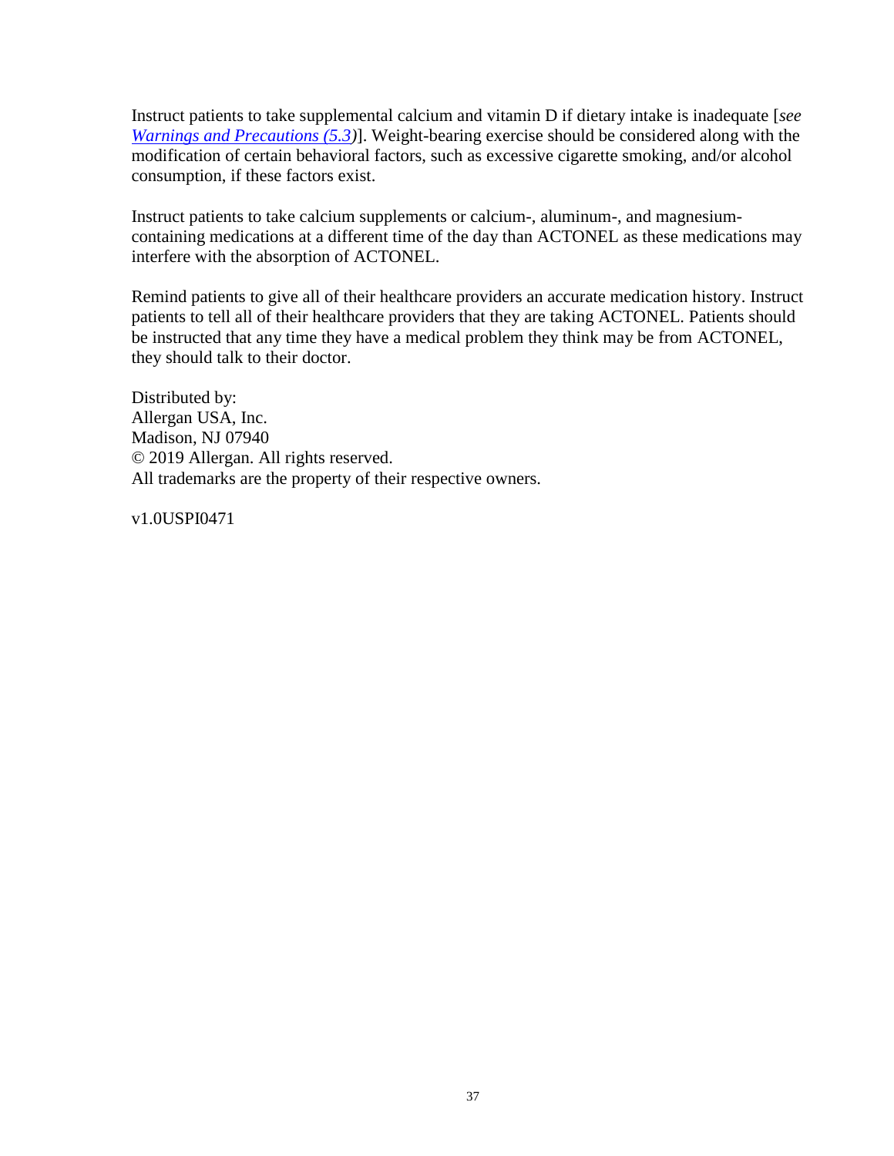Instruct patients to take supplemental calcium and vitamin D if dietary intake is inadequate [*see [Warnings and Precautions \(5.3\)](#page-5-0)*]. Weight-bearing exercise should be considered along with the modification of certain behavioral factors, such as excessive cigarette smoking, and/or alcohol consumption, if these factors exist.

Instruct patients to take calcium supplements or calcium-, aluminum-, and magnesiumcontaining medications at a different time of the day than ACTONEL as these medications may interfere with the absorption of ACTONEL.

Remind patients to give all of their healthcare providers an accurate medication history. Instruct patients to tell all of their healthcare providers that they are taking ACTONEL. Patients should be instructed that any time they have a medical problem they think may be from ACTONEL, they should talk to their doctor.

Distributed by: Allergan USA, Inc. Madison, NJ 07940 © 2019 Allergan. All rights reserved. All trademarks are the property of their respective owners.

v1.0USPI0471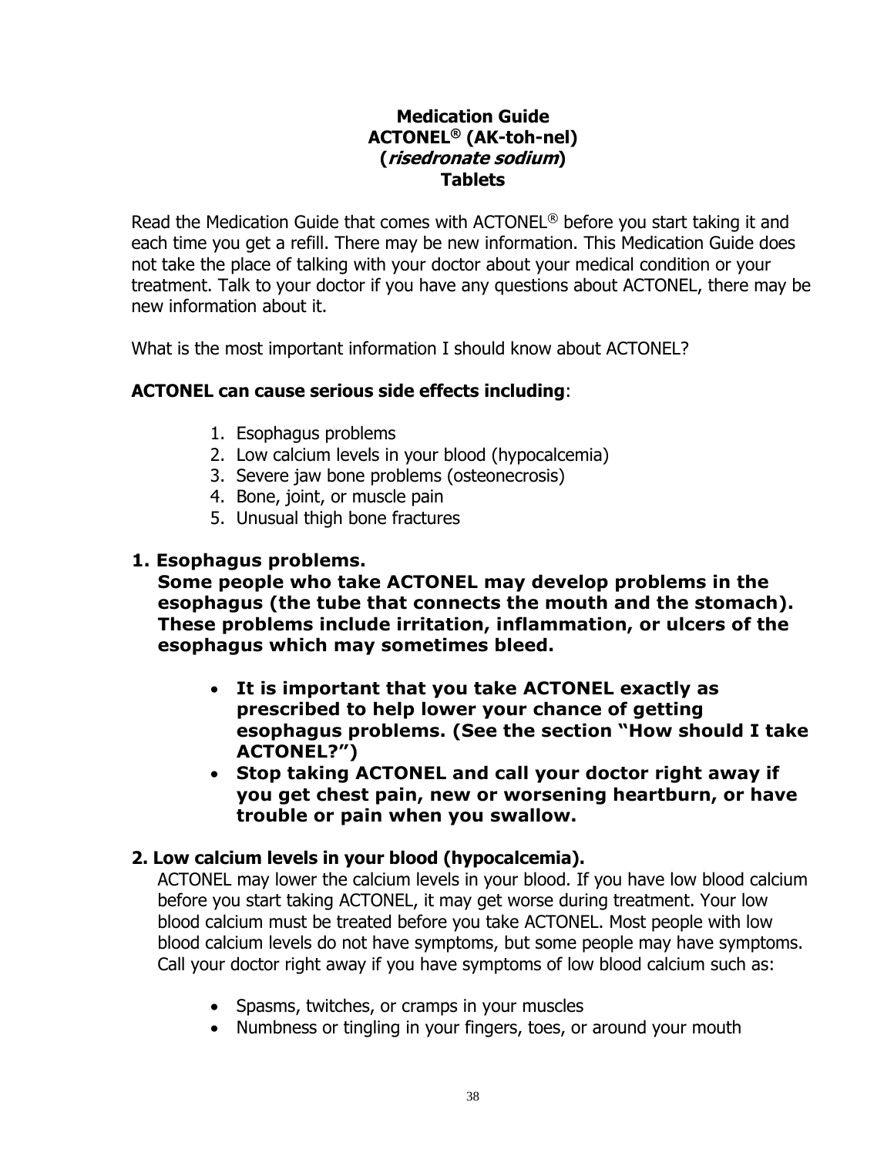# **Medication Guide ACTONEL® (AK-toh-nel) (risedronate sodium) Tablets**

Read the Medication Guide that comes with ACTONEL® before you start taking it and each time you get a refill. There may be new information. This Medication Guide does not take the place of talking with your doctor about your medical condition or your treatment. Talk to your doctor if you have any questions about ACTONEL, there may be new information about it.

What is the most important information I should know about ACTONEL?

# **ACTONEL can cause serious side effects including**:

- 1. Esophagus problems
- 2. Low calcium levels in your blood (hypocalcemia)
- 3. Severe jaw bone problems (osteonecrosis)
- 4. Bone, joint, or muscle pain
- 5. Unusual thigh bone fractures

# **1. Esophagus problems.**

**Some people who take ACTONEL may develop problems in the esophagus (the tube that connects the mouth and the stomach). These problems include irritation, inflammation, or ulcers of the esophagus which may sometimes bleed.**

- **It is important that you take ACTONEL exactly as prescribed to help lower your chance of getting esophagus problems. (See the section "How should I take ACTONEL?")**
- **Stop taking ACTONEL and call your doctor right away if you get chest pain, new or worsening heartburn, or have trouble or pain when you swallow.**

# **2. Low calcium levels in your blood (hypocalcemia).**

ACTONEL may lower the calcium levels in your blood. If you have low blood calcium before you start taking ACTONEL, it may get worse during treatment. Your low blood calcium must be treated before you take ACTONEL. Most people with low blood calcium levels do not have symptoms, but some people may have symptoms. Call your doctor right away if you have symptoms of low blood calcium such as:

- Spasms, twitches, or cramps in your muscles
- Numbness or tingling in your fingers, toes, or around your mouth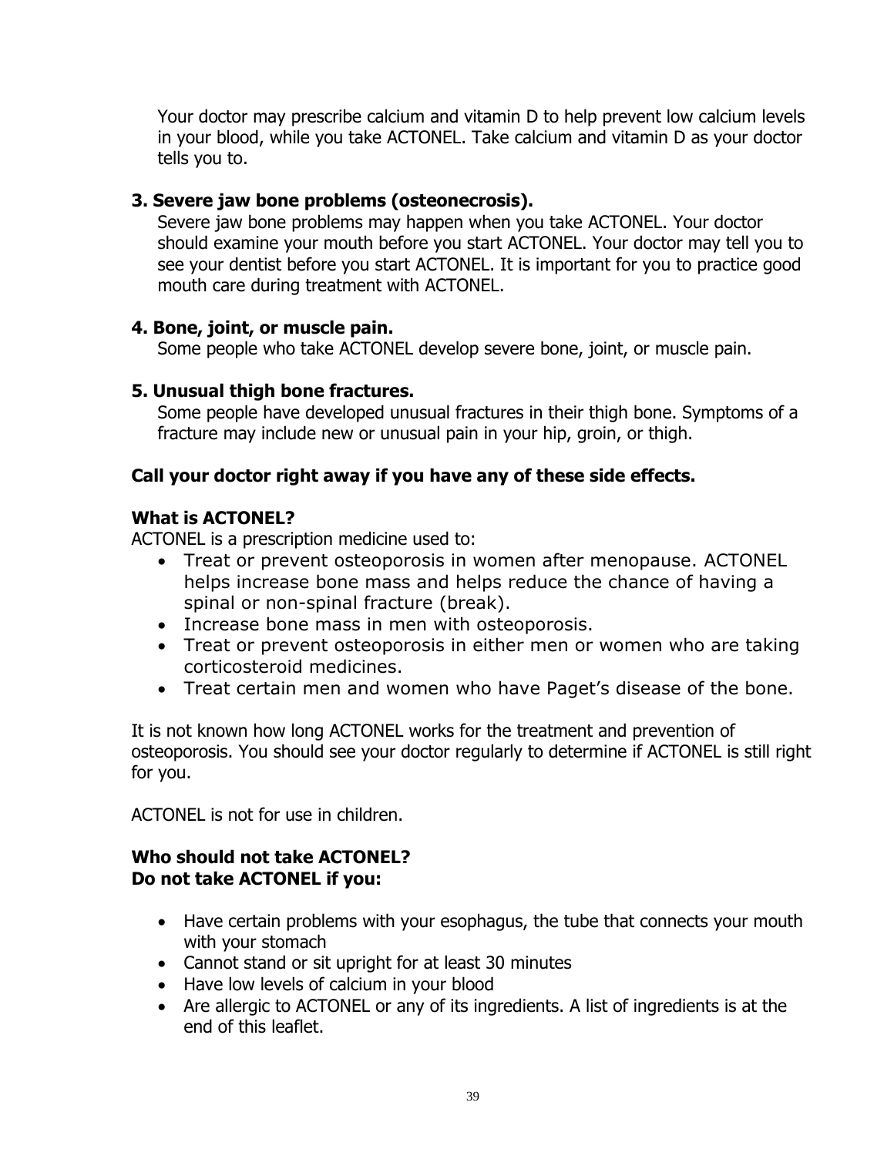Your doctor may prescribe calcium and vitamin D to help prevent low calcium levels in your blood, while you take ACTONEL. Take calcium and vitamin D as your doctor tells you to.

# **3. Severe jaw bone problems (osteonecrosis).**

Severe jaw bone problems may happen when you take ACTONEL. Your doctor should examine your mouth before you start ACTONEL. Your doctor may tell you to see your dentist before you start ACTONEL. It is important for you to practice good mouth care during treatment with ACTONEL.

# **4. Bone, joint, or muscle pain.**

Some people who take ACTONEL develop severe bone, joint, or muscle pain.

# **5. Unusual thigh bone fractures.**

Some people have developed unusual fractures in their thigh bone. Symptoms of a fracture may include new or unusual pain in your hip, groin, or thigh.

# **Call your doctor right away if you have any of these side effects.**

# **What is ACTONEL?**

ACTONEL is a prescription medicine used to:

- Treat or prevent osteoporosis in women after menopause. ACTONEL helps increase bone mass and helps reduce the chance of having a spinal or non-spinal fracture (break).
- Increase bone mass in men with osteoporosis.
- Treat or prevent osteoporosis in either men or women who are taking corticosteroid medicines.
- Treat certain men and women who have Paget's disease of the bone.

It is not known how long ACTONEL works for the treatment and prevention of osteoporosis. You should see your doctor regularly to determine if ACTONEL is still right for you.

ACTONEL is not for use in children.

# **Who should not take ACTONEL? Do not take ACTONEL if you:**

- Have certain problems with your esophagus, the tube that connects your mouth with your stomach
- Cannot stand or sit upright for at least 30 minutes
- Have low levels of calcium in your blood
- Are allergic to ACTONEL or any of its ingredients. A list of ingredients is at the end of this leaflet.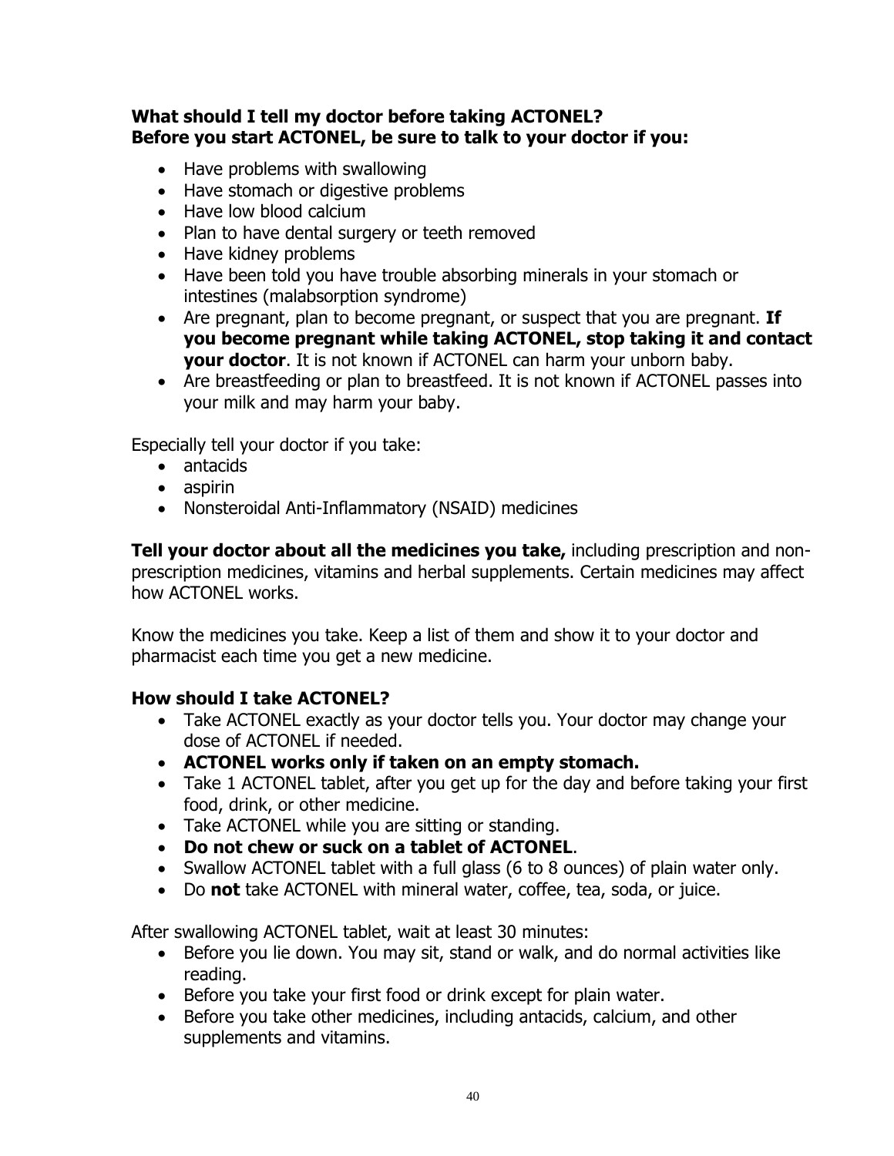# **What should I tell my doctor before taking ACTONEL? Before you start ACTONEL, be sure to talk to your doctor if you:**

- Have problems with swallowing
- Have stomach or digestive problems
- Have low blood calcium
- Plan to have dental surgery or teeth removed
- Have kidney problems
- Have been told you have trouble absorbing minerals in your stomach or intestines (malabsorption syndrome)
- Are pregnant, plan to become pregnant, or suspect that you are pregnant. **If you become pregnant while taking ACTONEL, stop taking it and contact your doctor**. It is not known if ACTONEL can harm your unborn baby.
- Are breastfeeding or plan to breastfeed. It is not known if ACTONEL passes into your milk and may harm your baby.

Especially tell your doctor if you take:

- antacids
- aspirin
- Nonsteroidal Anti-Inflammatory (NSAID) medicines

**Tell your doctor about all the medicines you take,** including prescription and nonprescription medicines, vitamins and herbal supplements. Certain medicines may affect how ACTONEL works.

Know the medicines you take. Keep a list of them and show it to your doctor and pharmacist each time you get a new medicine.

# **How should I take ACTONEL?**

- Take ACTONEL exactly as your doctor tells you. Your doctor may change your dose of ACTONEL if needed.
- **ACTONEL works only if taken on an empty stomach.**
- Take 1 ACTONEL tablet, after you get up for the day and before taking your first food, drink, or other medicine.
- Take ACTONEL while you are sitting or standing.
- **Do not chew or suck on a tablet of ACTONEL**.
- Swallow ACTONEL tablet with a full glass (6 to 8 ounces) of plain water only.
- Do **not** take ACTONEL with mineral water, coffee, tea, soda, or juice.

After swallowing ACTONEL tablet, wait at least 30 minutes:

- Before you lie down. You may sit, stand or walk, and do normal activities like reading.
- Before you take your first food or drink except for plain water.
- Before you take other medicines, including antacids, calcium, and other supplements and vitamins.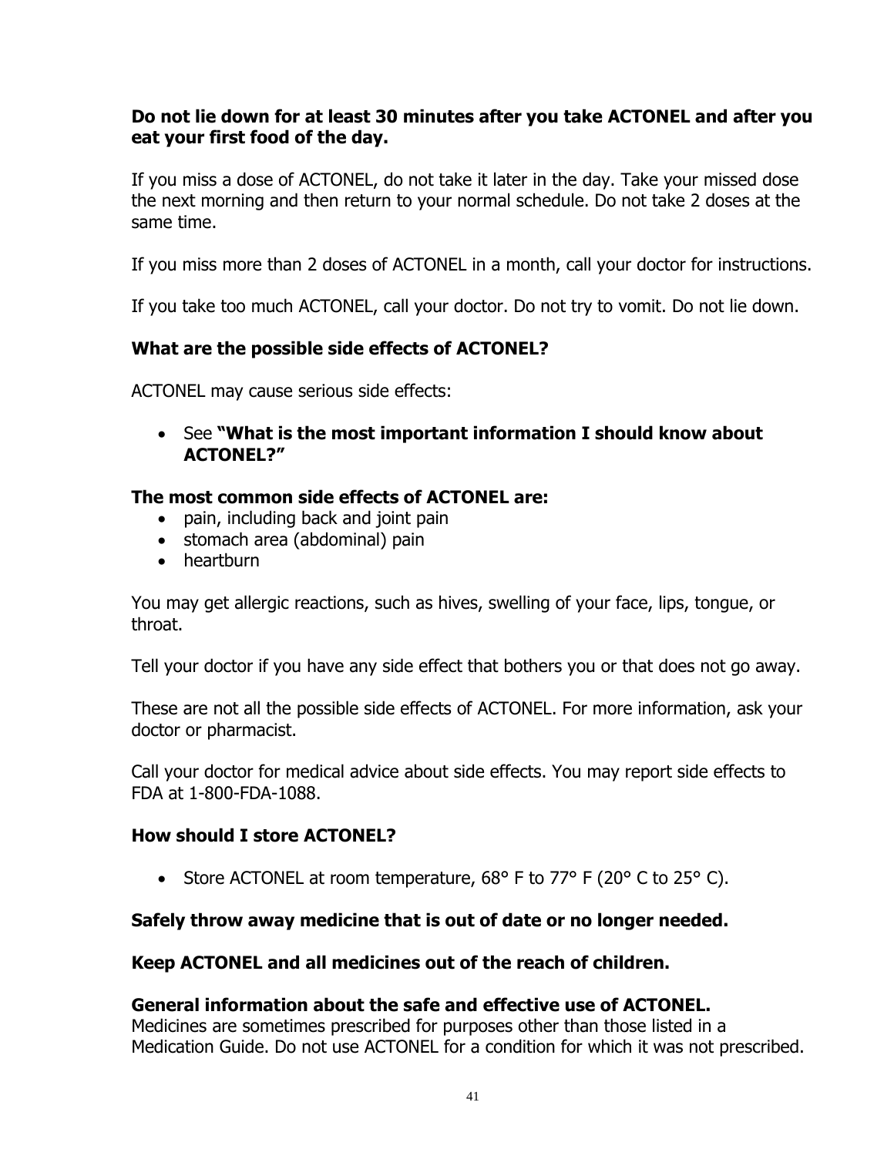# **Do not lie down for at least 30 minutes after you take ACTONEL and after you eat your first food of the day.**

If you miss a dose of ACTONEL, do not take it later in the day. Take your missed dose the next morning and then return to your normal schedule. Do not take 2 doses at the same time.

If you miss more than 2 doses of ACTONEL in a month, call your doctor for instructions.

If you take too much ACTONEL, call your doctor. Do not try to vomit. Do not lie down.

# **What are the possible side effects of ACTONEL?**

ACTONEL may cause serious side effects:

• See **"What is the most important information I should know about ACTONEL?"**

# **The most common side effects of ACTONEL are:**

- pain, including back and joint pain
- stomach area (abdominal) pain
- heartburn

You may get allergic reactions, such as hives, swelling of your face, lips, tongue, or throat.

Tell your doctor if you have any side effect that bothers you or that does not go away.

These are not all the possible side effects of ACTONEL. For more information, ask your doctor or pharmacist.

Call your doctor for medical advice about side effects. You may report side effects to FDA at 1-800-FDA-1088.

## **How should I store ACTONEL?**

• Store ACTONEL at room temperature,  $68^{\circ}$  F to  $77^{\circ}$  F (20 $^{\circ}$  C to 25 $^{\circ}$  C).

# **Safely throw away medicine that is out of date or no longer needed.**

## **Keep ACTONEL and all medicines out of the reach of children.**

# **General information about the safe and effective use of ACTONEL.**

Medicines are sometimes prescribed for purposes other than those listed in a Medication Guide. Do not use ACTONEL for a condition for which it was not prescribed.